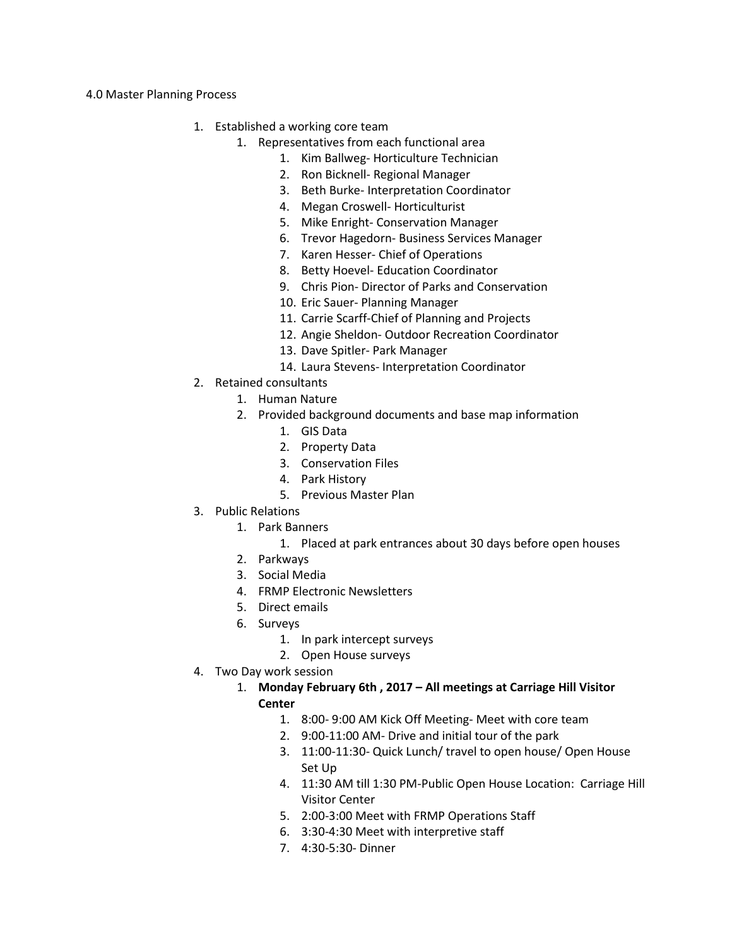## 4.0 Master Planning Process

- 1. Established a working core team
	- 1. Representatives from each functional area
		- 1. Kim Ballweg- Horticulture Technician
		- 2. Ron Bicknell- Regional Manager
		- 3. Beth Burke- Interpretation Coordinator
		- 4. Megan Croswell- Horticulturist
		- 5. Mike Enright- Conservation Manager
		- 6. Trevor Hagedorn- Business Services Manager
		- 7. Karen Hesser- Chief of Operations
		- 8. Betty Hoevel- Education Coordinator
		- 9. Chris Pion- Director of Parks and Conservation
		- 10. Eric Sauer- Planning Manager
		- 11. Carrie Scarff-Chief of Planning and Projects
		- 12. Angie Sheldon- Outdoor Recreation Coordinator
		- 13. Dave Spitler- Park Manager
		- 14. Laura Stevens- Interpretation Coordinator
- 2. Retained consultants
	- 1. Human Nature
	- 2. Provided background documents and base map information
		- 1. GIS Data
		- 2. Property Data
		- 3. Conservation Files
		- 4. Park History
		- 5. Previous Master Plan
- 3. Public Relations
	- 1. Park Banners
		- 1. Placed at park entrances about 30 days before open houses
	- 2. Parkways
	- 3. Social Media
	- 4. FRMP Electronic Newsletters
	- 5. Direct emails
	- 6. Surveys
		- 1. In park intercept surveys
		- 2. Open House surveys
- 4. Two Day work session
	- 1. **Monday February 6th , 2017 All meetings at Carriage Hill Visitor Center**
		- 1. 8:00- 9:00 AM Kick Off Meeting- Meet with core team
		- 2. 9:00-11:00 AM- Drive and initial tour of the park
		- 3. 11:00-11:30- Quick Lunch/ travel to open house/ Open House Set Up
		- 4. 11:30 AM till 1:30 PM-Public Open House Location: Carriage Hill Visitor Center
		- 5. 2:00-3:00 Meet with FRMP Operations Staff
		- 6. 3:30-4:30 Meet with interpretive staff
		- 7. 4:30-5:30- Dinner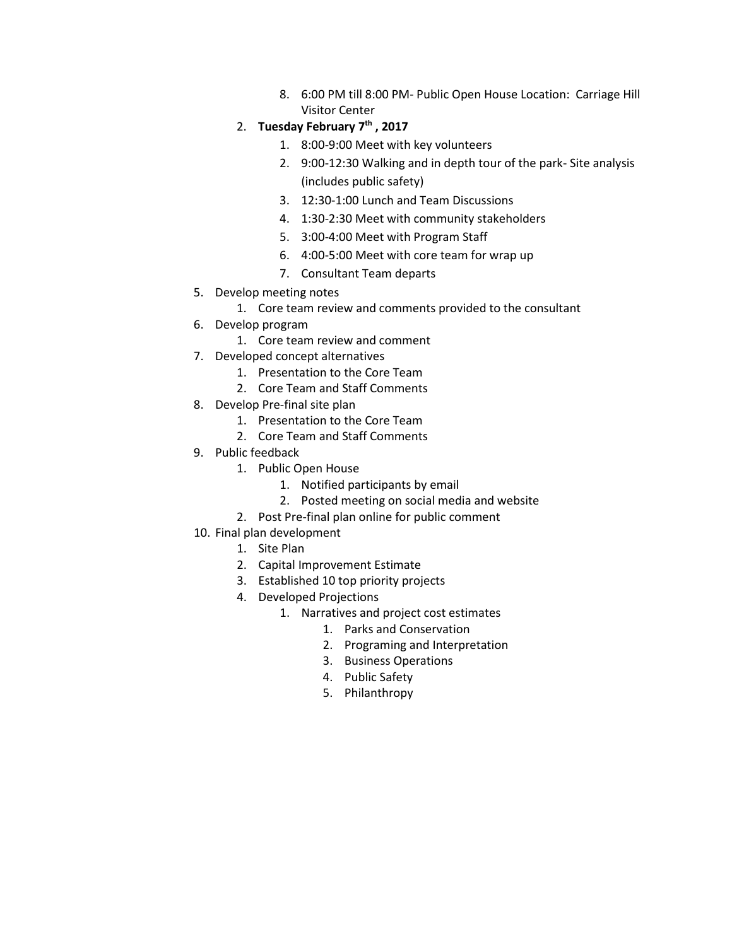- 8. 6:00 PM till 8:00 PM- Public Open House Location: Carriage Hill Visitor Center
- 2. **Tuesday February 7th , 2017**
	- 1. 8:00-9:00 Meet with key volunteers
	- 2. 9:00-12:30 Walking and in depth tour of the park- Site analysis (includes public safety)
	- 3. 12:30-1:00 Lunch and Team Discussions
	- 4. 1:30-2:30 Meet with community stakeholders
	- 5. 3:00-4:00 Meet with Program Staff
	- 6. 4:00-5:00 Meet with core team for wrap up
	- 7. Consultant Team departs
- 5. Develop meeting notes
	- 1. Core team review and comments provided to the consultant
- 6. Develop program
	- 1. Core team review and comment
- 7. Developed concept alternatives
	- 1. Presentation to the Core Team
	- 2. Core Team and Staff Comments
- 8. Develop Pre-final site plan
	- 1. Presentation to the Core Team
	- 2. Core Team and Staff Comments
- 9. Public feedback
	- 1. Public Open House
		- 1. Notified participants by email
		- 2. Posted meeting on social media and website
	- 2. Post Pre-final plan online for public comment
- 10. Final plan development
	- 1. Site Plan
	- 2. Capital Improvement Estimate
	- 3. Established 10 top priority projects
	- 4. Developed Projections
		- 1. Narratives and project cost estimates
			- 1. Parks and Conservation
			- 2. Programing and Interpretation
			- 3. Business Operations
			- 4. Public Safety
			- 5. Philanthropy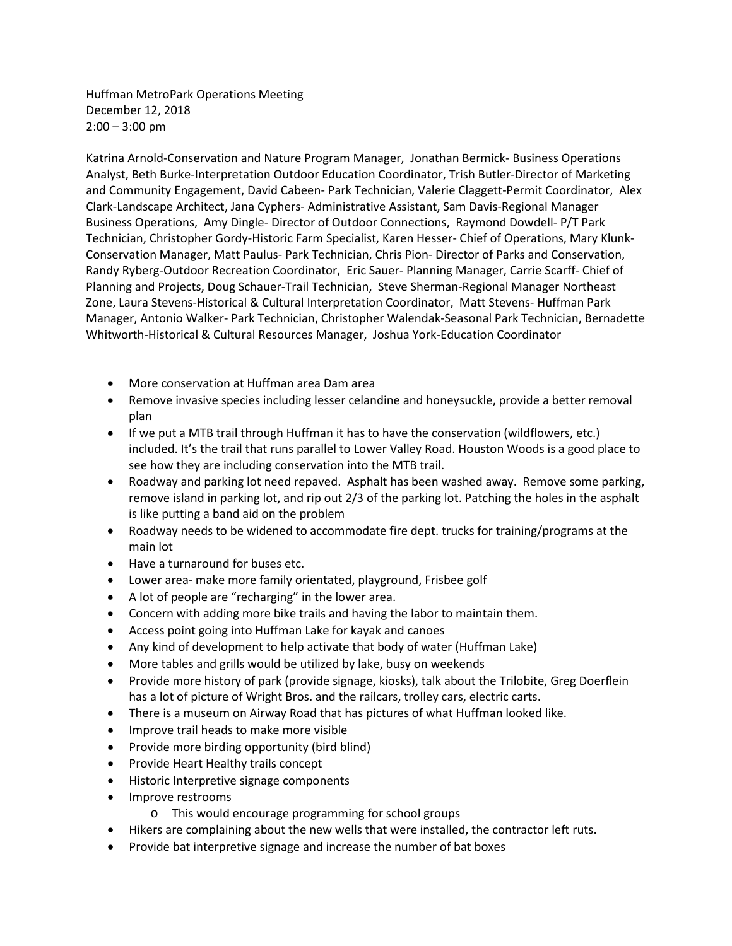Huffman MetroPark Operations Meeting December 12, 2018  $2:00 - 3:00$  pm

Katrina Arnold-Conservation and Nature Program Manager, Jonathan Bermick- Business Operations Analyst, Beth Burke-Interpretation Outdoor Education Coordinator, Trish Butler-Director of Marketing and Community Engagement, David Cabeen- Park Technician, Valerie Claggett-Permit Coordinator, Alex Clark-Landscape Architect, Jana Cyphers- Administrative Assistant, Sam Davis-Regional Manager Business Operations, Amy Dingle- Director of Outdoor Connections, Raymond Dowdell- P/T Park Technician, Christopher Gordy-Historic Farm Specialist, Karen Hesser- Chief of Operations, Mary Klunk-Conservation Manager, Matt Paulus- Park Technician, Chris Pion- Director of Parks and Conservation, Randy Ryberg-Outdoor Recreation Coordinator, Eric Sauer- Planning Manager, Carrie Scarff- Chief of Planning and Projects, Doug Schauer-Trail Technician, Steve Sherman-Regional Manager Northeast Zone, Laura Stevens-Historical & Cultural Interpretation Coordinator, Matt Stevens- Huffman Park Manager, Antonio Walker- Park Technician, Christopher Walendak-Seasonal Park Technician, Bernadette Whitworth-Historical & Cultural Resources Manager, Joshua York-Education Coordinator

- More conservation at Huffman area Dam area
- Remove invasive species including lesser celandine and honeysuckle, provide a better removal plan
- If we put a MTB trail through Huffman it has to have the conservation (wildflowers, etc.) included. It's the trail that runs parallel to Lower Valley Road. Houston Woods is a good place to see how they are including conservation into the MTB trail.
- Roadway and parking lot need repaved. Asphalt has been washed away. Remove some parking, remove island in parking lot, and rip out 2/3 of the parking lot. Patching the holes in the asphalt is like putting a band aid on the problem
- Roadway needs to be widened to accommodate fire dept. trucks for training/programs at the main lot
- Have a turnaround for buses etc.
- Lower area- make more family orientated, playground, Frisbee golf
- A lot of people are "recharging" in the lower area.
- Concern with adding more bike trails and having the labor to maintain them.
- Access point going into Huffman Lake for kayak and canoes
- Any kind of development to help activate that body of water (Huffman Lake)
- More tables and grills would be utilized by lake, busy on weekends
- Provide more history of park (provide signage, kiosks), talk about the Trilobite, Greg Doerflein has a lot of picture of Wright Bros. and the railcars, trolley cars, electric carts.
- There is a museum on Airway Road that has pictures of what Huffman looked like.
- Improve trail heads to make more visible
- Provide more birding opportunity (bird blind)
- Provide Heart Healthy trails concept
- Historic Interpretive signage components
- Improve restrooms
	- o This would encourage programming for school groups
- Hikers are complaining about the new wells that were installed, the contractor left ruts.
- Provide bat interpretive signage and increase the number of bat boxes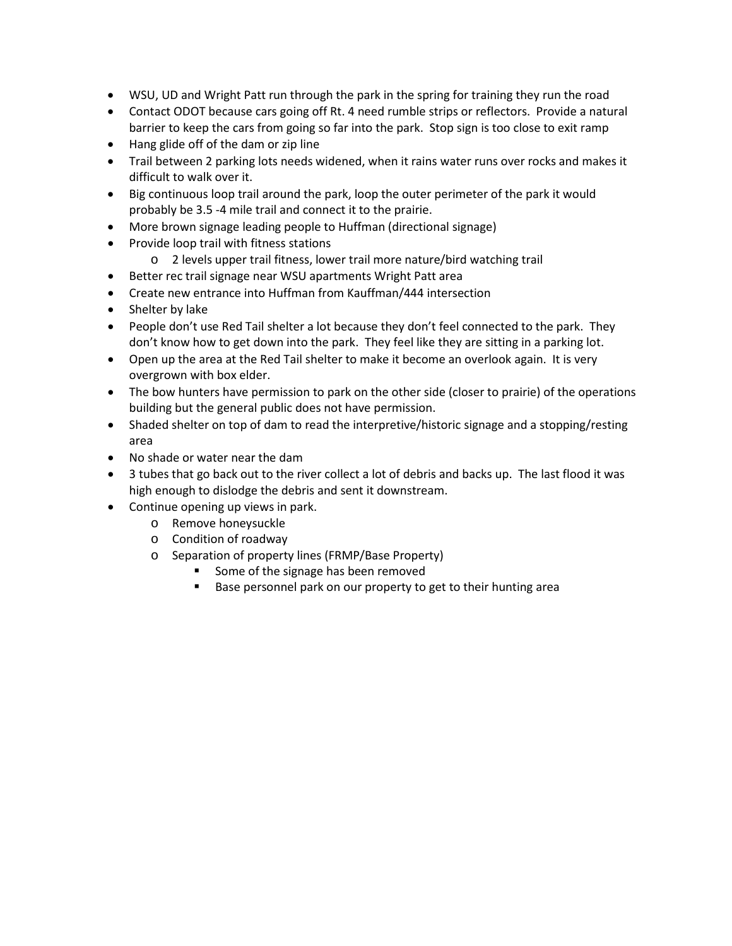- WSU, UD and Wright Patt run through the park in the spring for training they run the road
- Contact ODOT because cars going off Rt. 4 need rumble strips or reflectors. Provide a natural barrier to keep the cars from going so far into the park. Stop sign is too close to exit ramp
- Hang glide off of the dam or zip line
- Trail between 2 parking lots needs widened, when it rains water runs over rocks and makes it difficult to walk over it.
- Big continuous loop trail around the park, loop the outer perimeter of the park it would probably be 3.5 -4 mile trail and connect it to the prairie.
- More brown signage leading people to Huffman (directional signage)
- Provide loop trail with fitness stations
	- o 2 levels upper trail fitness, lower trail more nature/bird watching trail
- Better rec trail signage near WSU apartments Wright Patt area
- Create new entrance into Huffman from Kauffman/444 intersection
- Shelter by lake
- People don't use Red Tail shelter a lot because they don't feel connected to the park. They don't know how to get down into the park. They feel like they are sitting in a parking lot.
- Open up the area at the Red Tail shelter to make it become an overlook again. It is very overgrown with box elder.
- The bow hunters have permission to park on the other side (closer to prairie) of the operations building but the general public does not have permission.
- Shaded shelter on top of dam to read the interpretive/historic signage and a stopping/resting area
- No shade or water near the dam
- 3 tubes that go back out to the river collect a lot of debris and backs up. The last flood it was high enough to dislodge the debris and sent it downstream.
- Continue opening up views in park.
	- o Remove honeysuckle
	- o Condition of roadway
	- o Separation of property lines (FRMP/Base Property)
		- Some of the signage has been removed
		- Base personnel park on our property to get to their hunting area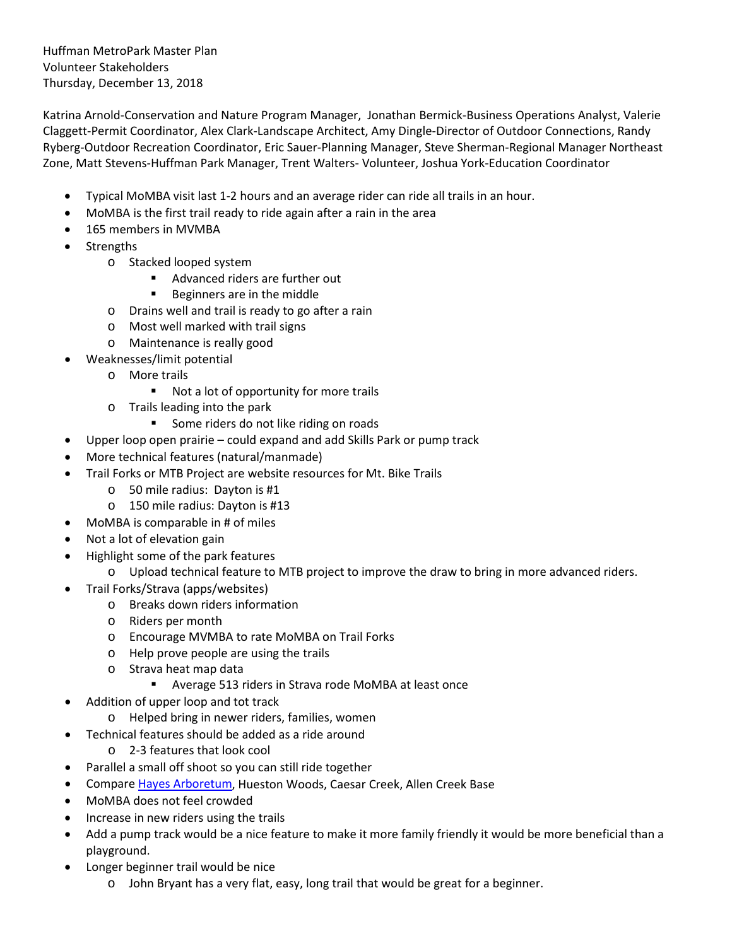Huffman MetroPark Master Plan Volunteer Stakeholders Thursday, December 13, 2018

Katrina Arnold-Conservation and Nature Program Manager, Jonathan Bermick-Business Operations Analyst, Valerie Claggett-Permit Coordinator, Alex Clark-Landscape Architect, Amy Dingle-Director of Outdoor Connections, Randy Ryberg-Outdoor Recreation Coordinator, Eric Sauer-Planning Manager, Steve Sherman-Regional Manager Northeast Zone, Matt Stevens-Huffman Park Manager, Trent Walters- Volunteer, Joshua York-Education Coordinator

- Typical MoMBA visit last 1-2 hours and an average rider can ride all trails in an hour.
- MoMBA is the first trail ready to ride again after a rain in the area
- 165 members in MVMBA
- **Strengths** 
	- o Stacked looped system
		- Advanced riders are further out
		- **Beginners are in the middle**
	- o Drains well and trail is ready to go after a rain
	- o Most well marked with trail signs
	- o Maintenance is really good
- Weaknesses/limit potential
	- o More trails
		- Not a lot of opportunity for more trails
	- o Trails leading into the park
		- Some riders do not like riding on roads
- Upper loop open prairie could expand and add Skills Park or pump track
- More technical features (natural/manmade)
- Trail Forks or MTB Project are website resources for Mt. Bike Trails
	- o 50 mile radius: Dayton is #1
	- o 150 mile radius: Dayton is #13
- MoMBA is comparable in # of miles
- Not a lot of elevation gain
- Highlight some of the park features
	- o Upload technical feature to MTB project to improve the draw to bring in more advanced riders.
- Trail Forks/Strava (apps/websites)
	- o Breaks down riders information
	- o Riders per month
	- o Encourage MVMBA to rate MoMBA on Trail Forks
	- o Help prove people are using the trails
	- o Strava heat map data
		- Average 513 riders in Strava rode MoMBA at least once
- Addition of upper loop and tot track
	- o Helped bring in newer riders, families, women
- Technical features should be added as a ride around
	- o 2-3 features that look cool
- Parallel a small off shoot so you can still ride together
- Compar[e Hayes Arboretum,](http://www.hayesarboretum.org/mountain-biking) Hueston Woods, Caesar Creek, Allen Creek Base
- MoMBA does not feel crowded
- Increase in new riders using the trails
- Add a pump track would be a nice feature to make it more family friendly it would be more beneficial than a playground.
- Longer beginner trail would be nice
	- o John Bryant has a very flat, easy, long trail that would be great for a beginner.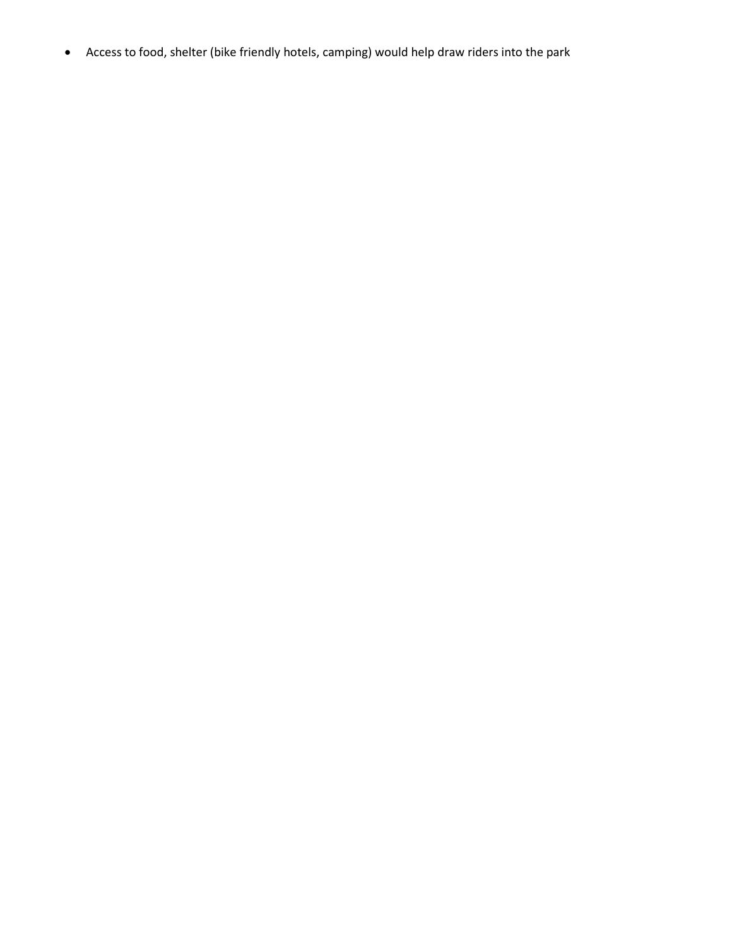• Access to food, shelter (bike friendly hotels, camping) would help draw riders into the park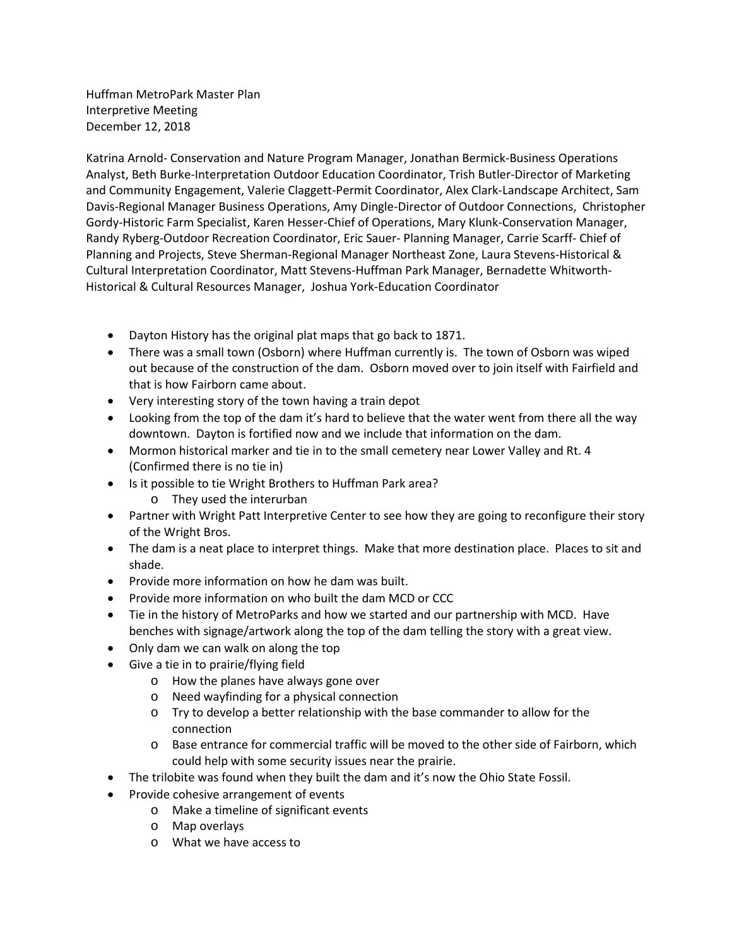Huffman MetroPark Master Plan Interpretive Meeting December 12, 2018

Katrina Arnold- Conservation and Nature Program Manager, Jonathan Bermick-Business Operations Analyst, Beth Burke-Interpretation Outdoor Education Coordinator, Trish Butler-Director of Marketing and Community Engagement, Valerie Claggett-Permit Coordinator, Alex Clark-Landscape Architect, Sam Davis-Regional Manager Business Operations, Amy Dingle-Director of Outdoor Connections, Christopher Gordy-Historic Farm Specialist, Karen Hesser-Chief of Operations, Mary Klunk-Conservation Manager, Randy Ryberg-Outdoor Recreation Coordinator, Eric Sauer- Planning Manager, Carrie Scarff- Chief of Planning and Projects, Steve Sherman-Regional Manager Northeast Zone, Laura Stevens-Historical & Cultural Interpretation Coordinator, Matt Stevens-Huffman Park Manager, Bernadette Whitworth-Historical & Cultural Resources Manager, Joshua York-Education Coordinator

- Dayton History has the original plat maps that go back to 1871.
- There was a small town (Osborn) where Huffman currently is. The town of Osborn was wiped out because of the construction of the dam. Osborn moved over to join itself with Fairfield and that is how Fairborn came about.
- Very interesting story of the town having a train depot
- Looking from the top of the dam it's hard to believe that the water went from there all the way downtown. Dayton is fortified now and we include that information on the dam.
- Mormon historical marker and tie in to the small cemetery near Lower Valley and Rt. 4 (Confirmed there is no tie in)
- Is it possible to tie Wright Brothers to Huffman Park area?
	- o They used the interurban
- Partner with Wright Patt Interpretive Center to see how they are going to reconfigure their story of the Wright Bros.
- The dam is a neat place to interpret things. Make that more destination place. Places to sit and shade.
- Provide more information on how he dam was built.
- Provide more information on who built the dam MCD or CCC
- Tie in the history of MetroParks and how we started and our partnership with MCD. Have benches with signage/artwork along the top of the dam telling the story with a great view.
- Only dam we can walk on along the top
- Give a tie in to prairie/flying field
	- o How the planes have always gone over
	- o Need wayfinding for a physical connection
	- o Try to develop a better relationship with the base commander to allow for the connection
	- o Base entrance for commercial traffic will be moved to the other side of Fairborn, which could help with some security issues near the prairie.
- The trilobite was found when they built the dam and it's now the Ohio State Fossil.
- Provide cohesive arrangement of events
	- o Make a timeline of significant events
	- o Map overlays
	- o What we have access to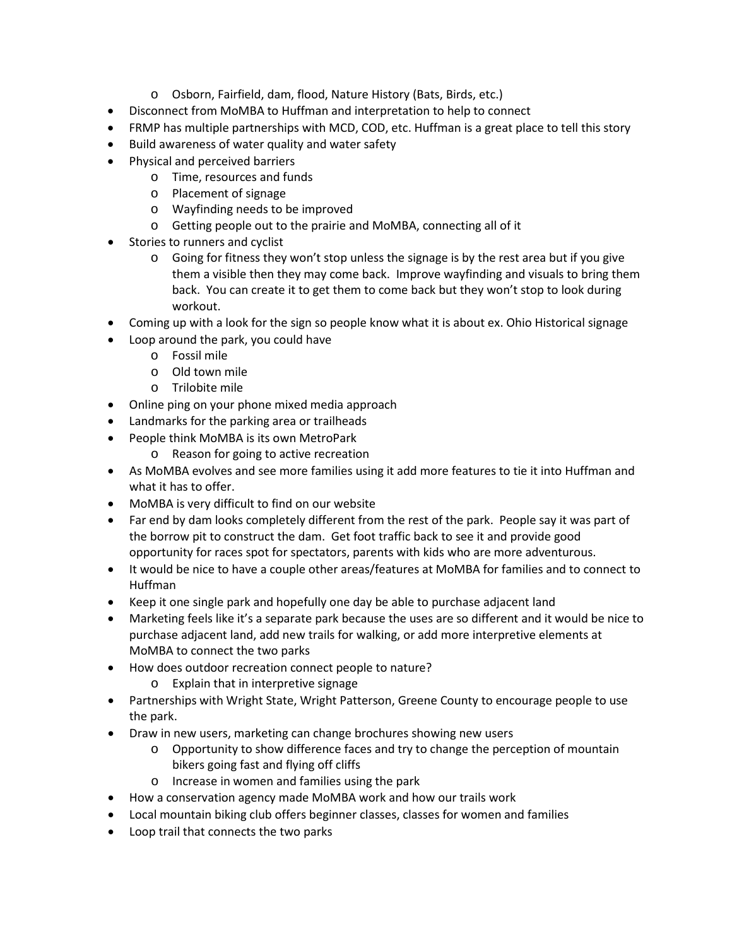- o Osborn, Fairfield, dam, flood, Nature History (Bats, Birds, etc.)
- Disconnect from MoMBA to Huffman and interpretation to help to connect
- FRMP has multiple partnerships with MCD, COD, etc. Huffman is a great place to tell this story
- Build awareness of water quality and water safety
- Physical and perceived barriers
	- o Time, resources and funds
	- o Placement of signage
	- o Wayfinding needs to be improved
	- o Getting people out to the prairie and MoMBA, connecting all of it
- Stories to runners and cyclist
	- $\circ$  Going for fitness they won't stop unless the signage is by the rest area but if you give them a visible then they may come back. Improve wayfinding and visuals to bring them back. You can create it to get them to come back but they won't stop to look during workout.
- Coming up with a look for the sign so people know what it is about ex. Ohio Historical signage
- Loop around the park, you could have
	- o Fossil mile
	- o Old town mile
	- o Trilobite mile
- Online ping on your phone mixed media approach
- Landmarks for the parking area or trailheads
- People think MoMBA is its own MetroPark
	- o Reason for going to active recreation
- As MoMBA evolves and see more families using it add more features to tie it into Huffman and what it has to offer.
- MoMBA is very difficult to find on our website
- Far end by dam looks completely different from the rest of the park. People say it was part of the borrow pit to construct the dam. Get foot traffic back to see it and provide good opportunity for races spot for spectators, parents with kids who are more adventurous.
- It would be nice to have a couple other areas/features at MoMBA for families and to connect to Huffman
- Keep it one single park and hopefully one day be able to purchase adjacent land
- Marketing feels like it's a separate park because the uses are so different and it would be nice to purchase adjacent land, add new trails for walking, or add more interpretive elements at MoMBA to connect the two parks
- How does outdoor recreation connect people to nature?
	- o Explain that in interpretive signage
- Partnerships with Wright State, Wright Patterson, Greene County to encourage people to use the park.
- Draw in new users, marketing can change brochures showing new users
	- $\circ$  Opportunity to show difference faces and try to change the perception of mountain bikers going fast and flying off cliffs
	- o Increase in women and families using the park
- How a conservation agency made MoMBA work and how our trails work
- Local mountain biking club offers beginner classes, classes for women and families
- Loop trail that connects the two parks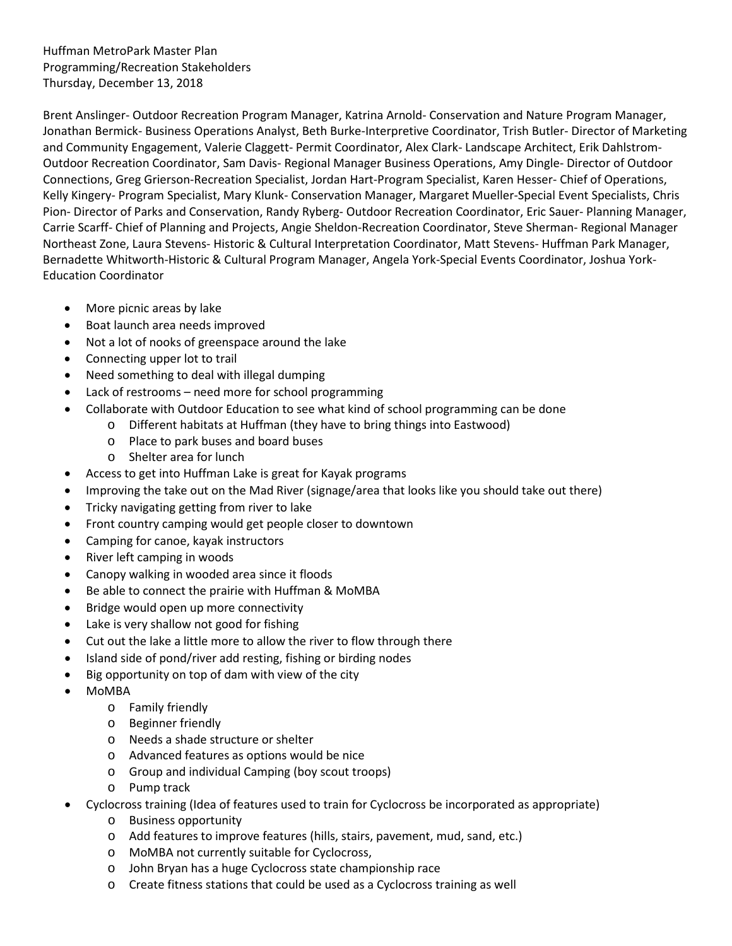Huffman MetroPark Master Plan Programming/Recreation Stakeholders Thursday, December 13, 2018

Brent Anslinger- Outdoor Recreation Program Manager, Katrina Arnold- Conservation and Nature Program Manager, Jonathan Bermick- Business Operations Analyst, Beth Burke-Interpretive Coordinator, Trish Butler- Director of Marketing and Community Engagement, Valerie Claggett- Permit Coordinator, Alex Clark- Landscape Architect, Erik Dahlstrom-Outdoor Recreation Coordinator, Sam Davis- Regional Manager Business Operations, Amy Dingle- Director of Outdoor Connections, Greg Grierson-Recreation Specialist, Jordan Hart-Program Specialist, Karen Hesser- Chief of Operations, Kelly Kingery- Program Specialist, Mary Klunk- Conservation Manager, Margaret Mueller-Special Event Specialists, Chris Pion- Director of Parks and Conservation, Randy Ryberg- Outdoor Recreation Coordinator, Eric Sauer- Planning Manager, Carrie Scarff- Chief of Planning and Projects, Angie Sheldon-Recreation Coordinator, Steve Sherman- Regional Manager Northeast Zone, Laura Stevens- Historic & Cultural Interpretation Coordinator, Matt Stevens- Huffman Park Manager, Bernadette Whitworth-Historic & Cultural Program Manager, Angela York-Special Events Coordinator, Joshua York-Education Coordinator

- More picnic areas by lake
- Boat launch area needs improved
- Not a lot of nooks of greenspace around the lake
- Connecting upper lot to trail
- Need something to deal with illegal dumping
- Lack of restrooms need more for school programming
- Collaborate with Outdoor Education to see what kind of school programming can be done
	- o Different habitats at Huffman (they have to bring things into Eastwood)
		- o Place to park buses and board buses
		- o Shelter area for lunch
- Access to get into Huffman Lake is great for Kayak programs
- Improving the take out on the Mad River (signage/area that looks like you should take out there)
- Tricky navigating getting from river to lake
- Front country camping would get people closer to downtown
- Camping for canoe, kayak instructors
- River left camping in woods
- Canopy walking in wooded area since it floods
- Be able to connect the prairie with Huffman & MoMBA
- Bridge would open up more connectivity
- Lake is very shallow not good for fishing
- Cut out the lake a little more to allow the river to flow through there
- Island side of pond/river add resting, fishing or birding nodes
- Big opportunity on top of dam with view of the city
- MoMBA
	- o Family friendly
	- o Beginner friendly
	- o Needs a shade structure or shelter
	- o Advanced features as options would be nice
	- o Group and individual Camping (boy scout troops)
	- o Pump track
- Cyclocross training (Idea of features used to train for Cyclocross be incorporated as appropriate)
	- o Business opportunity
	- o Add features to improve features (hills, stairs, pavement, mud, sand, etc.)
	- o MoMBA not currently suitable for Cyclocross,
	- o John Bryan has a huge Cyclocross state championship race
	- o Create fitness stations that could be used as a Cyclocross training as well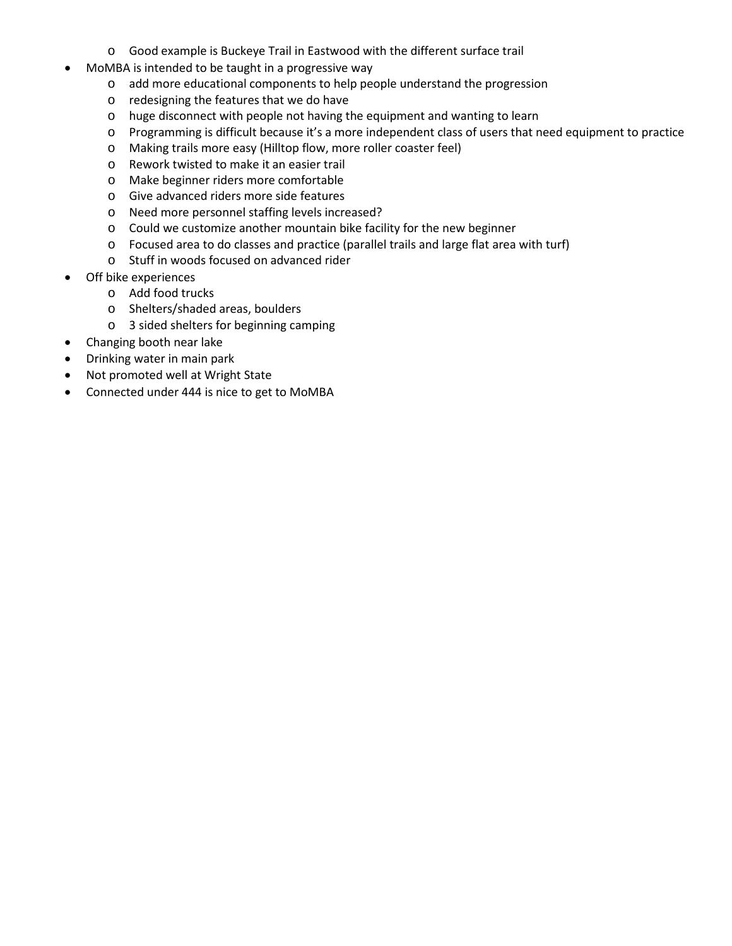- o Good example is Buckeye Trail in Eastwood with the different surface trail
- MoMBA is intended to be taught in a progressive way
	- o add more educational components to help people understand the progression
	- o redesigning the features that we do have
	- o huge disconnect with people not having the equipment and wanting to learn
	- o Programming is difficult because it's a more independent class of users that need equipment to practice
	- o Making trails more easy (Hilltop flow, more roller coaster feel)
	- o Rework twisted to make it an easier trail
	- o Make beginner riders more comfortable
	- o Give advanced riders more side features
	- o Need more personnel staffing levels increased?
	- o Could we customize another mountain bike facility for the new beginner
	- o Focused area to do classes and practice (parallel trails and large flat area with turf)
	- o Stuff in woods focused on advanced rider
- Off bike experiences
	- o Add food trucks
	- o Shelters/shaded areas, boulders
	- o 3 sided shelters for beginning camping
- Changing booth near lake
- Drinking water in main park
- Not promoted well at Wright State
- Connected under 444 is nice to get to MoMBA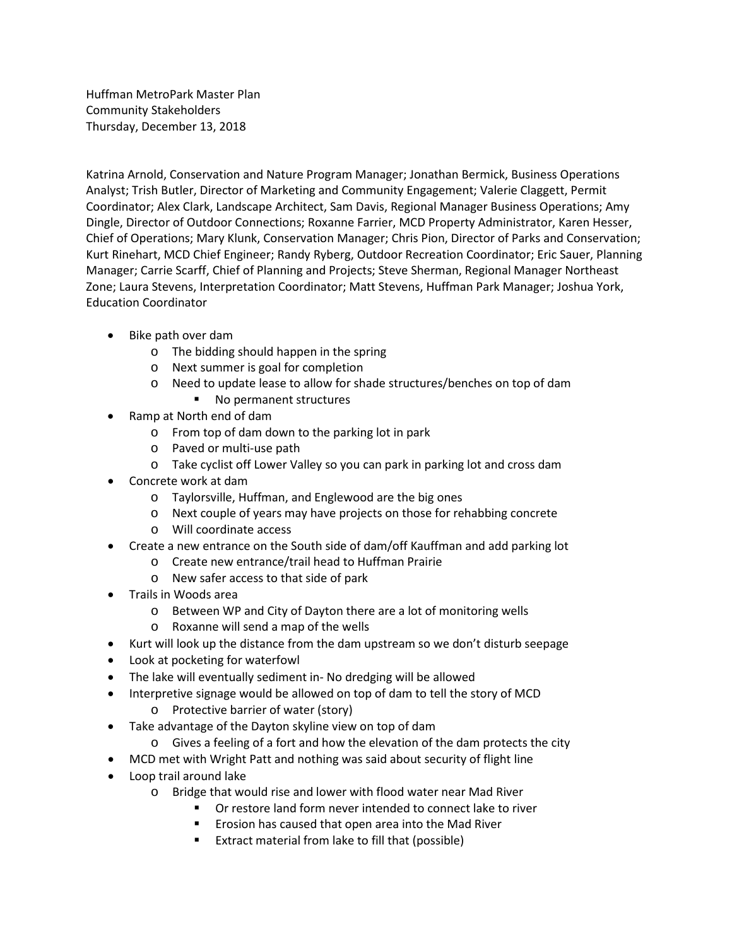Huffman MetroPark Master Plan Community Stakeholders Thursday, December 13, 2018

Katrina Arnold, Conservation and Nature Program Manager; Jonathan Bermick, Business Operations Analyst; Trish Butler, Director of Marketing and Community Engagement; Valerie Claggett, Permit Coordinator; Alex Clark, Landscape Architect, Sam Davis, Regional Manager Business Operations; Amy Dingle, Director of Outdoor Connections; Roxanne Farrier, MCD Property Administrator, Karen Hesser, Chief of Operations; Mary Klunk, Conservation Manager; Chris Pion, Director of Parks and Conservation; Kurt Rinehart, MCD Chief Engineer; Randy Ryberg, Outdoor Recreation Coordinator; Eric Sauer, Planning Manager; Carrie Scarff, Chief of Planning and Projects; Steve Sherman, Regional Manager Northeast Zone; Laura Stevens, Interpretation Coordinator; Matt Stevens, Huffman Park Manager; Joshua York, Education Coordinator

- Bike path over dam
	- o The bidding should happen in the spring
	- o Next summer is goal for completion
	- o Need to update lease to allow for shade structures/benches on top of dam
		- No permanent structures
- Ramp at North end of dam
	- o From top of dam down to the parking lot in park
	- o Paved or multi-use path
	- o Take cyclist off Lower Valley so you can park in parking lot and cross dam
- Concrete work at dam
	- o Taylorsville, Huffman, and Englewood are the big ones
	- o Next couple of years may have projects on those for rehabbing concrete
	- o Will coordinate access
- Create a new entrance on the South side of dam/off Kauffman and add parking lot
	- o Create new entrance/trail head to Huffman Prairie
	- o New safer access to that side of park
- Trails in Woods area
	- o Between WP and City of Dayton there are a lot of monitoring wells
	- o Roxanne will send a map of the wells
- Kurt will look up the distance from the dam upstream so we don't disturb seepage
- Look at pocketing for waterfowl
- The lake will eventually sediment in- No dredging will be allowed
- Interpretive signage would be allowed on top of dam to tell the story of MCD o Protective barrier of water (story)
- Take advantage of the Dayton skyline view on top of dam
	- o Gives a feeling of a fort and how the elevation of the dam protects the city
- MCD met with Wright Patt and nothing was said about security of flight line
- Loop trail around lake
	- o Bridge that would rise and lower with flood water near Mad River
		- Or restore land form never intended to connect lake to river
		- Erosion has caused that open area into the Mad River
		- **Extract material from lake to fill that (possible)**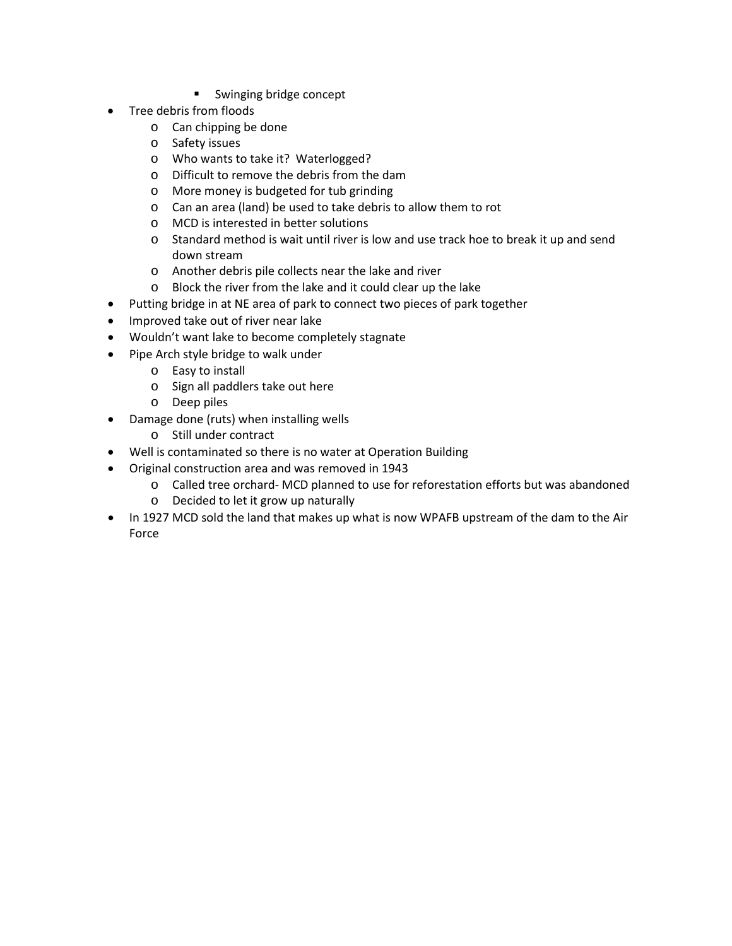- Swinging bridge concept
- Tree debris from floods
	- o Can chipping be done
	- o Safety issues
	- o Who wants to take it? Waterlogged?
	- o Difficult to remove the debris from the dam
	- o More money is budgeted for tub grinding
	- o Can an area (land) be used to take debris to allow them to rot
	- o MCD is interested in better solutions
	- o Standard method is wait until river is low and use track hoe to break it up and send down stream
	- o Another debris pile collects near the lake and river
	- o Block the river from the lake and it could clear up the lake
- Putting bridge in at NE area of park to connect two pieces of park together
- Improved take out of river near lake
- Wouldn't want lake to become completely stagnate
- Pipe Arch style bridge to walk under
	- o Easy to install
	- o Sign all paddlers take out here
	- o Deep piles
- Damage done (ruts) when installing wells
	- o Still under contract
- Well is contaminated so there is no water at Operation Building
- Original construction area and was removed in 1943
	- o Called tree orchard- MCD planned to use for reforestation efforts but was abandoned
	- o Decided to let it grow up naturally
- In 1927 MCD sold the land that makes up what is now WPAFB upstream of the dam to the Air Force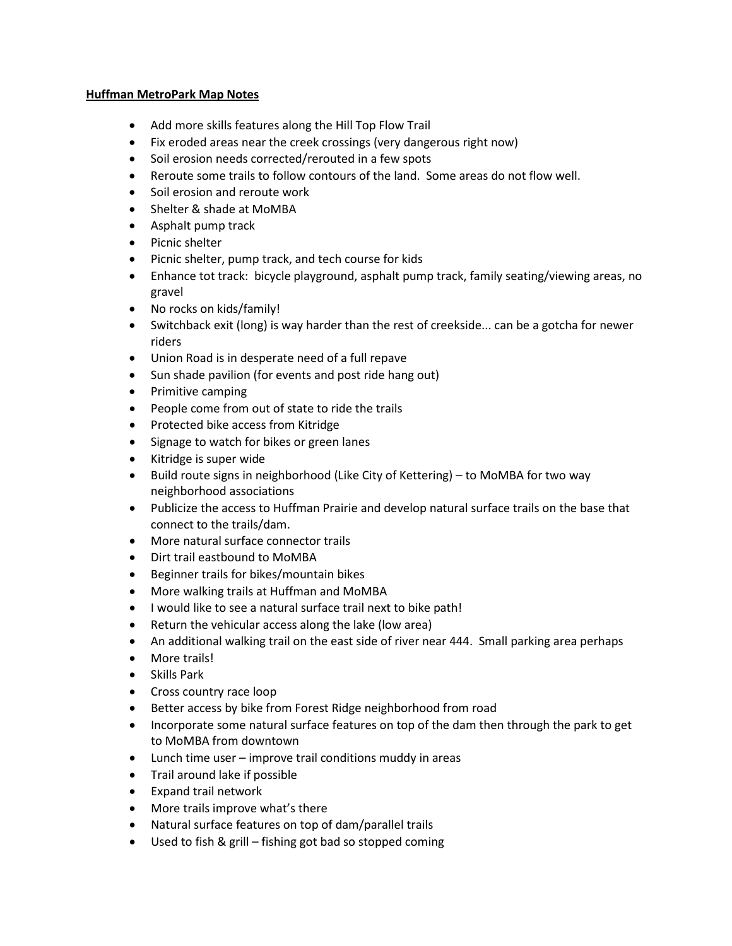## **Huffman MetroPark Map Notes**

- Add more skills features along the Hill Top Flow Trail
- Fix eroded areas near the creek crossings (very dangerous right now)
- Soil erosion needs corrected/rerouted in a few spots
- Reroute some trails to follow contours of the land. Some areas do not flow well.
- Soil erosion and reroute work
- Shelter & shade at MoMBA
- Asphalt pump track
- Picnic shelter
- Picnic shelter, pump track, and tech course for kids
- Enhance tot track: bicycle playground, asphalt pump track, family seating/viewing areas, no gravel
- No rocks on kids/family!
- Switchback exit (long) is way harder than the rest of creekside... can be a gotcha for newer riders
- Union Road is in desperate need of a full repave
- Sun shade pavilion (for events and post ride hang out)
- Primitive camping
- People come from out of state to ride the trails
- Protected bike access from Kitridge
- Signage to watch for bikes or green lanes
- Kitridge is super wide
- Build route signs in neighborhood (Like City of Kettering) to MoMBA for two way neighborhood associations
- Publicize the access to Huffman Prairie and develop natural surface trails on the base that connect to the trails/dam.
- More natural surface connector trails
- Dirt trail eastbound to MoMBA
- Beginner trails for bikes/mountain bikes
- More walking trails at Huffman and MoMBA
- I would like to see a natural surface trail next to bike path!
- Return the vehicular access along the lake (low area)
- An additional walking trail on the east side of river near 444. Small parking area perhaps
- More trails!
- Skills Park
- Cross country race loop
- Better access by bike from Forest Ridge neighborhood from road
- Incorporate some natural surface features on top of the dam then through the park to get to MoMBA from downtown
- Lunch time user improve trail conditions muddy in areas
- Trail around lake if possible
- Expand trail network
- More trails improve what's there
- Natural surface features on top of dam/parallel trails
- Used to fish & grill fishing got bad so stopped coming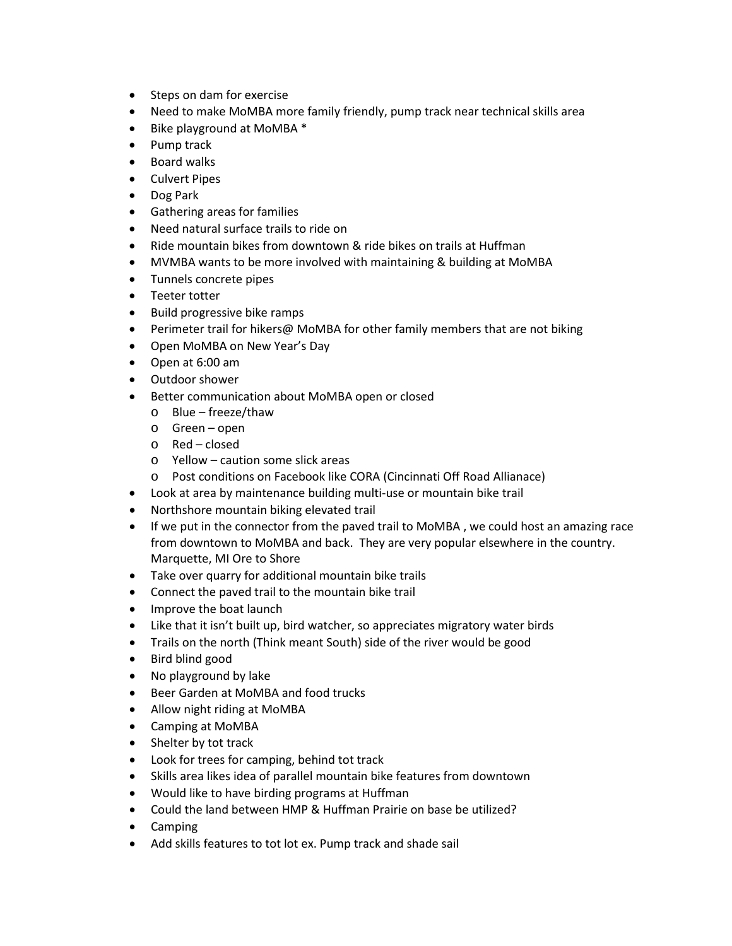- Steps on dam for exercise
- Need to make MoMBA more family friendly, pump track near technical skills area
- Bike playground at MoMBA \*
- Pump track
- Board walks
- Culvert Pipes
- Dog Park
- Gathering areas for families
- Need natural surface trails to ride on
- Ride mountain bikes from downtown & ride bikes on trails at Huffman
- MVMBA wants to be more involved with maintaining & building at MoMBA
- Tunnels concrete pipes
- Teeter totter
- Build progressive bike ramps
- Perimeter trail for hikers@ MoMBA for other family members that are not biking
- Open MoMBA on New Year's Day
- Open at 6:00 am
- Outdoor shower
- Better communication about MoMBA open or closed
	- o Blue freeze/thaw
	- o Green open
	- o Red closed
	- o Yellow caution some slick areas
	- o Post conditions on Facebook like CORA (Cincinnati Off Road Allianace)
- Look at area by maintenance building multi-use or mountain bike trail
- Northshore mountain biking elevated trail
- If we put in the connector from the paved trail to MoMBA, we could host an amazing race from downtown to MoMBA and back. They are very popular elsewhere in the country. Marquette, MI Ore to Shore
- Take over quarry for additional mountain bike trails
- Connect the paved trail to the mountain bike trail
- Improve the boat launch
- Like that it isn't built up, bird watcher, so appreciates migratory water birds
- Trails on the north (Think meant South) side of the river would be good
- Bird blind good
- No playground by lake
- Beer Garden at MoMBA and food trucks
- Allow night riding at MoMBA
- Camping at MoMBA
- Shelter by tot track
- Look for trees for camping, behind tot track
- Skills area likes idea of parallel mountain bike features from downtown
- Would like to have birding programs at Huffman
- Could the land between HMP & Huffman Prairie on base be utilized?
- Camping
- Add skills features to tot lot ex. Pump track and shade sail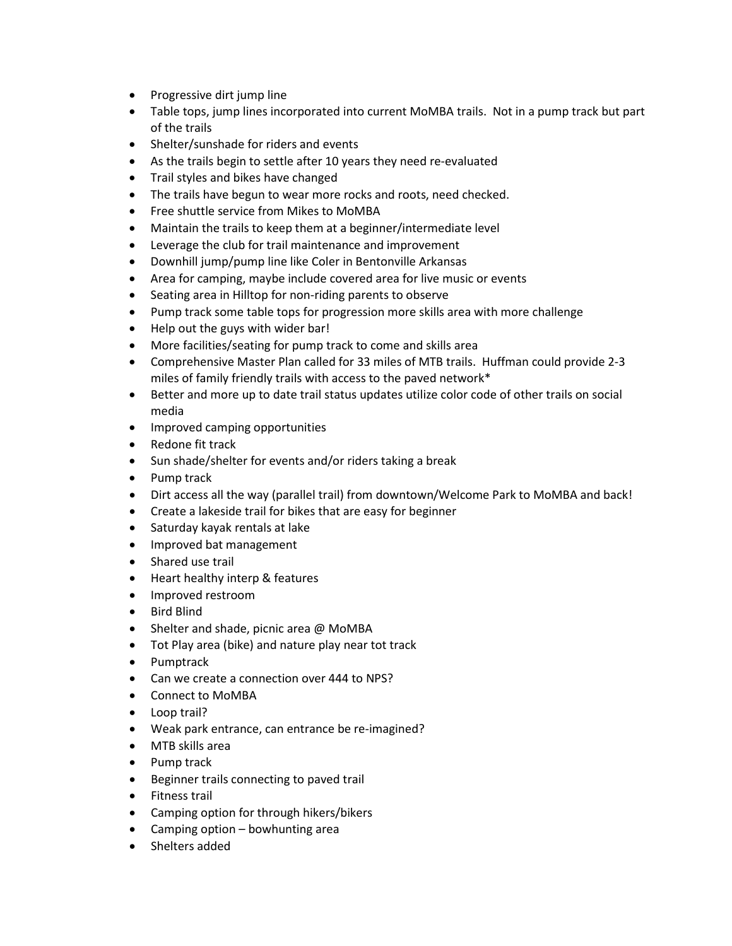- Progressive dirt jump line
- Table tops, jump lines incorporated into current MoMBA trails. Not in a pump track but part of the trails
- Shelter/sunshade for riders and events
- As the trails begin to settle after 10 years they need re-evaluated
- Trail styles and bikes have changed
- The trails have begun to wear more rocks and roots, need checked.
- Free shuttle service from Mikes to MoMBA
- Maintain the trails to keep them at a beginner/intermediate level
- Leverage the club for trail maintenance and improvement
- Downhill jump/pump line like Coler in Bentonville Arkansas
- Area for camping, maybe include covered area for live music or events
- Seating area in Hilltop for non-riding parents to observe
- Pump track some table tops for progression more skills area with more challenge
- Help out the guys with wider bar!
- More facilities/seating for pump track to come and skills area
- Comprehensive Master Plan called for 33 miles of MTB trails. Huffman could provide 2-3 miles of family friendly trails with access to the paved network\*
- Better and more up to date trail status updates utilize color code of other trails on social media
- Improved camping opportunities
- Redone fit track
- Sun shade/shelter for events and/or riders taking a break
- Pump track
- Dirt access all the way (parallel trail) from downtown/Welcome Park to MoMBA and back!
- Create a lakeside trail for bikes that are easy for beginner
- Saturday kayak rentals at lake
- Improved bat management
- Shared use trail
- Heart healthy interp & features
- Improved restroom
- Bird Blind
- Shelter and shade, picnic area @ MoMBA
- Tot Play area (bike) and nature play near tot track
- Pumptrack
- Can we create a connection over 444 to NPS?
- Connect to MoMBA
- Loop trail?
- Weak park entrance, can entrance be re-imagined?
- MTB skills area
- Pump track
- Beginner trails connecting to paved trail
- Fitness trail
- Camping option for through hikers/bikers
- Camping option bowhunting area
- Shelters added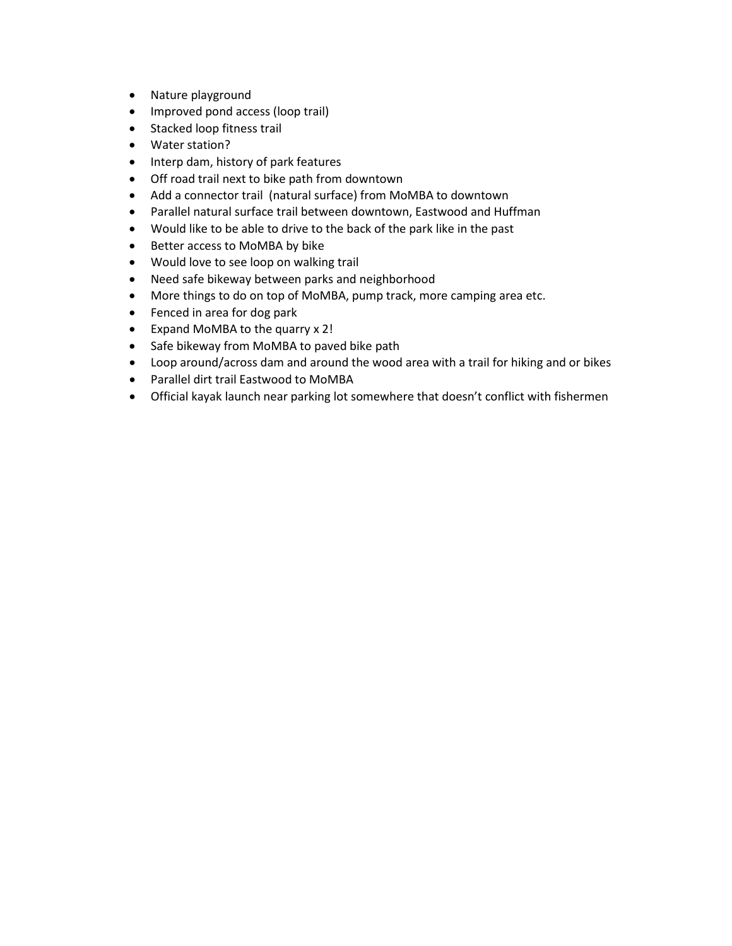- Nature playground
- Improved pond access (loop trail)
- Stacked loop fitness trail
- Water station?
- Interp dam, history of park features
- Off road trail next to bike path from downtown
- Add a connector trail (natural surface) from MoMBA to downtown
- Parallel natural surface trail between downtown, Eastwood and Huffman
- Would like to be able to drive to the back of the park like in the past
- Better access to MoMBA by bike
- Would love to see loop on walking trail
- Need safe bikeway between parks and neighborhood
- More things to do on top of MoMBA, pump track, more camping area etc.
- Fenced in area for dog park
- Expand MoMBA to the quarry x 2!
- Safe bikeway from MoMBA to paved bike path
- Loop around/across dam and around the wood area with a trail for hiking and or bikes
- Parallel dirt trail Eastwood to MoMBA
- Official kayak launch near parking lot somewhere that doesn't conflict with fishermen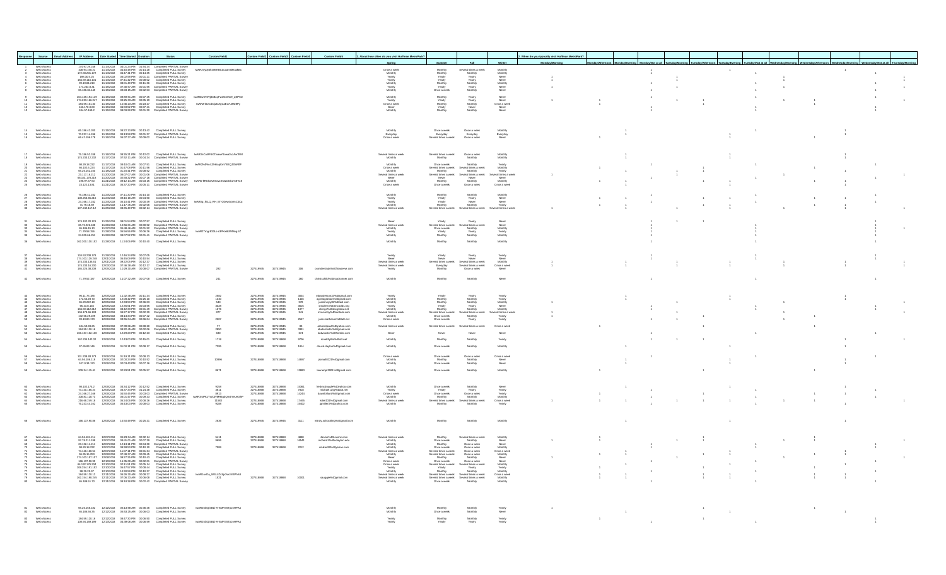|                                                                                                                                                                                                                | sponse Source Email Address IP Address Date Started Time Started Duration |                                                 |                          |                                                                                                                                                                                                                                        | <b>Status</b>                                                                                                                                                                                                                                                                                                                               | <b>Custom Field1</b>                              |                                                  | Custom Field2 Custom Field3 Custom Field4                     |                        | <b>Custom Field5</b>                                                                                                                                           | 1. About how often do you visit Huffman MetroPark?              |                                                                                     |                                                                                                               |                                                       | When do you typically visit Huffman MetroPark? |  |  |  |  |                |  |
|----------------------------------------------------------------------------------------------------------------------------------------------------------------------------------------------------------------|---------------------------------------------------------------------------|-------------------------------------------------|--------------------------|----------------------------------------------------------------------------------------------------------------------------------------------------------------------------------------------------------------------------------------|---------------------------------------------------------------------------------------------------------------------------------------------------------------------------------------------------------------------------------------------------------------------------------------------------------------------------------------------|---------------------------------------------------|--------------------------------------------------|---------------------------------------------------------------|------------------------|----------------------------------------------------------------------------------------------------------------------------------------------------------------|-----------------------------------------------------------------|-------------------------------------------------------------------------------------|---------------------------------------------------------------------------------------------------------------|-------------------------------------------------------|------------------------------------------------|--|--|--|--|----------------|--|
| Web Access                                                                                                                                                                                                     |                                                                           | 174.97.29.24                                    | 11/14/2018               | 04:01:24 PM 01:54:34                                                                                                                                                                                                                   | Completed PARTIAL Survey                                                                                                                                                                                                                                                                                                                    |                                                   |                                                  |                                                               |                        |                                                                                                                                                                | Spring                                                          |                                                                                     |                                                                                                               |                                                       |                                                |  |  |  |  |                |  |
|                                                                                                                                                                                                                | Web Access<br>Web Access                                                  |                                                 |                          |                                                                                                                                                                                                                                        | $\begin{array}{l} 17.83, 26.201, 17 & 1914.2018 & 0 \\ 17.83, 26.204 & 1914.2018 & 0 \\ 17.83, 20.172 & 1914.2018 & 0 \\ 17.83, 20.172 & 1914.2018 & 0 \\ 17.83, 20.172 & 1914.2018 & 0 \\ 17.83, 20.173 & 1914.2018 & 0 \\ 17.83, 20.174 & 1914.2018 & 0 \\ 17.83$                                                                         | hyAR2VygNth4eEKBC0upamlkR3akBx                    |                                                  |                                                               |                        |                                                                                                                                                                | Once a week                                                     | Monthly                                                                             | Several times a week<br>Monthly                                                                               | Monthly<br>Monthly                                    |                                                |  |  |  |  | $\overline{1}$ |  |
| Web Access<br>Web Access<br>Web Access                                                                                                                                                                         |                                                                           |                                                 |                          |                                                                                                                                                                                                                                        |                                                                                                                                                                                                                                                                                                                                             |                                                   |                                                  |                                                               |                        |                                                                                                                                                                |                                                                 |                                                                                     |                                                                                                               |                                                       |                                                |  |  |  |  |                |  |
|                                                                                                                                                                                                                | Web Access<br>Web Access                                                  |                                                 |                          |                                                                                                                                                                                                                                        |                                                                                                                                                                                                                                                                                                                                             |                                                   |                                                  |                                                               |                        |                                                                                                                                                                | Monthly<br>Yearly<br>Yearly<br>Monthly<br>Yearly<br>Monthly     | Yearly<br>Yearly<br>Monthly<br>Yearly                                               | Yearly<br>Yearly<br>Monthly<br>Yearly<br>Monthly                                                              | Never<br>Never<br>Monthly<br>Never<br>Never           |                                                |  |  |  |  |                |  |
|                                                                                                                                                                                                                |                                                                           | 65.186.32.145                                   |                          | 11/15/2018  08:03:15 AM  00:02:03                                                                                                                                                                                                      | Completed PARTIAL Survey                                                                                                                                                                                                                                                                                                                    |                                                   |                                                  |                                                               |                        |                                                                                                                                                                |                                                                 | Once a week                                                                         |                                                                                                               |                                                       |                                                |  |  |  |  |                |  |
| Web Access<br>Web Access<br>Web Access<br>Web Access<br>Web Access                                                                                                                                             |                                                                           |                                                 |                          |                                                                                                                                                                                                                                        |                                                                                                                                                                                                                                                                                                                                             | IwAR0w6TSVi84BcaFwUCOXn9_aEP5O                    |                                                  |                                                               |                        |                                                                                                                                                                | Monthly<br>Yearly                                               | Monthly<br>Yearly<br>Monthly<br>Yearly<br>Monthly                                   | Yearly<br>Yearly<br>Monthly<br>Never<br>Monthly                                                               | Never<br>Never                                        |                                                |  |  |  |  |                |  |
|                                                                                                                                                                                                                |                                                                           |                                                 |                          |                                                                                                                                                                                                                                        |                                                                                                                                                                                                                                                                                                                                             | IwAR2riS2Cdtoj2DAgCaEc7utM28Py                    |                                                  |                                                               |                        |                                                                                                                                                                | Teary<br>Once a week<br>Nonthly                                 |                                                                                     |                                                                                                               | Once a week<br>Never<br>Never                         |                                                |  |  |  |  |                |  |
|                                                                                                                                                                                                                |                                                                           |                                                 |                          |                                                                                                                                                                                                                                        |                                                                                                                                                                                                                                                                                                                                             |                                                   |                                                  |                                                               |                        |                                                                                                                                                                |                                                                 |                                                                                     |                                                                                                               |                                                       |                                                |  |  |  |  |                |  |
|                                                                                                                                                                                                                |                                                                           |                                                 |                          |                                                                                                                                                                                                                                        |                                                                                                                                                                                                                                                                                                                                             |                                                   |                                                  |                                                               |                        |                                                                                                                                                                |                                                                 |                                                                                     |                                                                                                               |                                                       |                                                |  |  |  |  |                |  |
|                                                                                                                                                                                                                |                                                                           |                                                 |                          |                                                                                                                                                                                                                                        |                                                                                                                                                                                                                                                                                                                                             |                                                   |                                                  |                                                               |                        |                                                                                                                                                                |                                                                 |                                                                                     |                                                                                                               |                                                       |                                                |  |  |  |  |                |  |
| Web Access<br>Web Access<br>Web Access                                                                                                                                                                         |                                                                           |                                                 |                          |                                                                                                                                                                                                                                        | 65.186.42.200    11/15/2018    08:22:13 PM    00:13:42    Completed FULL Survey<br>70.237.14.246    11/15/2018    09:13:58 PM    00:01:37    Completed PARTIAL Survey<br>66.42.196.178    11/16/2018    06:37:37 AM    00:09:02    C                                                                                                        |                                                   |                                                  |                                                               |                        |                                                                                                                                                                | Monthly<br>Everydav<br>Once a week                              | Once a week<br>Everydav<br>Several times a week                                     | Once a week<br>Everyday<br>Once a week                                                                        | Monthly<br>Everydav<br>Never                          |                                                |  |  |  |  |                |  |
|                                                                                                                                                                                                                |                                                                           |                                                 |                          |                                                                                                                                                                                                                                        |                                                                                                                                                                                                                                                                                                                                             |                                                   |                                                  |                                                               |                        |                                                                                                                                                                |                                                                 |                                                                                     |                                                                                                               |                                                       |                                                |  |  |  |  |                |  |
|                                                                                                                                                                                                                |                                                                           |                                                 |                          |                                                                                                                                                                                                                                        |                                                                                                                                                                                                                                                                                                                                             |                                                   |                                                  |                                                               |                        |                                                                                                                                                                |                                                                 |                                                                                     |                                                                                                               |                                                       |                                                |  |  |  |  |                |  |
| Web Access<br>Web Access<br>$\overline{18}$                                                                                                                                                                    |                                                                           |                                                 |                          |                                                                                                                                                                                                                                        | 75.186.52.248 11/16/2018 08:35:21 PM 00:12:02 Completed FULL Survey<br>174.233.12.232 11/17/2018 07:52:11 AM 00:04:34 Completed PARTIAL Survey                                                                                                                                                                                              | hvAR3nCuMF6XZtvawYdowa2uz/w/7BM                   |                                                  |                                                               |                        |                                                                                                                                                                | Several times a week<br>Monthly                                 | Several times a week<br>Monthly                                                     | Once a week<br>Monthly                                                                                        | Monthly<br>Monthly                                    |                                                |  |  |  |  |                |  |
| Web Access                                                                                                                                                                                                     |                                                                           | 98.29.18.232                                    |                          | 11/17/2018   09:10:01 AM   00:07:51                                                                                                                                                                                                    | Completed FULL Survey                                                                                                                                                                                                                                                                                                                       | hvAR2N4Rw4J2HzaqKm7BSQJ3fnRIfF                    |                                                  |                                                               |                        |                                                                                                                                                                | Monthly                                                         | Once a week                                                                         | Monthly                                                                                                       | Yearly                                                |                                                |  |  |  |  |                |  |
|                                                                                                                                                                                                                |                                                                           |                                                 |                          |                                                                                                                                                                                                                                        |                                                                                                                                                                                                                                                                                                                                             |                                                   |                                                  |                                                               |                        |                                                                                                                                                                | Once a week<br>Monthly                                          | Several times a week<br>Monthly                                                     | Several times a week<br>Monthly                                                                               | Monthly<br>Yearly                                     |                                                |  |  |  |  |                |  |
| $\begin{array}{l} 22 \\ 23 \\ 24 \\ 25 \end{array}$                                                                                                                                                            |                                                                           |                                                 |                          |                                                                                                                                                                                                                                        |                                                                                                                                                                                                                                                                                                                                             |                                                   |                                                  |                                                               |                        |                                                                                                                                                                | Several times a week<br>Never<br>Monthly                        | Several times a week<br>Never<br>Monthly                                            | Several times a week<br>Never<br>Monthly                                                                      | ral times a week<br>Never<br>Monthly                  |                                                |  |  |  |  |                |  |
| Web Access<br>Web Access<br>Web Access<br>Web Access<br>Web Access                                                                                                                                             |                                                                           |                                                 |                          |                                                                                                                                                                                                                                        |                                                                                                                                                                                                                                                                                                                                             | hyAR0-kRUkxKZXOvzZNtZdObaY3HG5                    |                                                  |                                                               |                        |                                                                                                                                                                | Once a week                                                     | Once a week                                                                         | Once a week                                                                                                   | Once a week                                           |                                                |  |  |  |  |                |  |
|                                                                                                                                                                                                                |                                                                           |                                                 |                          |                                                                                                                                                                                                                                        | 75.186.41.242  11/23/2018  07:11:30 PM  00:14:10  Completed FULL Survey                                                                                                                                                                                                                                                                     |                                                   |                                                  |                                                               |                        |                                                                                                                                                                |                                                                 |                                                                                     |                                                                                                               |                                                       |                                                |  |  |  |  |                |  |
| 26<br>Web Access                                                                                                                                                                                               |                                                                           |                                                 |                          |                                                                                                                                                                                                                                        |                                                                                                                                                                                                                                                                                                                                             |                                                   |                                                  |                                                               |                        |                                                                                                                                                                | Monthly                                                         | Monthly                                                                             | Monthly                                                                                                       | Monthly                                               |                                                |  |  |  |  |                |  |
| Web Access<br>Web Access<br>Web Access<br>Web Access<br>$\frac{28}{29}$<br>30                                                                                                                                  |                                                                           |                                                 |                          |                                                                                                                                                                                                                                        | $10.084-1.446 = 11.4242016 \t\t 0.11.304 \t\t 0.004.50 \t\t 0.004.004 \t\t 0.004.004 \t\t 0.004.004 \t\t 0.004.004 \t\t 0.004.004 \t\t 0.004.004 \t\t 0.004.004 \t\t 0.004.004 \t\t 0.004.004 \t\t 0.004.004 \t\t 0.004.004 \t\t 0.004.004 \t\t 0.004.004 \t\t$                                                                             | hvAR0g_fELQ_RH_5TrO3ew4qVmC3Cq                    |                                                  |                                                               |                        |                                                                                                                                                                | Yearly<br>Yearly<br>Monthly                                     | Yearly<br>Yearly<br>Monthly                                                         | Yearly<br>Never<br>Monthly                                                                                    | Never<br>Never<br>Yearly                              |                                                |  |  |  |  |                |  |
|                                                                                                                                                                                                                |                                                                           |                                                 |                          |                                                                                                                                                                                                                                        |                                                                                                                                                                                                                                                                                                                                             |                                                   |                                                  |                                                               |                        |                                                                                                                                                                | Several times a week                                            | Several times a week                                                                | Several times a week                                                                                          | Several times a week                                  |                                                |  |  |  |  |                |  |
|                                                                                                                                                                                                                |                                                                           |                                                 |                          |                                                                                                                                                                                                                                        |                                                                                                                                                                                                                                                                                                                                             |                                                   |                                                  |                                                               |                        |                                                                                                                                                                | Never                                                           | Yearly                                                                              | Yearly                                                                                                        |                                                       |                                                |  |  |  |  |                |  |
|                                                                                                                                                                                                                |                                                                           |                                                 |                          |                                                                                                                                                                                                                                        |                                                                                                                                                                                                                                                                                                                                             |                                                   |                                                  |                                                               |                        |                                                                                                                                                                |                                                                 | Several times a week                                                                |                                                                                                               |                                                       |                                                |  |  |  |  |                |  |
| Web Access<br>Web Access<br>Web Access<br>Web Access<br>Web Access<br>$\frac{34}{35}$                                                                                                                          |                                                                           |                                                 |                          |                                                                                                                                                                                                                                        |                                                                                                                                                                                                                                                                                                                                             | lwAR2Trngr833Lo-s3PKw8dWMugJi2                    |                                                  |                                                               |                        |                                                                                                                                                                | Several times a week<br>Monthly<br>Yearly<br>Monthly            | Once a week<br>Yearly<br>Monthly                                                    | Several times a week<br>Monthly<br>Yearly<br>Monthly                                                          | Never<br>Never<br>Monthly<br>Yearly<br>Monthly        |                                                |  |  |  |  |                |  |
| 36 Web Access                                                                                                                                                                                                  |                                                                           |                                                 |                          |                                                                                                                                                                                                                                        | 162.200.130.152  11/28/2018  11:24:06 PM  00:10:40  Completed FULL Survey                                                                                                                                                                                                                                                                   |                                                   |                                                  |                                                               |                        |                                                                                                                                                                | Monthly                                                         | Monthly                                                                             | Monthly                                                                                                       | Monthly                                               |                                                |  |  |  |  |                |  |
|                                                                                                                                                                                                                |                                                                           |                                                 |                          |                                                                                                                                                                                                                                        |                                                                                                                                                                                                                                                                                                                                             |                                                   |                                                  |                                                               |                        |                                                                                                                                                                |                                                                 |                                                                                     |                                                                                                               |                                                       |                                                |  |  |  |  |                |  |
|                                                                                                                                                                                                                |                                                                           |                                                 |                          |                                                                                                                                                                                                                                        |                                                                                                                                                                                                                                                                                                                                             |                                                   |                                                  |                                                               |                        |                                                                                                                                                                |                                                                 |                                                                                     |                                                                                                               |                                                       |                                                |  |  |  |  |                |  |
| Web Access<br>Web Access<br>Web Access<br>Web Access                                                                                                                                                           |                                                                           |                                                 |                          |                                                                                                                                                                                                                                        | $134.53.238.178 \newline 137.232018 \newline 124.624 PM \newline 00.07.05 \newline 0.654504 \newline 174.03.129.248 \newline 174.233.18.61 \newline 174.233.18.61 \newline 174.233.16.201 \newline 174.233.16.201 \newline 174.233.16.201 \newline 174.233.16.202 \newline 174.233.16.203 \newline 0.0746.38 AM \newline 0.012:17 \newline$ |                                                   |                                                  |                                                               |                        |                                                                                                                                                                | Yearly<br>Never<br>Several times a week                         |                                                                                     | Yearly<br>Never<br>Several times a week                                                                       | Yearly<br>Never<br>Monthly                            |                                                |  |  |  |  |                |  |
| 41<br>Web Access                                                                                                                                                                                               |                                                                           |                                                 |                          |                                                                                                                                                                                                                                        | 165.225.38.208  12/05/2018  10:29:30 AM  00:08:07  Completed PARTIAL Survey                                                                                                                                                                                                                                                                 | 282                                               | 327419945                                        | 327419945                                                     |                        | cyandershijis%40flowserve.com                                                                                                                                  | Several times a week<br>Yearly                                  | Yearly<br>Never<br>Several times a week<br>Everydav<br>Monthly                      | Several times a week<br>Once a week                                                                           | Once a week<br>Never                                  |                                                |  |  |  |  |                |  |
|                                                                                                                                                                                                                |                                                                           |                                                 |                          |                                                                                                                                                                                                                                        |                                                                                                                                                                                                                                                                                                                                             |                                                   |                                                  |                                                               |                        |                                                                                                                                                                |                                                                 |                                                                                     |                                                                                                               |                                                       |                                                |  |  |  |  |                |  |
| 42 Web Access                                                                                                                                                                                                  |                                                                           |                                                 |                          |                                                                                                                                                                                                                                        | 71.79.52.187  12/05/2018  11:07:32 AM  00:07:08  Completed FULL Survey                                                                                                                                                                                                                                                                      | 241                                               | 327419945                                        | 327419945                                                     | 260                    |                                                                                                                                                                | Monthly                                                         | Monthly                                                                             | Monthly                                                                                                       | Never                                                 |                                                |  |  |  |  |                |  |
|                                                                                                                                                                                                                |                                                                           |                                                 |                          |                                                                                                                                                                                                                                        |                                                                                                                                                                                                                                                                                                                                             |                                                   |                                                  |                                                               |                        |                                                                                                                                                                |                                                                 |                                                                                     |                                                                                                               |                                                       |                                                |  |  |  |  |                |  |
| Web Access                                                                                                                                                                                                     |                                                                           | 96.11.75.186<br>172.56.28.70                    |                          |                                                                                                                                                                                                                                        | 12/05/2018  11:32:48 AM  00:11:34  Completed FULL Survey                                                                                                                                                                                                                                                                                    |                                                   | 327419945                                        | 327419945                                                     | 3034<br>1446<br>578    | mbanderson33%40gmail.com                                                                                                                                       | Yearly                                                          | Yearly                                                                              | Yearly                                                                                                        |                                                       |                                                |  |  |  |  |                |  |
| Web Access<br>Web Access<br>Web Access<br>Web Access                                                                                                                                                           |                                                                           | 65.29.222.18                                    |                          |                                                                                                                                                                                                                                        | 1205/2018 11:32:48 MM 00:12:34 Completed FULL Survey<br>1205/2018 12:08:42 PM 00:25:10 Completed FULL Survey<br>1205/2018 12:35:50 PM 02:26:35 Completed FULL Survey<br>1205/2018 03:42:38:51 PM 00:03:35 Completed FULL Survey<br>1205/20                                                                                                  | 2582<br>1340<br>540<br>540<br>3028<br>1676<br>877 | 327419945<br>327419945<br>327419945<br>327419945 | 327419945<br>327419945<br>327419945<br>327419945<br>327419945 |                        | maandersonaarseugmail.com<br>agreatgraham%40gmail.com<br>jasminejoy82%40aol.com<br>smullens%40mcbdds.org<br>clringo%40sbcglobal.net<br>mroountry%40cutlook.com | Monthly<br>Monthly<br>Monthly<br>Yearly<br>Several times a week | Monthly<br>Monthly<br>Monthly<br>Yearly<br>Several times a week                     | Monthly<br>Monthly<br>Yearly<br>Monthly                                                                       | Yearly<br>Yearly<br>Monthly                           |                                                |  |  |  |  |                |  |
| $\frac{46}{47}$                                                                                                                                                                                                |                                                                           | 65.23.8.146<br>184.59.112.212<br>104.178.66.193 |                          |                                                                                                                                                                                                                                        |                                                                                                                                                                                                                                                                                                                                             |                                                   |                                                  |                                                               | 3615<br>1877<br>941    |                                                                                                                                                                |                                                                 |                                                                                     |                                                                                                               | Never<br>Monthly                                      |                                                |  |  |  |  |                |  |
| $rac{48}{60}$<br>Web Access<br>Web Access                                                                                                                                                                      |                                                                           | 172.56.29.229<br>99.19.80.173                   |                          |                                                                                                                                                                                                                                        |                                                                                                                                                                                                                                                                                                                                             | 2207                                              | 327419945                                        | 327419945                                                     | 2567                   | joan.matheson%40att.net                                                                                                                                        | Monthly<br>Once a week                                          | Once a week<br>Once a week                                                          | Several times a week<br>Monthly<br>Yearly                                                                     | eral times a week<br>Yearly<br>Yearly                 |                                                |  |  |  |  |                |  |
|                                                                                                                                                                                                                |                                                                           |                                                 |                          |                                                                                                                                                                                                                                        |                                                                                                                                                                                                                                                                                                                                             | $\overline{17}$                                   |                                                  |                                                               |                        |                                                                                                                                                                | Several times a wee                                             | Several times a wee                                                                 | Several times a week                                                                                          | Once a week                                           |                                                |  |  |  |  |                |  |
| $rac{61}{62}$<br>Web Access<br>Web Access<br>Web Access                                                                                                                                                        |                                                                           |                                                 |                          |                                                                                                                                                                                                                                        | 184.59.98.25    1206/2018    07:39:06 AM    00:08:20    Completed FULL Survey<br>184.59.120.16    1206/2018    08:22:45 AM    00:02:06    Completed PARTIAL Survey<br>166.137.102.130    1206/2018    12:29:23 PM    00:12:23    Com                                                                                                        | 2850<br>630                                       | 327419945<br>327419945<br>327419945              | 327419945<br>327419945<br>327419945                           | $rac{83}{3391}$<br>674 | arboristpaul%40yahoo.com<br>rdudenhofer%40gmail.com<br>ka1vossler%40frontier.com                                                                               | Never                                                           | Never                                                                               | Never                                                                                                         |                                                       |                                                |  |  |  |  |                |  |
| 54 Web Access                                                                                                                                                                                                  |                                                                           |                                                 |                          |                                                                                                                                                                                                                                        | 162.234.142.32  12/06/2018  12:43:00 PM  00:15:01  Completed FULL Survey                                                                                                                                                                                                                                                                    | 1718                                              | 327418868                                        | 327418868                                                     | 9706                   | ronaldlyttle%40att.net                                                                                                                                         | Monthly                                                         | Monthly                                                                             | Monthly                                                                                                       | Yearly                                                |                                                |  |  |  |  |                |  |
| 65<br>Web Access                                                                                                                                                                                               |                                                                           |                                                 |                          |                                                                                                                                                                                                                                        | 97.65.83.146  12/06/2018  01:00:11 PM  00:08:17  Completed FULL Survey                                                                                                                                                                                                                                                                      | 7395                                              | 327418868                                        | 327418868                                                     | 1814                   | cbuck.dayton%40gmail.com                                                                                                                                       | Monthly                                                         | Once a week                                                                         | Monthly                                                                                                       | Monthly                                               |                                                |  |  |  |  |                |  |
|                                                                                                                                                                                                                |                                                                           |                                                 |                          |                                                                                                                                                                                                                                        |                                                                                                                                                                                                                                                                                                                                             |                                                   |                                                  |                                                               |                        |                                                                                                                                                                |                                                                 |                                                                                     |                                                                                                               |                                                       |                                                |  |  |  |  |                |  |
| Web Access<br>57 Web Access<br>58 Web Access                                                                                                                                                                   |                                                                           |                                                 |                          |                                                                                                                                                                                                                                        | 131.238.93.173    12/06/2018    01:19:11    PM    00:08:13    Completed FULL Survey<br>64.56.106.118    12/06/2018    02:00:24    PM    00:10:52    Completed FULL Survey<br>107.9.34.120    12/06/2018    02:03:43    PM    00:07:1                                                                                                        | 10996                                             | 327418868                                        | 327418868                                                     | 14887                  | jrsmall0221%40gmail.com                                                                                                                                        | Once a week<br>Monthly<br>Monthly                               | Once a week<br>Monthly<br>Once a week                                               | Once a week<br>Monthly<br>Monthly                                                                             | Once a week<br>Never<br>Never                         |                                                |  |  |  |  |                |  |
|                                                                                                                                                                                                                |                                                                           |                                                 |                          |                                                                                                                                                                                                                                        | 209.34.115.41  12/06/2018  02:29:51 PM  00:05:57  Completed FULL Survey                                                                                                                                                                                                                                                                     |                                                   |                                                  |                                                               |                        |                                                                                                                                                                |                                                                 |                                                                                     | Monthly                                                                                                       |                                                       |                                                |  |  |  |  |                |  |
| 59 Web Access                                                                                                                                                                                                  |                                                                           |                                                 |                          |                                                                                                                                                                                                                                        |                                                                                                                                                                                                                                                                                                                                             | 8671                                              |                                                  | 327418868 327418868                                           | 13883                  | laurampt2001%40gmail.com                                                                                                                                       | Monthly                                                         | Once a week                                                                         |                                                                                                               | Monthly                                               |                                                |  |  |  |  |                |  |
|                                                                                                                                                                                                                |                                                                           |                                                 |                          |                                                                                                                                                                                                                                        |                                                                                                                                                                                                                                                                                                                                             |                                                   |                                                  |                                                               |                        |                                                                                                                                                                |                                                                 |                                                                                     |                                                                                                               |                                                       |                                                |  |  |  |  |                |  |
| Web Access                                                                                                                                                                                                     |                                                                           | 98.102.174.2                                    |                          | 12/06/2018  03:34:12 PM  00:12:52<br>12/06/2018  03:37:34 PM  01:24:38                                                                                                                                                                 | Completed FULL Survey                                                                                                                                                                                                                                                                                                                       | 9258<br>3611<br>8913                              | 327418868                                        | 327418868                                                     |                        | lougle%40yahoo.com                                                                                                                                             | Monthly<br>Yearly<br>Once a week                                | Once a week                                                                         | Monthly<br>Yearly<br>Once a week<br>Monthly                                                                   |                                                       |                                                |  |  |  |  |                |  |
| $\frac{61}{62}$<br>63                                                                                                                                                                                          |                                                                           | 74.140.166.24<br>24.166.27.166<br>108.81.128.73 |                          | 12/06/2018  04:50:45 PM  00:03:03<br>12/06/2018  05:01:47 PM  00:09:33                                                                                                                                                                 | Completed FULL Survey<br>Completed PARTIAL Survey                                                                                                                                                                                                                                                                                           | lwAR3roPKzYwX3VMH5abQm4YeUeGhP                    | 327418868<br>327418868                           | 327418868<br>327418868                                        | 7818<br>14244          | michael.urig%40att.net<br>dawnlofiand%40gmail.com                                                                                                              | Monthly                                                         | Yearly<br>Once a week<br>Monthly                                                    |                                                                                                               | Never<br>Yearly<br>Yearly<br>Monthly                  |                                                |  |  |  |  |                |  |
| Web Access<br>Web Access<br>Web Access<br>Web Access<br>Web Access<br>$\frac{64}{65}$                                                                                                                          |                                                                           | 216.68.249.18                                   | 12/06/2018<br>12/06/2018 | 05:24:06 PM<br>05:43:03 PM<br>00:08:26<br>00:08:03                                                                                                                                                                                     | Completed FULL Survey<br>Completed FULL Survey<br>Completed FULL Survey                                                                                                                                                                                                                                                                     | $\frac{11583}{9288}$                              | 327418868<br>327418868                           | 327418868<br>327418868                                        | 17465<br>15402         | kdiet131%40gmail.com<br>jgmiller3%40yahoo.com                                                                                                                  | Several times a week<br>Monthly                                 | Several times a week<br>Monthly                                                     | Several times a week<br>Monthly                                                                               | Once a week<br>Yearly                                 |                                                |  |  |  |  |                |  |
|                                                                                                                                                                                                                |                                                                           |                                                 |                          |                                                                                                                                                                                                                                        |                                                                                                                                                                                                                                                                                                                                             |                                                   |                                                  |                                                               |                        |                                                                                                                                                                |                                                                 |                                                                                     |                                                                                                               |                                                       |                                                |  |  |  |  |                |  |
|                                                                                                                                                                                                                |                                                                           |                                                 |                          |                                                                                                                                                                                                                                        |                                                                                                                                                                                                                                                                                                                                             |                                                   |                                                  |                                                               |                        |                                                                                                                                                                |                                                                 |                                                                                     |                                                                                                               |                                                       |                                                |  |  |  |  |                |  |
| 66 Web Access                                                                                                                                                                                                  |                                                                           |                                                 |                          |                                                                                                                                                                                                                                        | 166.137.90.86  12/06/2018  10:50:49 PM  00:25:31  Completed FULL Survey                                                                                                                                                                                                                                                                     | 2636                                              | 327419945                                        | 327419945                                                     | 3111                   | mindy.schockling%40gmail.com                                                                                                                                   | Monthly                                                         | Monthly                                                                             | Monthly                                                                                                       | Monthly                                               |                                                |  |  |  |  |                |  |
|                                                                                                                                                                                                                |                                                                           |                                                 |                          |                                                                                                                                                                                                                                        |                                                                                                                                                                                                                                                                                                                                             |                                                   |                                                  |                                                               |                        |                                                                                                                                                                |                                                                 |                                                                                     |                                                                                                               |                                                       |                                                |  |  |  |  |                |  |
|                                                                                                                                                                                                                | Web Access<br>Web Access                                                  | 64.56.101.214<br>97.78.211.198                  |                          | 12/07/2018   05:23:34 AM   00:32:14<br>12/07/2018   09:41:01 AM   00:07:39                                                                                                                                                             |                                                                                                                                                                                                                                                                                                                                             | 5411<br>9696                                      | 327418868<br>327418868                           | 327418868<br>327418868                                        | 4888<br>16541          | Janine%40Lorenz.com<br>moherd1%40udayton.edu                                                                                                                   | Several times a week                                            |                                                                                     | Several times a week<br>Monthly                                                                               |                                                       |                                                |  |  |  |  |                |  |
|                                                                                                                                                                                                                |                                                                           | 23.122.11.211                                   |                          |                                                                                                                                                                                                                                        | 12/07/2018 05:23:34 AM 00:32:14 Completed FULL Survey<br>12/07/2018 09:41:01 AM 00:07:39 Completed FULL Survey<br>12/07/2018 12:13:11 PM 00:04:30 Completed PARTIAL Survey                                                                                                                                                                  |                                                   |                                                  |                                                               |                        |                                                                                                                                                                | Monthly<br>Monthly                                              | Once a week<br>Monthly                                                              | Once a week<br>Once a week                                                                                    | Monthly<br>Never<br>Never<br>Monthly                  |                                                |  |  |  |  |                |  |
| Web Access<br>Web Access<br>Web Access<br>Web Access<br>Web Access<br>Web Access<br>Web Access<br>Web Access<br>Web Access<br>Web Access<br>Web Access<br>Web Access<br>Web Access<br>Web Access<br>Web Access |                                                                           | 98.29.18.232<br>74 140 160 51                   |                          | 12/07/2018  09:38:53 PM  00:10:10<br>12/07/2018 11:07:11 PM 00:01:34                                                                                                                                                                   | Completed FULL Survey<br>Completed PARTIAL Survey                                                                                                                                                                                                                                                                                           | 7089                                              | 327418868                                        | 327418868                                                     | 2212                   | cmikec99%40vahoo.com                                                                                                                                           | Monthly                                                         | Once a week                                                                         |                                                                                                               |                                                       |                                                |  |  |  |  |                |  |
|                                                                                                                                                                                                                |                                                                           |                                                 |                          | 4.140.160.151 1207/2018 17:07:11 PM 00:08:45<br>96.35.15.253 12008/2018 07:49:37 AM 00:08:45<br>174.103.157.107 12008/2018 19:27:25 PM 00:00:45<br>64.132.176.234 12/10/2018 02:11:51 PM 00:05:14<br>64.132.176.234 12/10/2018 02:11:5 | Completed PARTIAL Survey<br>Completed FULL Survey<br>Completed PARTIAL Survey<br>Completed FULL Survey                                                                                                                                                                                                                                      |                                                   |                                                  |                                                               |                        |                                                                                                                                                                | Several times a week<br>Monthly<br>Never                        | Several times a week<br>Several times a week<br>Monthly<br>Once a week<br>Countries | Orice a week<br>Once a week<br>Monthly<br>Once a week                                                         | Nonce a week<br>Monthly<br>Never<br>Nonthly<br>Yearly |                                                |  |  |  |  |                |  |
|                                                                                                                                                                                                                |                                                                           |                                                 |                          |                                                                                                                                                                                                                                        | Completed FULL Survey                                                                                                                                                                                                                                                                                                                       |                                                   |                                                  |                                                               |                        |                                                                                                                                                                | Once a week<br>Once a week                                      | Several times a week                                                                | Several times a week                                                                                          |                                                       |                                                |  |  |  |  |                |  |
|                                                                                                                                                                                                                |                                                                           |                                                 |                          | 108.254.191.152  12/10/2018  05:47:57 PM  00:08:44                                                                                                                                                                                     |                                                                                                                                                                                                                                                                                                                                             |                                                   |                                                  |                                                               |                        |                                                                                                                                                                | Yearly<br>Monthly                                               | Yearly<br>Monthly                                                                   | Yearly<br>Monthly                                                                                             | Monthly                                               |                                                |  |  |  |  |                |  |
| 76<br>77<br>78<br>79<br>80                                                                                                                                                                                     |                                                                           |                                                 |                          |                                                                                                                                                                                                                                        | Completed FULL Survey<br>Completed FULL Survey<br>Completed FULL Survey<br>Completed PARTIAL Survey                                                                                                                                                                                                                                         | lwAR1uvOa_WSLLD1tijx2vkzNSPhXd<br>1521            |                                                  |                                                               |                        |                                                                                                                                                                | Several times a week<br>Several times a week<br>Monthly         | Several times a week<br>Once a week                                                 | Several times a week Several times a week<br>Several times a week Several times a week<br>Once a week Monthly | Once a week<br>Monthly<br>Monthly                     |                                                |  |  |  |  |                |  |
|                                                                                                                                                                                                                |                                                                           |                                                 |                          |                                                                                                                                                                                                                                        |                                                                                                                                                                                                                                                                                                                                             |                                                   |                                                  |                                                               |                        |                                                                                                                                                                |                                                                 |                                                                                     |                                                                                                               |                                                       |                                                |  |  |  |  |                |  |
|                                                                                                                                                                                                                |                                                                           |                                                 |                          |                                                                                                                                                                                                                                        |                                                                                                                                                                                                                                                                                                                                             |                                                   |                                                  |                                                               |                        |                                                                                                                                                                |                                                                 |                                                                                     |                                                                                                               |                                                       |                                                |  |  |  |  |                |  |
|                                                                                                                                                                                                                |                                                                           |                                                 |                          |                                                                                                                                                                                                                                        |                                                                                                                                                                                                                                                                                                                                             |                                                   |                                                  |                                                               |                        |                                                                                                                                                                |                                                                 |                                                                                     |                                                                                                               |                                                       |                                                |  |  |  |  |                |  |
|                                                                                                                                                                                                                |                                                                           |                                                 |                          |                                                                                                                                                                                                                                        |                                                                                                                                                                                                                                                                                                                                             | IwAR25fzQI4BLI-A-SMFG5TpJnHPA                     |                                                  |                                                               |                        |                                                                                                                                                                |                                                                 |                                                                                     |                                                                                                               |                                                       |                                                |  |  |  |  |                |  |
| Web Access<br>Web Access                                                                                                                                                                                       |                                                                           |                                                 |                          |                                                                                                                                                                                                                                        | 05.26.156.182   12/12/2018   05:13:58 AM   00:36:46   Completed FULL Survey<br>05.186.56.35   12/12/2018   05:53:25 AM   00:06:03   Completed FULL Survey                                                                                                                                                                                   |                                                   |                                                  |                                                               |                        |                                                                                                                                                                | Monthly<br>Monthly                                              | Once a week                                                                         | Monthly<br>Monthly                                                                                            | Yearly<br>Never                                       |                                                |  |  |  |  |                |  |
| Web Access                                                                                                                                                                                                     | Web Access                                                                | 184.59.120.16<br>108.94.159.199                 |                          | 12/12/2018  08:47:30 PM  00:06:50<br>12/13/2018  04:49:06 AM  00:06:59                                                                                                                                                                 | Completed FULL Survey<br>Completed FULL Survey                                                                                                                                                                                                                                                                                              | IwAR25fzQI4BLI-A-SMFG5TpJnHPA4                    |                                                  |                                                               |                        |                                                                                                                                                                | Yearly<br>Yearly                                                | Monthly<br>Yearly                                                                   | Monthly<br>Yearly                                                                                             | Yearly                                                |                                                |  |  |  |  |                |  |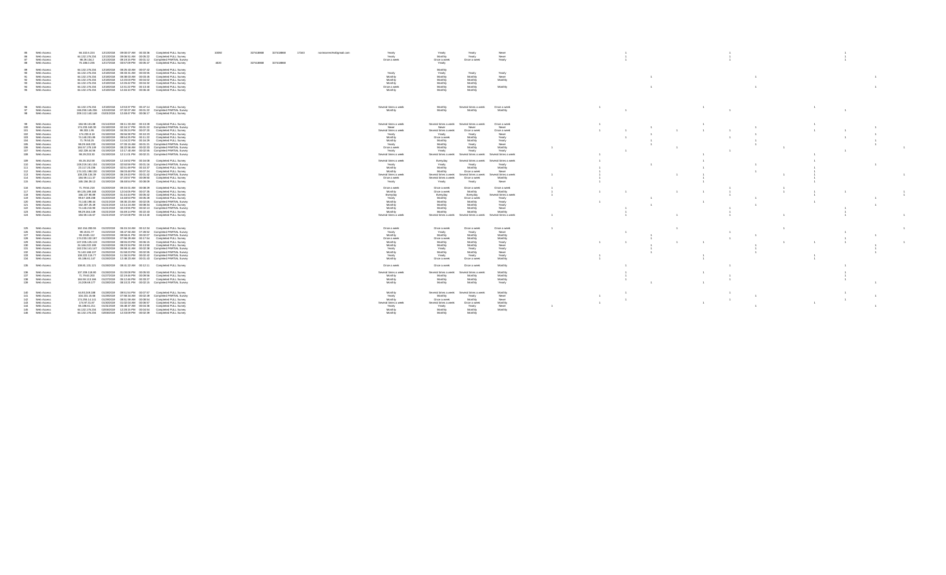| 85<br>Web Access<br>86<br>Web Access<br>87 Web Access<br>88 Web Access                                                                                                                                  | 66.102.6.224  12/13/2018  09:00:07 AM  00:33:36  Completed FULL Survey<br>64.132.176.234  12/13/2018  09:06:51 AM  00:05:22  Completed FULL Survey<br>98.29.134.2  12/13/2018  09:19:15 PM  00:01:12  Completed PARTIAL Survey<br>75.186.0.235 12/17/2018 03:57:09 PM 00:05:47 Completed FULL Survey                                                                                                                                                                                                                                                                                                                                                                                                                                                                                        | 327418868 327418868<br>17163<br>10092<br>norimarrero%40gmail.com<br>4020<br>327418868 327418868 | Yearly<br>Yearl<br>Yearly<br>Neve<br>Yearly<br>Yearly<br>Monthly<br>Never<br>Yearly<br>Once a week<br>Once a week<br>Once a week<br>Yearly                                                                                                                                                                                                                                                                                                                                                                                                                         |  |  |
|---------------------------------------------------------------------------------------------------------------------------------------------------------------------------------------------------------|---------------------------------------------------------------------------------------------------------------------------------------------------------------------------------------------------------------------------------------------------------------------------------------------------------------------------------------------------------------------------------------------------------------------------------------------------------------------------------------------------------------------------------------------------------------------------------------------------------------------------------------------------------------------------------------------------------------------------------------------------------------------------------------------|-------------------------------------------------------------------------------------------------|--------------------------------------------------------------------------------------------------------------------------------------------------------------------------------------------------------------------------------------------------------------------------------------------------------------------------------------------------------------------------------------------------------------------------------------------------------------------------------------------------------------------------------------------------------------------|--|--|
| 89 Web Access<br>90<br>Web Access<br>Web Access<br>91<br>Web Access<br>92<br>Web Access<br>93<br>94<br>Web Access<br>95 Web Access                                                                      | 64.132.176.234  12/18/2018  08:25:43 AM  00:07:42  Completed FULL Survey<br>64.132.176.234  12/18/2018  08:33:31 AM  00:03:55  Completed FULL Survey<br>64.132.176.234  12/18/2018  08:38:03 AM  00:03:45  Completed FULL Survey<br>64.132.176.234  12/18/2018  12:20:03 PM  00:04:02  Completed FULL Survey<br>64.132.176.234  12/18/2018  12:26:42 PM  00:04:32  Completed FULL Survey<br>64.132.176.234  12/18/2018  12:31:22 PM  00:13:40  Completed FULL Survey<br>64.132.176.234 12/18/2018 12:46:10 PM 00:06:40 Completed FULL Survey                                                                                                                                                                                                                                                |                                                                                                 | Monthly<br>Yearl<br>Yearly<br>Yearly<br>Yearly<br>Monthly<br>Monthly<br>Monthly<br>Never<br>Monthly<br>Monthly<br>Monthly<br>Monthly<br>Monthly<br>Monthly<br>Monthly<br>Monthly<br>Monthly<br>Once a week<br>Monthly<br>Monthly<br>Monthly<br>Monthly                                                                                                                                                                                                                                                                                                             |  |  |
| 96 Web Access<br>97 Web Access<br>98 Web Access                                                                                                                                                         | 64.132.176.234  12/18/2018  12:53:37 PM  00:47:14  Completed FULL Survey<br>166.250.145.236  12/24/2018  07:32:07 AM  00:01:22  Completed PARTIAL Survey<br>209.112.140.148  01/01/2019  12:48:47 PM  00:06:17  Completed FULL Survey                                                                                                                                                                                                                                                                                                                                                                                                                                                                                                                                                       |                                                                                                 | Several times a week<br>Monthly<br>Once a week<br>Several times a week<br>Monthly<br>Monthly<br>Monthly<br>Monthly                                                                                                                                                                                                                                                                                                                                                                                                                                                 |  |  |
| 99 Web Access<br>100<br>Web Access<br>101<br>Web Access<br>102<br>Web Access<br>103<br>Web Access<br>104<br>Web Access<br>105<br>Web Access<br>Web Access<br>106<br>107<br>Web Access<br>108 Web Access | 184.59.101.88  01/14/2019  08:11:33 AM  00:13:28  Completed FULL Survey<br>174.233.163.30  01/18/2019  02:16:17 PM  00:01:22  Completed PARTIAL Survey<br>99.203.1.95  01/18/2019  04:35:24 PM  00:07:20  Completed FULL Survey<br>174.233.8.18  01/18/2019  05:56:38 PM  00:10:23  Completed FULL Survey<br>74.140.201.85  01/18/2019  09:54:25 PM  00:11:22  Completed FULL Survey<br>71.79.50.25  01/18/2019  11:04:22 PM  00:16:29  Completed FULL Survey<br>98.29.160.233  01/19/2019  07:33:15 AM  00:01:21  Completed PARTIAL Survey<br>184.57.178.149  01/19/2019  08:22:56 AM  00:02:33  Completed PARTIAL Survey<br>162.228.44.56  01/19/2019  10:17:40 AM  00:02:55  Completed PARTIAL Survey<br>98.29.233.30  01/19/2019  12:11:01 PM  00:02:21  Completed PARTIAL Survey       |                                                                                                 | Several times a week<br>Several times a week Several times a week<br>Once a week<br>Never<br>Never<br>Never<br>Never<br>Several times a week<br>Several times a week<br>Once a week<br>Once a week<br>Yearly<br>Yearly<br>Yearly<br>Never<br>Monthly<br>Once a week<br>Monthh<br>Yearly<br>Monthly<br>Monthly<br>Monthly<br>Yearly<br>Yearly<br>Monthly<br>Yearly<br>Never<br>Monthly<br>Monthly<br>Once a week<br>Monthly<br>Yearly<br>Yearly<br>Yearly<br>Yearly<br>Several times a week<br>Several times a week<br>Several times a week<br>Several times a week |  |  |
| 109<br>Web Access<br>110 Web Access<br>111 Web Access<br>112 Web Access<br>113 Web Access<br>114 Web Access<br>115 Web Access                                                                           | 65.26.152.58  01/19/2019  12:16:52 PM  00:16:08  Completed FULL Survey<br>108.219.161.104  01/19/2019  02:50:59 PM  00:01:16  Completed PARTIAL Survey<br>23.117.20.236  01/19/2019  02:51:49 PM  00:10:37  Completed FULL Survey<br>174.101.198.130  01/19/2019  06:03:48 PM  00:07:24  Completed FULL Survey<br>108.235.134.39  01/19/2019  06:19:43 PM  00:01:42  Completed PARTIAL Survey<br>184.59.111.37  01/19/2019  07:20:57 PM  00:09:50  Completed FULL Survey<br>165.156.39.13  01/19/2019  08:48:54 PM  00:08:09  Completed FULL Survey                                                                                                                                                                                                                                         |                                                                                                 | Several times a week<br>Everyday<br>Several times a week<br>Several times a week<br>Yearly<br>Yearly<br>Yearly<br>Yearly<br>Monthly<br>Monthly<br>Monthly<br>Monthly<br>Monthly<br>Never<br>Monthly<br>Once a week<br>Several times a week<br>Several times a week<br>Several times a week<br>Several times a week<br>Several times a week<br>Once a week<br>Once a week<br>Monthly<br>Never<br>Yearly<br>Yearly<br>Yearly                                                                                                                                         |  |  |
| 116 Web Access<br>Web Access<br>117<br>118<br>Web Access<br>119<br>Web Access<br>120<br>Web Access<br>121<br>Web Access<br>122 Web Access<br>123 Web Access<br>124 Web Access                           | 71.79.54.218  01/20/2019  09:15:01 AM  00:08:29  Completed FULL Survey<br>69.135.189.168  01/20/2019  12:04:05 PM  00:07:35  Completed FULL Survey<br>166.137.90.89  01/20/2019  01:44:44 PM  00:05:42  Completed FULL Survey<br>99.67.189.238  01/20/2019  10:48:53 PM  00:05:28  Completed FULL Survey<br>74.140.198.44  01/21/2019  08:30:23 AM  00:02:05  Completed PARTIAL Survey<br>162.207.25.49  01/21/2019  10:14:24 AM  00:08:34  Completed FULL Survey<br>74.140.210.90  01/21/2019  02:23:55 PM  00:02:13  Completed PARTIAL Survey<br>98.29.164.149  01/21/2019  04:49:14 PM  00:22:43  Completed FULL Survey<br>184.59.116.67  01/21/2019  07:02:08 PM  00:13:40  Completed FULL Survey                                                                                       |                                                                                                 | Once a week<br>Once a week<br>Once a week<br>Once a week<br>Monthly<br>Once a week<br>Monthly<br>Monthly<br>Everyday<br>Everyday<br>Everyday<br>Several times a week<br>Yearly<br>Monthly<br>Once a week<br>Yearly<br>Monthly<br>Monthly<br>Monthly<br>Yearly<br>Monthly<br>Monthly<br>Yearly<br>Monthly<br>Monthly<br>Monthly<br>Never<br>Monthly<br>Monthly<br>Monthly<br>Monthly<br>Monthly<br>Several times a week<br>Several times a week<br>Several times a week<br>Several times a week                                                                     |  |  |
| 125 Web Access<br>126 Web Access<br>127 Web Access<br>128 Web Access<br>129 Web Access<br>130<br>Web Access<br>Web Access<br>131<br>132 Web Access<br>133 Web Access<br>134 Web Access                  | 162.154.200.55 01/22/2019 06:15:24 AM 00:12:34 Completed FULL Survey<br>99.19.81.77  01/22/2019  08:47:50 AM  07:28:52  Completed PARTIAL Survey<br>99.19.85.112  01/22/2019  09:58:41 PM  00:02:07  Completed PARTIAL Survey<br>174.233.132.197 01/23/2019 07:56:29 AM 00:17:54 Completed FULL Survey<br>107.205.125.119  01/23/2019  08:55:23 PM  00:06:15  Completed FULL Survey<br>24.166.222.199  01/24/2019  09:23:34 PM  00:13:50  Completed FULL Survey<br>162.234.141.147  01/25/2019  06:58:41 AM  00:02:38  Completed PARTIAL Survey<br>74.140.168.137  01/25/2019  01:58:23 PM  00:02:55  Completed PARTIAL Survey<br>108.222.115.77  01/25/2019  11:36:24 PM  00:02:42  Completed PARTIAL Survey<br>65.186.61.147  01/26/2019  12:48:23 AM  00:01:43  Completed PARTIAL Survey |                                                                                                 | Once a week<br>Once a week<br>Once a week<br>Once a week<br>Yearly<br>Yearly<br>Yearly<br>Never<br>Monthly<br>Monthly<br>Monthly<br>Monthly<br>Monthly<br>Monthly<br>Once a week<br>Once a week<br>Monthly<br>Monthly<br>Monthly<br>Yearly<br>Monthly<br>Monthly<br>Monthly<br>Never<br>Yearly<br>Yearly<br>Yearly<br>Yearly<br>Monthly<br>Monthly<br>Monthly<br>Never<br>Yearly<br>Yearly<br>Yearly<br>Yearly<br>Monthly<br>Once a week<br>Monthly<br>Once a week                                                                                                 |  |  |
| 135 Web Access<br>136 Web Access<br>137 Web Access<br>138 Web Access<br>139 Web Access                                                                                                                  | 108.81.131.121  01/26/2019  08:41:22 AM  00:12:11  Completed FULL Survey<br>107.209.118.80  01/26/2019  01:00:08 PM  00:05:53  Completed FULL Survey<br>71.79.63.200  01/27/2019  02:19:46 PM  00:09:56  Completed FULL Survey<br>184.59.113.166  01/27/2019  05:12:46 PM  00:33:27  Completed FULL Survey<br>24.209.69.177  01/28/2019  08:10:21 PM  00:02:15  Completed PARTIAL Survey                                                                                                                                                                                                                                                                                                                                                                                                    |                                                                                                 | Once a week<br>Once a week<br>Once a week<br>Monthly<br>Several times a week<br>Several times a week<br>Several times a weel<br>Monthly<br>Monthly<br>Monthly<br>Monthly<br>Monthly<br>Monthly<br>Monthly<br>Monthly<br>Monthly<br>Monthly<br>Monthly<br>Monthly<br>Yearly                                                                                                                                                                                                                                                                                         |  |  |
| 140 Web Access<br>Web Access<br>141<br>142<br>Web Access<br>143<br>Web Access<br>144 Web Access<br>145 Web Access<br>146 Web Access                                                                     | 64.93.249.188  01/28/2019  09:51:54 PM  00:07:57  Completed FULL Survey<br>104.231.15.66  01/29/2019  07:58:34 AM  00:02:49  Completed PARTIAL Survey<br>174.255.14.141  01/29/2019  08:51:59 AM  00:08:54  Completed FULL Survey<br>174.97.31.87  01/30/2019  01:02:04 AM  00:06:57<br>Completed FULL Survey<br>65.186.61.211  01/31/2019  06:48:37 AM  00:04:36  Completed FULL Survey<br>64.132.176.234 02/06/2019 12:28:15 PM 00:04:54 Completed FULL Survey<br>64.132.176.234 02/06/2019 12:33:09 PM 00:02:39 Completed FULL Survey                                                                                                                                                                                                                                                    |                                                                                                 | Several times a week Several times a week<br>Monthly<br>Monthly<br>Yearly<br>Monthly<br>Never<br>Yearly<br>Monthly<br>Once a week<br>Monthly<br>Never<br>Several times a week<br>Several times a week<br>Once a week<br>Monthly<br>Yearly<br>Never<br>Yearly<br>Yearly<br>Monthly<br>Monthly<br>Monthly<br>Monthly<br>Monthly<br>Monthly<br>Monthly                                                                                                                                                                                                                |  |  |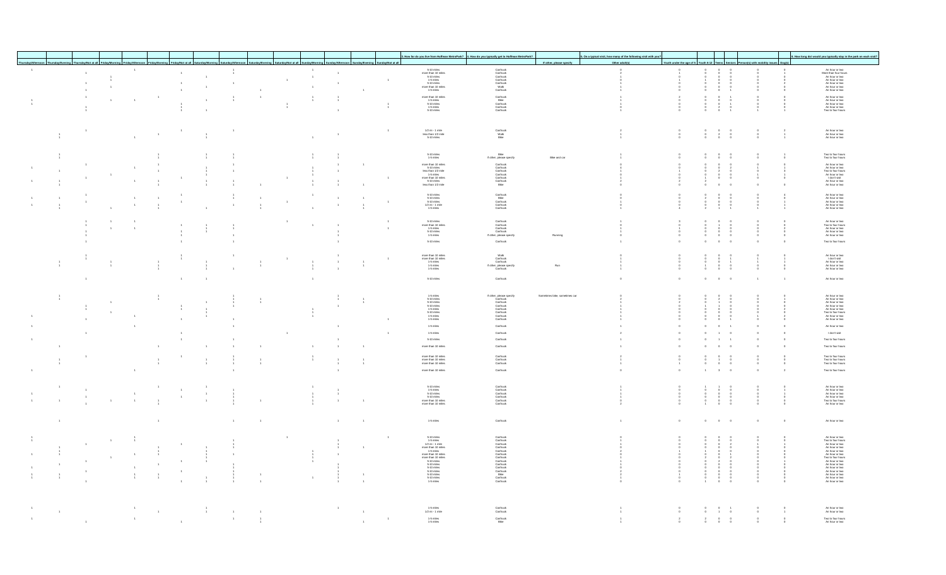|                |                |                                  |                |                |                |                                                                                                                                      |                                  |                                                   |      |                |                |                |                                   |                                                                                                                                                                                                                                                                    | How far do you live from Huffman MetroPark? 4. How do you typically get to Huffman MetroPark                                                |                        | 5. On a typical visit, how many of the following visit with you |                                          |                                               |                                                                                                                |                            |                                            | 6. How long do/ would you typically stay in the park on each vi                                                                                                                                                                                                       |
|----------------|----------------|----------------------------------|----------------|----------------|----------------|--------------------------------------------------------------------------------------------------------------------------------------|----------------------------------|---------------------------------------------------|------|----------------|----------------|----------------|-----------------------------------|--------------------------------------------------------------------------------------------------------------------------------------------------------------------------------------------------------------------------------------------------------------------|---------------------------------------------------------------------------------------------------------------------------------------------|------------------------|-----------------------------------------------------------------|------------------------------------------|-----------------------------------------------|----------------------------------------------------------------------------------------------------------------|----------------------------|--------------------------------------------|-----------------------------------------------------------------------------------------------------------------------------------------------------------------------------------------------------------------------------------------------------------------------|
|                |                |                                  |                |                |                | nursday/Evening Thursday/Not at all Friday/Morning Friday/Afternoon Friday/Evening Friday/Not at all Saturday/Morning Saturday/After |                                  | Saturday/Evening Saturday/Not at all Sunday/Morni |      |                |                |                | on Sunday/Evening Sunday/Not at a |                                                                                                                                                                                                                                                                    |                                                                                                                                             |                        | Other adult(s)                                                  | outh under the age of 5 Youth 6-12 Teens |                                               |                                                                                                                |                            |                                            |                                                                                                                                                                                                                                                                       |
|                |                |                                  | $-1$ .         |                |                |                                                                                                                                      | $\frac{1}{4}$                    |                                                   |      | $\sim$         |                |                |                                   | $\begin{array}{c} 6\text{-}10 \text{ miles} \\ \text{more than } 10 \text{ miles} \\ 5\text{-}10 \text{ miles} \\ 1\text{-}6 \text{ miles} \\ 5\text{-}10 \text{ miles} \\ \text{more than } 10 \text{ miles} \\ 1\text{-}6 \text{ miles} \end{array}$             | Carltruck<br>Carltruck<br>Carltruck<br>Carltruck<br>Walk<br>Carltruck                                                                       |                        |                                                                 |                                          |                                               |                                                                                                                |                            |                                            | An hour or two<br>More than four hours<br>An hour or two<br>An hour or two<br>An hour or two<br>An hour or two<br>An hour or two                                                                                                                                      |
|                |                | $\overline{1}$<br>$\overline{1}$ |                |                |                | $\mathbf{1}$                                                                                                                         |                                  |                                                   | $-1$ | $\sim$         |                |                | $-1$                              |                                                                                                                                                                                                                                                                    |                                                                                                                                             |                        |                                                                 |                                          |                                               | $\circ$                                                                                                        |                            |                                            |                                                                                                                                                                                                                                                                       |
|                | $\overline{1}$ | $\overline{1}$                   |                |                | $\overline{1}$ | $\overline{1}$                                                                                                                       | $\overline{1}$                   |                                                   |      | $\overline{1}$ | $\overline{1}$ |                |                                   |                                                                                                                                                                                                                                                                    |                                                                                                                                             |                        |                                                                 |                                          |                                               |                                                                                                                |                            |                                            |                                                                                                                                                                                                                                                                       |
|                | $\overline{1}$ |                                  |                |                | $\overline{1}$ |                                                                                                                                      |                                  | 1                                                 |      |                |                | 1              |                                   |                                                                                                                                                                                                                                                                    |                                                                                                                                             |                        |                                                                 |                                          |                                               |                                                                                                                |                            |                                            |                                                                                                                                                                                                                                                                       |
|                | $\overline{1}$ | $\overline{1}$                   | $-1$           |                |                | $\overline{1}$                                                                                                                       | $\frac{1}{1}$                    | $\overline{1}$                                    |      | $\frac{1}{1}$  |                |                |                                   | more than 10 miles<br>1-5 miles<br>5-10 miles<br>1-5 miles<br>5-10 miles                                                                                                                                                                                           | Car/truck<br>Bike<br>Car/truck<br>Car/truck<br>Car/truck                                                                                    |                        |                                                                 |                                          |                                               |                                                                                                                |                            |                                            | An hour or two<br>An hour or two<br>An hour or two<br>An hour or two<br>Two to four hours                                                                                                                                                                             |
|                |                |                                  |                |                |                |                                                                                                                                      |                                  |                                                   |      |                |                |                | $\frac{1}{4}$                     |                                                                                                                                                                                                                                                                    |                                                                                                                                             |                        |                                                                 |                                          |                                               | $\overline{2}$                                                                                                 |                            |                                            |                                                                                                                                                                                                                                                                       |
|                |                |                                  |                |                |                |                                                                                                                                      |                                  |                                                   |      |                |                |                |                                   |                                                                                                                                                                                                                                                                    |                                                                                                                                             |                        |                                                                 |                                          |                                               |                                                                                                                |                            |                                            |                                                                                                                                                                                                                                                                       |
|                |                |                                  |                |                |                |                                                                                                                                      |                                  |                                                   |      |                |                |                |                                   |                                                                                                                                                                                                                                                                    |                                                                                                                                             |                        |                                                                 |                                          |                                               |                                                                                                                |                            |                                            |                                                                                                                                                                                                                                                                       |
|                |                |                                  |                |                |                |                                                                                                                                      | $\ddot{\phantom{1}}$             |                                                   |      |                |                |                | $\overline{1}$                    | $1/2$ mi - 1 mile                                                                                                                                                                                                                                                  |                                                                                                                                             |                        | $\overline{2}$                                                  |                                          |                                               | $^{\circ}$                                                                                                     |                            |                                            |                                                                                                                                                                                                                                                                       |
|                |                |                                  | $\sim$         |                |                |                                                                                                                                      |                                  |                                                   |      |                |                |                |                                   | $\frac{0.2 \text{ m} + 1 \text{ m/s}}{5 \cdot 10 \text{ miles}}$                                                                                                                                                                                                   | Car/truck<br>Walk<br>Bike                                                                                                                   |                        |                                                                 |                                          |                                               | $\frac{2}{0}$                                                                                                  |                            | $\begin{array}{c} 2 \\ 1 \\ 1 \end{array}$ | An hour or two<br>An hour or two<br>An hour or two                                                                                                                                                                                                                    |
|                |                |                                  |                |                |                |                                                                                                                                      |                                  |                                                   |      |                |                |                |                                   |                                                                                                                                                                                                                                                                    |                                                                                                                                             |                        |                                                                 |                                          |                                               |                                                                                                                |                            |                                            |                                                                                                                                                                                                                                                                       |
|                |                |                                  |                |                |                |                                                                                                                                      |                                  |                                                   |      |                |                |                |                                   |                                                                                                                                                                                                                                                                    |                                                                                                                                             |                        |                                                                 |                                          |                                               | $\circ$                                                                                                        | $\circ$                    | $\overline{1}$                             |                                                                                                                                                                                                                                                                       |
|                |                |                                  |                |                |                |                                                                                                                                      |                                  |                                                   |      |                |                |                |                                   | $5-10$ miles<br>1-5 miles                                                                                                                                                                                                                                          | Bike<br>If other, please specify                                                                                                            | Bike and car           |                                                                 |                                          |                                               | $\circ$                                                                                                        |                            | $^{\circ}$                                 | Two to four hours<br>Two to four hours                                                                                                                                                                                                                                |
|                |                |                                  |                |                |                |                                                                                                                                      | $\overline{1}$                   |                                                   |      |                |                | $\overline{1}$ |                                   | more than 10 miles<br>$6-10$ miles<br>less than 1/2 mile<br>$1-5$ miles<br>more than 10 miles<br>$6-10$ miles<br>less than $1/2$ mile                                                                                                                              | Carltruck<br>Carltruck<br>Carltruck<br>Carltruck<br>Carltruck<br>Bike                                                                       |                        |                                                                 |                                          |                                               |                                                                                                                |                            |                                            | An hour or two<br>An hour or two<br>Two to four hours<br>An hour or two<br>I don't visit<br>An hour or two<br>An hour or two                                                                                                                                          |
|                |                |                                  |                |                |                |                                                                                                                                      | $\overline{1}$                   |                                                   |      |                |                |                |                                   |                                                                                                                                                                                                                                                                    |                                                                                                                                             |                        |                                                                 |                                          |                                               | $_{\rm 0}^{\rm 0}$                                                                                             |                            |                                            |                                                                                                                                                                                                                                                                       |
| $\overline{1}$ |                |                                  | $\overline{1}$ |                |                | $\overline{1}$                                                                                                                       |                                  | $\overline{1}$                                    |      |                |                | $\overline{1}$ | $\overline{1}$                    |                                                                                                                                                                                                                                                                    |                                                                                                                                             |                        |                                                                 |                                          |                                               | $^{\circ}$                                                                                                     |                            | $\circ$                                    |                                                                                                                                                                                                                                                                       |
|                |                |                                  |                |                |                |                                                                                                                                      |                                  |                                                   |      |                |                |                |                                   |                                                                                                                                                                                                                                                                    |                                                                                                                                             |                        |                                                                 |                                          |                                               |                                                                                                                | $\overline{0}$             |                                            |                                                                                                                                                                                                                                                                       |
| $\overline{1}$ |                |                                  | $\overline{1}$ |                |                |                                                                                                                                      | $\frac{1}{1}$                    | $\overline{1}$                                    |      |                |                | $\overline{1}$ |                                   | $\begin{array}{c} 5\text{-}10 \text{ miles} \\ 5\text{-}10 \text{ miles} \\ 5\text{-}10 \text{ miles} \\ 1/2 \text{ mi} \text{-}1 \text{ mile} \\ 1\text{-}5 \text{ miles} \end{array}$                                                                            | Car/truck<br>Bike<br>Car/truck<br>Car/truck<br>Car/truck                                                                                    |                        |                                                                 |                                          |                                               |                                                                                                                |                            |                                            | An hour or two<br>An hour or two<br>An hour or two<br>An hour or two<br>An hour or two                                                                                                                                                                                |
|                |                |                                  | $\overline{1}$ | $\overline{1}$ | $\overline{1}$ |                                                                                                                                      | $\overline{1}$                   | $\frac{1}{4}$                                     |      |                | $\rightarrow$  | $\frac{1}{4}$  | $\overline{1}$                    |                                                                                                                                                                                                                                                                    |                                                                                                                                             |                        |                                                                 |                                          |                                               |                                                                                                                |                            |                                            |                                                                                                                                                                                                                                                                       |
|                |                | $\overline{1}$                   |                |                |                |                                                                                                                                      |                                  |                                                   |      |                |                |                |                                   |                                                                                                                                                                                                                                                                    |                                                                                                                                             |                        |                                                                 |                                          |                                               |                                                                                                                |                            |                                            |                                                                                                                                                                                                                                                                       |
|                |                |                                  |                |                |                |                                                                                                                                      |                                  |                                                   |      |                |                |                |                                   |                                                                                                                                                                                                                                                                    |                                                                                                                                             |                        |                                                                 |                                          |                                               |                                                                                                                |                            |                                            |                                                                                                                                                                                                                                                                       |
|                |                |                                  |                |                |                |                                                                                                                                      |                                  |                                                   |      |                |                |                | $\overline{1}$                    | $\begin{array}{c} 6\text{-}10 \text{ miles} \\ \text{more than } 10 \text{ miles} \\ 1\text{-}5 \text{ miles} \\ 6\text{-}10 \text{ miles} \\ 1\text{-}5 \text{ miles} \end{array}$                                                                                | Carltruck<br>Carltruck<br>Carltruck<br>If other, please specify                                                                             |                        |                                                                 |                                          |                                               |                                                                                                                |                            |                                            | An hour or two<br>Two to four hours<br>An hour or two<br>An hour or two<br>An hour or two                                                                                                                                                                             |
|                |                |                                  |                |                |                |                                                                                                                                      | $\overline{1}$<br>$\overline{1}$ |                                                   |      |                |                |                |                                   |                                                                                                                                                                                                                                                                    |                                                                                                                                             | Running                |                                                                 |                                          |                                               | $\frac{0}{0}$                                                                                                  |                            | $\overline{0}$                             |                                                                                                                                                                                                                                                                       |
|                |                |                                  |                |                | $\overline{1}$ |                                                                                                                                      |                                  |                                                   |      |                |                |                |                                   | 5-10 miles                                                                                                                                                                                                                                                         | Car/truck                                                                                                                                   |                        |                                                                 | $\theta$                                 | $\Omega$                                      | $^{\circ}$                                                                                                     | $\overline{0}$<br>$\Omega$ | $^{\circ}$                                 | Two to four hours                                                                                                                                                                                                                                                     |
|                |                |                                  |                |                |                |                                                                                                                                      |                                  |                                                   |      |                |                |                |                                   |                                                                                                                                                                                                                                                                    |                                                                                                                                             |                        |                                                                 |                                          |                                               |                                                                                                                |                            |                                            |                                                                                                                                                                                                                                                                       |
|                |                |                                  |                |                |                |                                                                                                                                      | $\sim$                           |                                                   |      |                |                |                |                                   |                                                                                                                                                                                                                                                                    | Visik<br>Carltruck<br>Carltruck<br>If other . blease specify<br>Carltruck<br>Carltruck                                                      |                        |                                                                 |                                          |                                               |                                                                                                                |                            |                                            |                                                                                                                                                                                                                                                                       |
| $\,$ 1 $\,$    |                |                                  |                |                |                |                                                                                                                                      |                                  | $\overline{1}$                                    |      |                | $\rightarrow$  | $-1$           | $\overline{1}$                    |                                                                                                                                                                                                                                                                    |                                                                                                                                             |                        |                                                                 |                                          |                                               |                                                                                                                |                            |                                            |                                                                                                                                                                                                                                                                       |
|                |                |                                  |                |                |                |                                                                                                                                      |                                  |                                                   |      |                | $\rightarrow$  | $\overline{1}$ |                                   | more than 10 miles<br>more than 10 miles<br>1-5 miles<br>1-5 miles<br>1-5 miles                                                                                                                                                                                    |                                                                                                                                             | Run                    |                                                                 |                                          |                                               | $\int_{0}^{0}$                                                                                                 |                            |                                            | An hour or two<br>I don't visit<br>An hour or two<br>An hour or two<br>An hour or two                                                                                                                                                                                 |
|                |                |                                  |                |                |                |                                                                                                                                      |                                  |                                                   |      |                |                |                |                                   | 5-10 miles                                                                                                                                                                                                                                                         | Car/truck                                                                                                                                   |                        |                                                                 |                                          |                                               | $\circ$                                                                                                        |                            |                                            | An hour or two                                                                                                                                                                                                                                                        |
|                |                |                                  |                |                |                |                                                                                                                                      |                                  |                                                   |      |                |                |                |                                   |                                                                                                                                                                                                                                                                    |                                                                                                                                             |                        |                                                                 |                                          |                                               |                                                                                                                |                            |                                            |                                                                                                                                                                                                                                                                       |
|                |                |                                  |                |                |                |                                                                                                                                      |                                  |                                                   |      |                |                |                |                                   |                                                                                                                                                                                                                                                                    |                                                                                                                                             |                        |                                                                 |                                          |                                               |                                                                                                                |                            |                                            |                                                                                                                                                                                                                                                                       |
|                |                |                                  |                |                |                |                                                                                                                                      |                                  |                                                   |      |                |                |                |                                   | $\begin{array}{c} 1\text{-}6 \text{ miles} \\ 5\text{-}10 \text{ miles} \\ 5\text{-}10 \text{ miles} \\ 5\text{-}10 \text{ miles} \\ 1\text{-}5 \text{ miles} \\ 5\text{-}10 \text{ miles} \\ 1\text{-}5 \text{ miles} \\ 1\text{-}5 \text{ miles} \\ \end{array}$ | If other, please specify<br>Car/truck<br>Car/truck<br>Car/truck<br>Car/truck<br>Car/truck<br>Car/truck<br>Car/truck<br>Car/truck            | mes bike, sometimes ca |                                                                 |                                          |                                               |                                                                                                                |                            |                                            | An hour or two<br>An hour or two<br>An hour or two<br>An hour or two<br>An hour or two<br>Two to four hours<br>An hour or two<br>An hour or two                                                                                                                       |
|                |                |                                  |                |                |                |                                                                                                                                      |                                  |                                                   |      |                |                |                |                                   |                                                                                                                                                                                                                                                                    |                                                                                                                                             |                        |                                                                 |                                          |                                               |                                                                                                                |                            |                                            |                                                                                                                                                                                                                                                                       |
|                |                |                                  |                |                |                |                                                                                                                                      |                                  |                                                   |      |                |                |                |                                   |                                                                                                                                                                                                                                                                    |                                                                                                                                             |                        |                                                                 |                                          |                                               |                                                                                                                |                            |                                            |                                                                                                                                                                                                                                                                       |
|                |                |                                  |                |                |                |                                                                                                                                      |                                  |                                                   |      |                |                |                |                                   |                                                                                                                                                                                                                                                                    |                                                                                                                                             |                        |                                                                 |                                          |                                               |                                                                                                                |                            |                                            |                                                                                                                                                                                                                                                                       |
|                |                |                                  |                |                |                |                                                                                                                                      |                                  |                                                   |      |                |                |                |                                   | $1-5$ miles                                                                                                                                                                                                                                                        | Car/truck                                                                                                                                   |                        |                                                                 |                                          |                                               | $\circ$                                                                                                        |                            | $\circ$                                    | An hour or two                                                                                                                                                                                                                                                        |
|                |                |                                  |                |                |                |                                                                                                                                      |                                  |                                                   |      |                |                |                |                                   | $1-5$ miles                                                                                                                                                                                                                                                        | Car/truck                                                                                                                                   |                        |                                                                 |                                          |                                               | $\overline{1}$                                                                                                 | $\overline{0}$             | $\circ$                                    | I don't visit                                                                                                                                                                                                                                                         |
|                |                |                                  |                |                |                |                                                                                                                                      |                                  |                                                   |      |                |                |                |                                   | 5-10 miles                                                                                                                                                                                                                                                         | Car/truck                                                                                                                                   |                        |                                                                 |                                          |                                               | $\overline{1}$                                                                                                 | $\overline{1}$<br>$\Omega$ | $\circ$                                    | Two to four hours                                                                                                                                                                                                                                                     |
| $\overline{1}$ |                |                                  |                |                |                |                                                                                                                                      |                                  |                                                   |      |                |                | $\overline{1}$ |                                   | more than 10 miles                                                                                                                                                                                                                                                 | Car/truck                                                                                                                                   |                        |                                                                 |                                          |                                               | $\circ$                                                                                                        | $\circ$<br>$\Omega$        | $\circ$                                    | Two to four hours                                                                                                                                                                                                                                                     |
|                |                |                                  |                |                |                |                                                                                                                                      |                                  |                                                   |      |                |                |                |                                   | more than 10 miles                                                                                                                                                                                                                                                 | Carltruck<br>Carltruck<br>Carltruck                                                                                                         |                        |                                                                 |                                          |                                               | $\circ$                                                                                                        |                            |                                            | Two to four hours<br>Two to four hours<br>Two to four hours                                                                                                                                                                                                           |
| $\frac{1}{1}$  |                |                                  |                |                |                | $\frac{1}{4}$                                                                                                                        |                                  |                                                   |      |                | $\frac{1}{4}$  | $\frac{1}{1}$  |                                   | more than 10 miles<br>more than 10 miles                                                                                                                                                                                                                           |                                                                                                                                             |                        |                                                                 |                                          |                                               | $\begin{smallmatrix}1\\0\end{smallmatrix}$                                                                     | $\int_{0}^{0}$             | $\int_{0}^{0}$                             |                                                                                                                                                                                                                                                                       |
|                |                |                                  | $\sim$         |                |                |                                                                                                                                      |                                  |                                                   |      |                | $\rightarrow$  |                |                                   | more than 10 miles                                                                                                                                                                                                                                                 | Car/truck                                                                                                                                   |                        | $\theta$                                                        | $\theta$                                 |                                               | 3                                                                                                              | $\overline{0}$<br>$\theta$ | $\overline{2}$                             | Two to four hours                                                                                                                                                                                                                                                     |
|                |                |                                  |                |                |                |                                                                                                                                      |                                  |                                                   |      |                |                |                |                                   |                                                                                                                                                                                                                                                                    |                                                                                                                                             |                        |                                                                 |                                          |                                               |                                                                                                                |                            |                                            |                                                                                                                                                                                                                                                                       |
|                |                |                                  |                |                | $\overline{1}$ | $\overline{1}$                                                                                                                       |                                  |                                                   |      |                |                |                |                                   |                                                                                                                                                                                                                                                                    |                                                                                                                                             |                        |                                                                 |                                          |                                               |                                                                                                                |                            |                                            |                                                                                                                                                                                                                                                                       |
|                |                |                                  | $\overline{1}$ |                | $\overline{1}$ | $\overline{1}$                                                                                                                       |                                  |                                                   |      |                |                |                |                                   | $5-10 \text{ miles}$<br>$5-10 \text{ miles}$<br>$5-10 \text{ miles}$<br>$5-10 \text{ miles}$<br>$more than 10 \text{ miles}$                                                                                                                                       | Carltruck<br>Carltruck<br>Carltruck<br>Carltruck<br>Carltruck<br>Carltruck                                                                  |                        |                                                                 |                                          |                                               |                                                                                                                |                            |                                            | An hour or two<br>An hour or two<br>An hour or two<br>An hour or two<br>Two to four hours<br>An hour or two                                                                                                                                                           |
|                |                |                                  |                |                |                |                                                                                                                                      |                                  |                                                   |      |                |                |                |                                   |                                                                                                                                                                                                                                                                    |                                                                                                                                             |                        |                                                                 |                                          |                                               |                                                                                                                |                            |                                            |                                                                                                                                                                                                                                                                       |
|                |                |                                  |                |                |                |                                                                                                                                      |                                  |                                                   |      |                |                |                |                                   |                                                                                                                                                                                                                                                                    |                                                                                                                                             |                        |                                                                 |                                          |                                               |                                                                                                                |                            |                                            |                                                                                                                                                                                                                                                                       |
|                |                |                                  |                |                |                |                                                                                                                                      |                                  |                                                   |      |                |                |                |                                   |                                                                                                                                                                                                                                                                    |                                                                                                                                             |                        |                                                                 |                                          |                                               |                                                                                                                |                            |                                            |                                                                                                                                                                                                                                                                       |
| $\overline{1}$ |                |                                  |                |                |                |                                                                                                                                      |                                  |                                                   |      |                |                | $\overline{1}$ |                                   | 1-5 miles                                                                                                                                                                                                                                                          | Car/truck                                                                                                                                   |                        |                                                                 |                                          | $\circ$                                       | $\mathbf 0$                                                                                                    | $\circ$                    | $\,$ 0                                     | An hour or two                                                                                                                                                                                                                                                        |
|                |                |                                  |                |                |                |                                                                                                                                      |                                  |                                                   |      |                |                |                |                                   |                                                                                                                                                                                                                                                                    |                                                                                                                                             |                        |                                                                 |                                          |                                               |                                                                                                                |                            |                                            |                                                                                                                                                                                                                                                                       |
|                |                |                                  |                |                |                |                                                                                                                                      |                                  |                                                   |      |                |                |                |                                   |                                                                                                                                                                                                                                                                    |                                                                                                                                             |                        |                                                                 |                                          |                                               |                                                                                                                |                            |                                            |                                                                                                                                                                                                                                                                       |
|                |                |                                  |                |                |                |                                                                                                                                      |                                  |                                                   |      |                |                | $\overline{1}$ |                                   |                                                                                                                                                                                                                                                                    |                                                                                                                                             |                        |                                                                 |                                          |                                               |                                                                                                                |                            |                                            |                                                                                                                                                                                                                                                                       |
|                |                |                                  |                |                |                |                                                                                                                                      |                                  |                                                   |      |                |                |                |                                   |                                                                                                                                                                                                                                                                    |                                                                                                                                             |                        |                                                                 |                                          |                                               |                                                                                                                |                            |                                            |                                                                                                                                                                                                                                                                       |
| $\overline{1}$ | $\overline{1}$ |                                  |                |                |                |                                                                                                                                      |                                  |                                                   |      |                |                |                |                                   |                                                                                                                                                                                                                                                                    |                                                                                                                                             |                        |                                                                 |                                          |                                               |                                                                                                                |                            |                                            |                                                                                                                                                                                                                                                                       |
|                |                |                                  | $\overline{1}$ |                |                |                                                                                                                                      |                                  |                                                   |      |                |                |                |                                   |                                                                                                                                                                                                                                                                    |                                                                                                                                             |                        |                                                                 |                                          |                                               |                                                                                                                |                            |                                            |                                                                                                                                                                                                                                                                       |
|                |                |                                  | $\frac{1}{4}$  |                |                |                                                                                                                                      |                                  |                                                   |      |                |                | $\overline{1}$ |                                   | 5-10 miles<br>$1/2$ miles<br>$1/2$ mile film<br>$1/2$ miles<br>$1$ miles<br>$1$ miles<br>more than 10 miles<br>more than 10 miles<br>$5-10$ miles<br>$5-10$ miles<br>$5-10$ miles<br>$5-10$ miles<br>$5-10$ miles<br>$1-5$ miles<br>$1-5$ miles                    | Carltruck<br>Carltruck<br>Carltruck<br>Carltruck<br>Carltruck<br>Carltruck<br>Carltruck<br>Carltruck<br>Carltruck<br>Carltruck<br>Carltruck |                        |                                                                 |                                          |                                               |                                                                                                                |                            |                                            | An hour or two<br>Two to four hours or two<br>An hour or two<br>An hour or two<br>An hour or two<br>Two to four hours or two<br>An hour or two<br>An hour or two<br>An hour or two<br>An hour or two<br>An hour or two<br>An hour or two<br>An hour or two<br>An hour |
|                |                |                                  |                |                |                |                                                                                                                                      |                                  |                                                   |      |                |                | $\pm$          |                                   |                                                                                                                                                                                                                                                                    |                                                                                                                                             |                        |                                                                 |                                          |                                               |                                                                                                                |                            |                                            |                                                                                                                                                                                                                                                                       |
|                |                |                                  |                |                |                |                                                                                                                                      |                                  |                                                   |      |                |                |                |                                   |                                                                                                                                                                                                                                                                    |                                                                                                                                             |                        |                                                                 |                                          |                                               |                                                                                                                |                            |                                            |                                                                                                                                                                                                                                                                       |
|                |                |                                  |                |                |                |                                                                                                                                      |                                  |                                                   |      |                |                |                |                                   |                                                                                                                                                                                                                                                                    |                                                                                                                                             |                        |                                                                 |                                          |                                               |                                                                                                                |                            |                                            |                                                                                                                                                                                                                                                                       |
|                |                |                                  | $\sim$         |                |                |                                                                                                                                      |                                  |                                                   |      |                |                |                |                                   | $1-5 \text{ miles} \atop 1/2 \text{ mi} \cdot 1 \text{ mile}$                                                                                                                                                                                                      | Car/truck<br>Car/truck                                                                                                                      |                        | $\ddot{\phantom{1}}$                                            |                                          |                                               | $\begin{array}{ccccccccc} & & & & & 0 & & & & 1\\ & & & & & & 1 & & & 0\\ & & & & 1 & & & & 0 & & \end{array}$ | $\circ$                    | $\begin{smallmatrix}0\\1\end{smallmatrix}$ | An hour or two<br>An hour or two                                                                                                                                                                                                                                      |
|                |                |                                  |                | $\overline{1}$ |                | $\frac{1}{4}$                                                                                                                        | $-1$                             | $-1$                                              |      |                |                | $\overline{1}$ |                                   |                                                                                                                                                                                                                                                                    |                                                                                                                                             |                        |                                                                 | $\int_{0}^{0}$                           | $\begin{smallmatrix}0\\0\\0\end{smallmatrix}$ |                                                                                                                |                            |                                            |                                                                                                                                                                                                                                                                       |
|                |                |                                  | $\overline{1}$ |                |                |                                                                                                                                      | $\pm$                            | $\frac{1}{4}$                                     |      |                |                |                | $-1$                              | 1-5 miles<br>1-5 miles                                                                                                                                                                                                                                             | Car/truck<br>Bike                                                                                                                           |                        |                                                                 |                                          | $\frac{2}{6}$                                 | $_{\rm 0}^{\rm 0}$                                                                                             | $_{\rm 0}^{\rm 0}$         |                                            | Two to four hours<br>An hour or two                                                                                                                                                                                                                                   |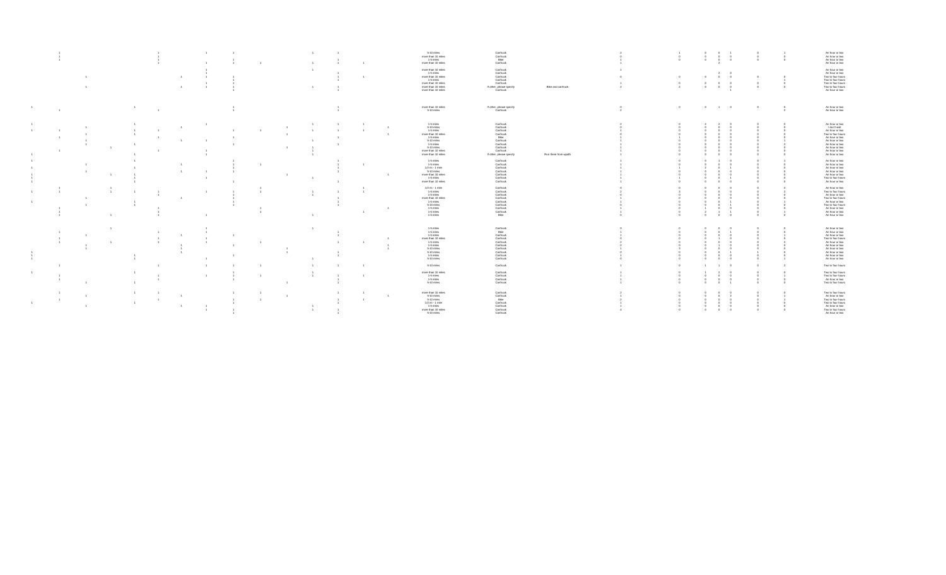|  |  |                        |                |                                  |                |  |                |                |                | 5-10 miles<br>more than 10 miles<br>1-5 miles<br>more than 10 miles                                                                                            | Car/truck<br>Car/truck<br>Bike<br>Car/truck                                                                                              |                      |                              | $\Omega$ | $\circ$<br>$\circ$ | $\sim$<br>$\sim$<br>$\sim$<br>$\sim$ 0 | $\Omega$   | $\Omega$ | An hour or two<br>An hour or two<br>An hour or two<br>An hour or two                                                                                                               |
|--|--|------------------------|----------------|----------------------------------|----------------|--|----------------|----------------|----------------|----------------------------------------------------------------------------------------------------------------------------------------------------------------|------------------------------------------------------------------------------------------------------------------------------------------|----------------------|------------------------------|----------|--------------------|----------------------------------------|------------|----------|------------------------------------------------------------------------------------------------------------------------------------------------------------------------------------|
|  |  |                        |                | $\overline{1}$<br>$\overline{1}$ |                |  | $\overline{1}$ |                |                | more than 10 miles<br>1-5 miles<br>more than 10 miles<br>1-5 miles<br>more than 10 miles<br>more than 10 miles<br>more than 10 miles                           | Car/truck<br>Car/truck<br>Car/truck<br>Car/truck<br>Car/truck<br>If other, please specify<br>Car/truck                                   | Bike and car/truck   |                              |          | $^{\circ}$         | $^{\circ}$                             |            |          | An hour or two<br>An hour or two<br>Two to four hours<br>Two to four hours<br>Two to four hours<br>An hour or two                                                                  |
|  |  |                        |                |                                  |                |  |                |                |                | more than 10 miles<br>5-10 miles                                                                                                                               | If other, please specify<br>Car/truck                                                                                                    |                      | $^{\circ}$<br>$\overline{2}$ | $\circ$  | $\circ$            | $1 \t 0$                               | $^{\circ}$ |          | An hour or two<br>An hour or two                                                                                                                                                   |
|  |  |                        | $\overline{1}$ |                                  |                |  |                |                |                | 1-5 miles<br>5-10 miles<br>$1-5$ miles<br>more than 10 miles<br>1-5 miles<br>5-10 miles<br>1-5 miles<br>5-10 miles<br>more than 10 miles<br>more than 10 miles | Car/truck<br>Car/truck<br>Car/truck<br>Car/truck<br>Bike<br>Car/truck<br>Car/truck<br>Car/truck<br>Car/truck<br>If other, please specify | Run there from woafb |                              |          |                    |                                        |            |          | An hour or two<br>I don't visit<br>An hour or two<br>Two to four hours<br>An hour or two<br>An hour or two<br>An hour or two<br>An hour or two<br>An hour or two<br>An hour or two |
|  |  |                        |                | $\overline{1}$                   |                |  |                |                | $\mathbf{1}$   | 1-5 miles<br>1-5 miles<br>$1/2$ mi - 1 mile<br>5-10 miles<br>more than 10 miles<br>1-5 miles<br>more than 10 miles                                             | Carltruck<br>Carltruck<br>Carltruck<br>Carltruck<br>Carltruck<br>Carltruck<br>Car/truck                                                  |                      |                              |          |                    |                                        |            |          | An hour or two<br>An hour or two<br>An hour or two<br>An hour or two<br>An hour or two<br>Two to four hours<br>An hour or two                                                      |
|  |  |                        |                |                                  |                |  | $-1$           |                | $\overline{1}$ | $1/2$ mi - 1 mile<br>1-5 miles<br>$1-5$ miles<br>more than 10 miles<br>1-5 miles<br>5-10 miles<br>1-5 miles<br>1-5 miles<br>1-5 miles                          | Car/truck<br>Car/truck<br>Car/truck<br>Car/truck<br>Car/truck<br>Car/truck<br>Car/truck<br>Car/truck<br>Bike                             |                      |                              |          |                    |                                        |            |          | An hour or two<br>Two to four hours<br>An hour or two<br>Two to four hours<br>An hour or two<br>Two to four hours<br>An hour or two<br>An hour or two                              |
|  |  |                        |                | $\overline{1}$                   | $\overline{1}$ |  |                |                | $\sim$         | 1-5 miles<br>1-5 miles<br>1-5 miles<br>more than 10 miles<br>1-5 miles<br>1-5 miles<br>5-10 miles<br>5-10 miles<br>1-5 miles<br>5-10 miles                     | Car/truck<br>Bike<br>Car/truck<br>Car/truck<br>Car/truck<br>Car/truck<br>Car/truck<br>Car/truck<br>Car/truck<br>Car/truck                |                      |                              |          |                    |                                        |            |          | An hour or two<br>An hour or two<br>An hour or two<br>Two to four hours<br>An hour or two<br>An hour or two<br>An hour or two<br>An hour or two<br>An hour or two                  |
|  |  |                        |                |                                  |                |  |                |                |                | 5-10 miles<br>more than 10 miles                                                                                                                               | Car/truck                                                                                                                                |                      |                              |          |                    | $\overline{1}$                         |            |          | Two to four hours                                                                                                                                                                  |
|  |  |                        |                |                                  |                |  |                |                |                | 1-5 miles<br>1-5 miles<br>5-10 miles                                                                                                                           | Car/truck<br>Car/truck<br>Car/truck<br>Car/truck                                                                                         |                      |                              |          |                    |                                        |            |          | Two to four hours<br>Two to four hours<br>An hour or two<br>Two to four hours                                                                                                      |
|  |  | $\overline{1}$<br>$-1$ | 1              | $\overline{1}$                   |                |  |                | $\overline{1}$ | $\overline{1}$ | more than 10 miles<br>5-10 miles<br>5-10 miles<br>$1/2$ mi - 1 mile<br>1-5 miles<br>more than 10 miles<br>5-10 miles                                           | Car/truck<br>Car/truck<br>Bike<br>Car/truck<br>Car/truck<br>Car/truck<br>Car/truck                                                       |                      |                              |          |                    | $\Omega$<br>$^{\circ}$                 |            |          | Two to four hours<br>An hour or two<br>Two to four hours<br>Two to four hours<br>An hour or two<br>Two to four hours<br>An hour or two                                             |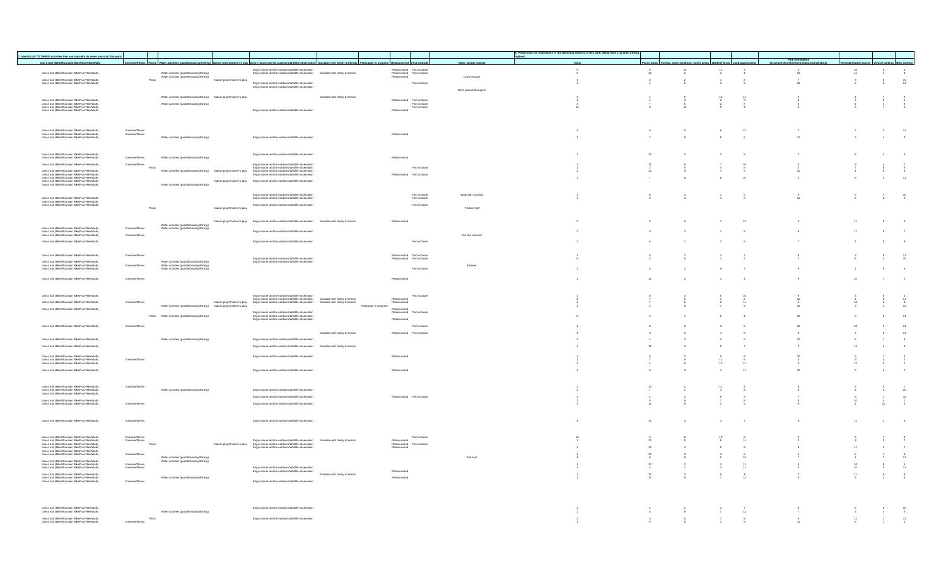|                                                                                                                                                                                                                                            |                                      |                                                                                        |                             |                                                                                                                                                                        |                                                                                                                                                                                                           |                                                                          |                                |                         |          | 8. Please rank the importance of the following features at this park: (Rank from 1-12 with 1 being |    |                                                                                       |                         |                |                  |                 |                                             |                          |
|--------------------------------------------------------------------------------------------------------------------------------------------------------------------------------------------------------------------------------------------|--------------------------------------|----------------------------------------------------------------------------------------|-----------------------------|------------------------------------------------------------------------------------------------------------------------------------------------------------------------|-----------------------------------------------------------------------------------------------------------------------------------------------------------------------------------------------------------|--------------------------------------------------------------------------|--------------------------------|-------------------------|----------|----------------------------------------------------------------------------------------------------|----|---------------------------------------------------------------------------------------|-------------------------|----------------|------------------|-----------------|---------------------------------------------|--------------------------|
| 7. Identify UP TO THREE activities that you typically do when you visit this park:                                                                                                                                                         |                                      |                                                                                        |                             |                                                                                                                                                                        |                                                                                                                                                                                                           |                                                                          |                                |                         | highest) |                                                                                                    |    |                                                                                       |                         |                | Park information |                 |                                             |                          |
| Use a trail (Bike/Mountain Bike/Run/Hike/Walk)                                                                                                                                                                                             |                                      |                                                                                        |                             |                                                                                                                                                                        | Exercise/fitness Picnic Water activities (paddle/boating/fishing) Nature play/Children's play Enjoy nature and be outdoors/Wildlife observation Socialize with family & friends Participate in program Re | unwind Find so                                                           |                                | Other, please specify   |          | Trails                                                                                             |    | Picnic areas   Forests, open meadows, native areas   Wildlife/ birds   Landscaped are |                         |                |                  |                 | a/water access Vehicle parking Bike parking |                          |
| Use a trail (Bike/Mountain Bike/Run/Hike/Walk)                                                                                                                                                                                             |                                      | Water activities (paddle/boating/fishing)                                              |                             | Eniov nature and be outdoors/Wildlife observation<br>Enjoy nature and be outdoors/Wildlife observation Socialize with family & friends                                 |                                                                                                                                                                                                           | Relax/unwind Find solitude<br>Relax/unwind Find solitude<br>Relax/unwind |                                |                         |          | $\frac{9}{6}$                                                                                      |    | $\frac{12}{2}$                                                                        | $\frac{11}{3}$          | $\frac{3}{4}$  | $\frac{2}{12}$   | $\frac{10}{11}$ | $\frac{8}{4}$                               | $\frac{4}{9}$            |
|                                                                                                                                                                                                                                            |                                      | Water activities (paddle/boating/fishing)<br>Picnic                                    | Nature plaw/Children's play |                                                                                                                                                                        |                                                                                                                                                                                                           |                                                                          |                                | Drive through           |          |                                                                                                    |    | $\overline{2}$                                                                        |                         | $^{\rm 8}$     |                  |                 |                                             |                          |
| Use a trail (Bike/Mountain Bike/Run/Hike/Walk)<br>Use a trail (Bike/Mountain Bike/Run/Hike/Walk)                                                                                                                                           |                                      |                                                                                        |                             | Enjoy nature and be outdoors/Wildlife observation<br>Enjoy nature and be outdoors/Wildlife observation                                                                 |                                                                                                                                                                                                           |                                                                          | Find solitude                  |                         |          | $\frac{1}{4}$                                                                                      |    |                                                                                       |                         |                |                  | $\frac{9}{6}$   | $\frac{6}{8}$                               | $10$<br>11               |
|                                                                                                                                                                                                                                            |                                      |                                                                                        |                             |                                                                                                                                                                        |                                                                                                                                                                                                           |                                                                          |                                | Drive around through it |          |                                                                                                    |    |                                                                                       |                         |                |                  |                 |                                             |                          |
|                                                                                                                                                                                                                                            |                                      | Water activities (paddle/boating/fishing) Nature plaw/Children's play                  |                             |                                                                                                                                                                        | Socialize with family & friends                                                                                                                                                                           |                                                                          |                                |                         |          |                                                                                                    |    |                                                                                       |                         |                |                  |                 |                                             |                          |
| Use a trail (Bike/Mountain Bike/Run/Hike/Walk)<br>Use a trail (Bike/Mountain Bike/Run/Hike/Walk)<br>Use a trail (Bike/Mountain Bike/Run/Hike/Walk)<br>Use a trail (Bike/Mountain Bike/Run/Hike/Walk)                                       |                                      | Water activities (paddle/boating/fishing)                                              |                             |                                                                                                                                                                        |                                                                                                                                                                                                           | Relaxiunwind Find solitude<br>Find solitude<br>Find solitude             |                                |                         |          |                                                                                                    |    |                                                                                       |                         |                |                  |                 |                                             |                          |
|                                                                                                                                                                                                                                            |                                      |                                                                                        |                             | Eniov nature and be outdoors/Wildlife observation                                                                                                                      |                                                                                                                                                                                                           | Relax/unwind                                                             |                                |                         |          |                                                                                                    |    |                                                                                       |                         |                |                  |                 |                                             |                          |
|                                                                                                                                                                                                                                            |                                      |                                                                                        |                             |                                                                                                                                                                        |                                                                                                                                                                                                           |                                                                          |                                |                         |          |                                                                                                    |    |                                                                                       |                         |                |                  |                 |                                             |                          |
|                                                                                                                                                                                                                                            |                                      |                                                                                        |                             |                                                                                                                                                                        |                                                                                                                                                                                                           |                                                                          |                                |                         |          |                                                                                                    |    |                                                                                       |                         |                |                  |                 |                                             |                          |
|                                                                                                                                                                                                                                            |                                      |                                                                                        |                             |                                                                                                                                                                        |                                                                                                                                                                                                           |                                                                          |                                |                         |          |                                                                                                    | 9  | $\sim$                                                                                | 6                       | 12             |                  | $\overline{2}$  | 3                                           | $-11$                    |
| Use a trail (Bike/Mountain Bike/Run/Hike/Walk)<br>Use a trail (Bike/Mountain Bike/Run/Hike/Walk)<br>Use a trail (Bike/Mountain Bike/Run/Hike/Walk)                                                                                         | Exercise/fitness<br>Exercise/fitness |                                                                                        |                             |                                                                                                                                                                        |                                                                                                                                                                                                           | Relax/unwind                                                             |                                |                         |          | $\overline{1}$                                                                                     |    | $\overline{\phantom{a}}$                                                              | 9                       |                | 11               |                 | $\overline{4}$                              |                          |
|                                                                                                                                                                                                                                            |                                      | Water activities (paddle/boating/fishing)                                              |                             | Enjoy nature and be outdoors/Wildlife observation                                                                                                                      |                                                                                                                                                                                                           |                                                                          |                                |                         |          |                                                                                                    |    |                                                                                       |                         | 6              |                  | $\overline{2}$  |                                             | $\overline{\phantom{a}}$ |
|                                                                                                                                                                                                                                            |                                      |                                                                                        |                             |                                                                                                                                                                        |                                                                                                                                                                                                           |                                                                          |                                |                         |          |                                                                                                    |    |                                                                                       |                         |                |                  |                 |                                             |                          |
| Use a trail (Bike/Mountain Bike/Run/Hike/Walk)<br>Use a trail (Bike/Mountain Bike/Run/Hike/Walk)                                                                                                                                           |                                      |                                                                                        |                             | Enjoy nature and be outdoors/Wildlife observation                                                                                                                      |                                                                                                                                                                                                           |                                                                          |                                |                         |          |                                                                                                    |    |                                                                                       |                         |                |                  |                 |                                             | $-5$                     |
|                                                                                                                                                                                                                                            | Exercise/fitness                     | Water activities (paddle/boating/fishing)                                              |                             |                                                                                                                                                                        |                                                                                                                                                                                                           | Relax/unwind                                                             |                                |                         |          |                                                                                                    |    |                                                                                       |                         |                |                  |                 |                                             |                          |
| Use a trail (Bike/Mountain Bike/Run/Hike/Walk)                                                                                                                                                                                             | Exercise/fitness                     | Picnic                                                                                 |                             | Enjoy nature and be outdoors/Wildlife observation<br>Eniov nature and be outdoors/Wildlife observation                                                                 |                                                                                                                                                                                                           |                                                                          | Find solitude                  |                         |          |                                                                                                    |    |                                                                                       |                         |                |                  |                 |                                             |                          |
| Use a trail (Bike/Mountain Bike/Run/Hike/Walk)                                                                                                                                                                                             |                                      | Water activities (paddle/boating/fishing) Nature play/Children's play                  |                             | Enjoy nature and be outdoors/Wildlife observation<br>Eniov nature and be outdoors/Wildlife observation                                                                 |                                                                                                                                                                                                           | Relax/unwind Find solitude                                               |                                |                         |          |                                                                                                    |    |                                                                                       |                         |                |                  |                 |                                             | $\frac{9}{3}$            |
|                                                                                                                                                                                                                                            |                                      |                                                                                        |                             |                                                                                                                                                                        |                                                                                                                                                                                                           |                                                                          |                                |                         |          |                                                                                                    |    |                                                                                       |                         | $10^{-1}$      |                  | $_{\rm B}$      | $\mathbf{3}$                                | $-11$                    |
| Use a trail (Bike/Mountain Bike/Run/Hike/Walk)<br>Use a trail (Bike/Mountain Bike/Run/Hike/Walk)<br>Use a trail (Bike/Mountain Bike/Run/Hike/Walk)<br>Use a trail (Bike/Mountain Bike/Run/Hike/Walk)<br>Use a trail (Bike/Mountain Bike/Ru |                                      | Water activities (paddle/boating/fishing)                                              | Nature play/Children's play | Enjoy nature and be outdoors/Wildlife observation                                                                                                                      |                                                                                                                                                                                                           |                                                                          |                                |                         |          |                                                                                                    |    |                                                                                       |                         |                |                  |                 |                                             |                          |
|                                                                                                                                                                                                                                            |                                      |                                                                                        |                             |                                                                                                                                                                        |                                                                                                                                                                                                           |                                                                          |                                |                         |          |                                                                                                    |    |                                                                                       |                         |                |                  |                 |                                             |                          |
| Use a trail (Bike/Mountain Bike/Run/Hike/Walk)                                                                                                                                                                                             |                                      |                                                                                        |                             | Enjoy nature and be outdoors/Wildlife observation<br>Enjoy nature and be outdoors/Wildlife observation                                                                 |                                                                                                                                                                                                           |                                                                          | Find solitude<br>Find solitude | Walk with my pack       |          | $\mathbf{3}$                                                                                       |    | $\overline{2}$                                                                        |                         | 6              | 9                |                 | $\overline{7}$                              | $\frac{10}{9}$           |
| Use a trail (Bike/Mountain Bike/Nutri-tike/Walk<br>Use a trail (Bike/Mountain Bike/Run/Hike/Walk<br>Use a trail (Bike/Mountain Bike/Run/Hike/Walk                                                                                          |                                      |                                                                                        |                             | Enjoy nature and be outdoors/Wildlife observation                                                                                                                      |                                                                                                                                                                                                           |                                                                          | Find solitude                  |                         |          |                                                                                                    |    |                                                                                       |                         |                |                  |                 |                                             |                          |
|                                                                                                                                                                                                                                            |                                      | Picnic                                                                                 | Nature olav/Children's play |                                                                                                                                                                        |                                                                                                                                                                                                           |                                                                          |                                | Frisbee Golf            |          |                                                                                                    |    |                                                                                       |                         |                |                  |                 |                                             |                          |
|                                                                                                                                                                                                                                            |                                      |                                                                                        |                             |                                                                                                                                                                        |                                                                                                                                                                                                           |                                                                          |                                |                         |          |                                                                                                    |    |                                                                                       |                         |                |                  |                 |                                             |                          |
|                                                                                                                                                                                                                                            |                                      |                                                                                        |                             | Nature play/Children's play Eniov nature and be outdoors/Wildlife observation Socialize with family & friends                                                          |                                                                                                                                                                                                           | Relax/unwind                                                             |                                |                         |          |                                                                                                    |    |                                                                                       |                         | 12             |                  | 11              | 8                                           | $^{9}$                   |
| Use a trail (Bike/Mountain Bike/Run/Hike/Walk)                                                                                                                                                                                             | Exercise/fitness                     | Water activities (paddle/boating/fishing)<br>Water activities (paddle/boating/fishing  |                             |                                                                                                                                                                        |                                                                                                                                                                                                           |                                                                          |                                |                         |          |                                                                                                    |    |                                                                                       |                         |                |                  |                 |                                             |                          |
| Use a trail (Bike/Mountain Bike/Nutri-rike/Walk<br>Use a trail (Bike/Mountain Bike/Run/Hike/Walk<br>Use a trail (Bike/Mountain Bike/Run/Hike/Walk                                                                                          | Exercise/fitnes                      |                                                                                        |                             | Eniov nature and be outdoors/Wildlife observatio                                                                                                                       |                                                                                                                                                                                                           |                                                                          |                                | Use the restroom        |          |                                                                                                    |    |                                                                                       |                         |                |                  | 11              | $\mathbf{s}$                                | $\overline{7}$           |
| Use a trail (Bike/Mountain Bike/Run/Hike/Walk)                                                                                                                                                                                             |                                      |                                                                                        |                             | Enjoy nature and be outdoors/Wildlife observation                                                                                                                      |                                                                                                                                                                                                           |                                                                          | Find solitude                  |                         |          |                                                                                                    |    |                                                                                       |                         |                |                  | $\overline{4}$  | $\mathbf{s}$                                | $\overline{9}$           |
|                                                                                                                                                                                                                                            |                                      |                                                                                        |                             |                                                                                                                                                                        |                                                                                                                                                                                                           |                                                                          |                                |                         |          |                                                                                                    |    |                                                                                       |                         |                |                  |                 |                                             |                          |
| Use a trail (Bike/Mountain Bike/Run/Hike/Walk)                                                                                                                                                                                             | Exercise/fitness                     |                                                                                        |                             |                                                                                                                                                                        |                                                                                                                                                                                                           | Relax/unwind Find solitude                                               |                                |                         |          |                                                                                                    |    |                                                                                       |                         |                |                  |                 |                                             |                          |
| Use a trail (Bike/Mountain Bike/Run/Hike/Walk)                                                                                                                                                                                             |                                      |                                                                                        |                             | Eniov nature and be outdoors/Wildlife observation<br>Enjoy nature and be outdoors/Wildlife observation                                                                 |                                                                                                                                                                                                           | Relax/unwind Find solitude                                               |                                |                         |          |                                                                                                    |    |                                                                                       |                         |                |                  |                 |                                             | $\frac{11}{10}$          |
| Use a trail (Bike/Mountain Bike/Run/Hike/Walk)<br>Use a trail (Bike/Mountain Bike/Run/Hike/Walk)<br>Use a trail (Bike/Mountain Bike/Run/Hike/Walk)                                                                                         |                                      | Water activities (paddle/boating/fishing)<br>Water activities (paddle/boating/fishing) |                             |                                                                                                                                                                        |                                                                                                                                                                                                           |                                                                          |                                | Frisbee                 |          |                                                                                                    |    |                                                                                       |                         |                |                  |                 |                                             |                          |
|                                                                                                                                                                                                                                            |                                      | Water activities (paddle/boating/fishing)                                              |                             |                                                                                                                                                                        |                                                                                                                                                                                                           |                                                                          | Find solitude                  |                         |          |                                                                                                    |    | $\overline{2}$                                                                        |                         | $\overline{7}$ | 9                |                 | 6                                           | $-4$                     |
| Use a trail (Bike/Mountain Bike/Run/Hike/Walk)                                                                                                                                                                                             | Exercise/fitness                     |                                                                                        |                             |                                                                                                                                                                        |                                                                                                                                                                                                           | Relax/unwind                                                             |                                |                         |          |                                                                                                    |    | $\overline{2}$                                                                        | $\mathbf{a}$            | $\overline{4}$ |                  | 10              | $\overline{7}$                              | $-6$                     |
|                                                                                                                                                                                                                                            |                                      |                                                                                        |                             |                                                                                                                                                                        |                                                                                                                                                                                                           |                                                                          |                                |                         |          |                                                                                                    |    |                                                                                       |                         |                |                  |                 |                                             |                          |
|                                                                                                                                                                                                                                            |                                      |                                                                                        |                             |                                                                                                                                                                        |                                                                                                                                                                                                           |                                                                          |                                |                         |          |                                                                                                    |    |                                                                                       |                         |                |                  |                 |                                             |                          |
| Use a trail (Bike/Mountain Bike/Run/Hike/Walk)                                                                                                                                                                                             |                                      |                                                                                        |                             | Enjoy nature and be outdoors/Wildlife observation                                                                                                                      |                                                                                                                                                                                                           |                                                                          | Find solitude                  |                         |          |                                                                                                    |    |                                                                                       |                         |                |                  |                 |                                             |                          |
| Use a trail (Bike/Mountain Bike/Run/Hike/Walk)                                                                                                                                                                                             | Exercise/fitness                     | Water activities (paddle/boating/fishing) Nature plaw/Children's play                  | Nature play/Children's play | Eniov nature and be outdoors/Wildlife observation Socialize with family & friends<br>Enjoy nature and be outdoors/Wildlife observation Socialize with family & friends | Participate in program                                                                                                                                                                                    | Relax/unwind<br>Relax/unwind                                             |                                |                         |          |                                                                                                    |    |                                                                                       |                         |                |                  |                 |                                             | $\frac{11}{8}$           |
| Use a trail (Bike/Mountain Bike/Run/Hike/Walk)                                                                                                                                                                                             |                                      |                                                                                        |                             |                                                                                                                                                                        |                                                                                                                                                                                                           | Relax/unwind                                                             |                                |                         |          |                                                                                                    |    |                                                                                       |                         |                |                  |                 |                                             |                          |
|                                                                                                                                                                                                                                            |                                      | Picnic Water activities (paddle/boating/fishing)                                       |                             | Enjoy nature and be outdoors/Wildlife observation<br>Enjoy nature and be outdoors/Wildlife observation<br>Enjoy nature and be outdoors/Wildlife observation            |                                                                                                                                                                                                           | Relax/unwind Find solitude                                               |                                |                         |          |                                                                                                    |    |                                                                                       |                         |                |                  |                 |                                             | 11                       |
|                                                                                                                                                                                                                                            |                                      |                                                                                        |                             |                                                                                                                                                                        |                                                                                                                                                                                                           | Relax/unwind                                                             |                                |                         |          |                                                                                                    |    |                                                                                       |                         |                |                  |                 |                                             |                          |
| Use a trail (Bike/Mountain Bike/Run/Hike/Walk)                                                                                                                                                                                             | Exercise/fitness                     |                                                                                        |                             |                                                                                                                                                                        |                                                                                                                                                                                                           |                                                                          | Find solitude                  |                         |          |                                                                                                    |    |                                                                                       |                         | $\kappa$       | 12               |                 |                                             | 11                       |
|                                                                                                                                                                                                                                            |                                      |                                                                                        |                             |                                                                                                                                                                        | Socialize with family & friends                                                                                                                                                                           | Relax/unwind Find solitude                                               |                                |                         |          |                                                                                                    |    | $\mathbf{a}$                                                                          |                         | $_{8}$         |                  |                 | 6                                           | $-11$                    |
| Use a trail (Bike/Mountain Bike/Run/Hike/Walk)                                                                                                                                                                                             |                                      | Water activities (paddle/boating/fishing)                                              |                             | Eniov nature and be outdoors/Wildlife observation                                                                                                                      |                                                                                                                                                                                                           |                                                                          |                                |                         |          |                                                                                                    |    |                                                                                       |                         |                |                  |                 | $\mathcal{T}$                               | $\overline{\phantom{a}}$ |
| Use a trail (Bike/Mountain Bike/Run/Hike/Walk)                                                                                                                                                                                             |                                      |                                                                                        |                             | Enjoy nature and be outdoors/Wildlife observation Socialize with family & friends                                                                                      |                                                                                                                                                                                                           |                                                                          |                                |                         |          |                                                                                                    |    | $\,$ 2                                                                                |                         |                |                  |                 | $\epsilon$                                  | 9                        |
| Use a trail (Bike/Mountain Bike/Run/Hike/Walk)                                                                                                                                                                                             |                                      |                                                                                        |                             | Enjoy nature and be outdoors/Wildlife observation                                                                                                                      |                                                                                                                                                                                                           | Relax/unwind                                                             |                                |                         |          |                                                                                                    |    |                                                                                       |                         |                |                  |                 |                                             |                          |
| Use a trail (Bike/Mountain Bike/Run/Hike/Walk)<br>Use a trail (Bike/Mountain Bike/Run/Hike/Walk)                                                                                                                                           | Exercise/fitnes                      |                                                                                        |                             |                                                                                                                                                                        |                                                                                                                                                                                                           |                                                                          |                                |                         |          |                                                                                                    |    |                                                                                       |                         |                |                  |                 |                                             |                          |
|                                                                                                                                                                                                                                            |                                      |                                                                                        |                             |                                                                                                                                                                        |                                                                                                                                                                                                           |                                                                          |                                |                         |          |                                                                                                    |    |                                                                                       |                         |                |                  |                 |                                             |                          |
| Use a trail (Bike/Mountain Bike/Run/Hike/Walk)                                                                                                                                                                                             |                                      |                                                                                        |                             | Enjoy nature and be outdoors/Wildlife observation                                                                                                                      |                                                                                                                                                                                                           | Relax/unwing                                                             |                                |                         |          |                                                                                                    |    |                                                                                       |                         | $-44$          |                  |                 | $\epsilon$                                  | $\mathbf{7}$             |
|                                                                                                                                                                                                                                            |                                      |                                                                                        |                             |                                                                                                                                                                        |                                                                                                                                                                                                           |                                                                          |                                |                         |          |                                                                                                    |    |                                                                                       |                         |                |                  |                 |                                             |                          |
| Lise a trail (Rike/Mountain Rike/Run/Hike/Walk)                                                                                                                                                                                            | Exercise/fitness                     |                                                                                        |                             |                                                                                                                                                                        |                                                                                                                                                                                                           |                                                                          |                                |                         |          |                                                                                                    |    |                                                                                       |                         |                |                  |                 |                                             |                          |
| Use a trail (Bike/Mountain Bike/Run/Hike/Wall-<br>Use a trail (Bike/Mountain Bike/Run/Hike/Wall-<br>Use a trail (Bike/Mountain Bike/Run/Hike/Wall-                                                                                         |                                      | Water activities (paddle/boating/fishing)                                              |                             | Eniov nature and be outdoors/Wildlife observation                                                                                                                      |                                                                                                                                                                                                           |                                                                          |                                |                         |          |                                                                                                    |    |                                                                                       |                         |                |                  |                 |                                             | $\frac{7}{10}$           |
|                                                                                                                                                                                                                                            |                                      |                                                                                        |                             | Eniov nature and be outdoors/Wildlife observation                                                                                                                      |                                                                                                                                                                                                           | Relax/unwind Find solitude                                               |                                |                         |          |                                                                                                    |    |                                                                                       |                         |                |                  |                 |                                             | $\frac{10}{2}$           |
| .<br>Use a trail (Bike/Mountain Bike/Run/Hike/Walk)<br>Use a trail (Bike/Mountain Bike/Run/Hike/Walk)                                                                                                                                      | Exercise/fitness                     |                                                                                        |                             | Enjoy nature and be outdoors/Wildlife observation                                                                                                                      |                                                                                                                                                                                                           |                                                                          |                                |                         |          |                                                                                                    |    |                                                                                       |                         |                |                  |                 |                                             |                          |
|                                                                                                                                                                                                                                            |                                      |                                                                                        |                             |                                                                                                                                                                        |                                                                                                                                                                                                           |                                                                          |                                |                         |          |                                                                                                    |    |                                                                                       |                         |                |                  |                 |                                             |                          |
|                                                                                                                                                                                                                                            |                                      |                                                                                        |                             |                                                                                                                                                                        |                                                                                                                                                                                                           |                                                                          |                                |                         |          |                                                                                                    |    |                                                                                       |                         |                |                  |                 |                                             |                          |
| Use a trail (Bike/Mountain Bike/Run/Hike/Walk)                                                                                                                                                                                             | Exercise/fitnes                      |                                                                                        |                             | Eniov nature and be outdoors/Wildlife observation                                                                                                                      |                                                                                                                                                                                                           |                                                                          |                                |                         |          |                                                                                                    | 10 | $\sim$                                                                                | $\overline{\mathbf{3}}$ | $\overline{7}$ | 6                | 11              | $\,2\,$                                     | 9                        |
|                                                                                                                                                                                                                                            |                                      |                                                                                        |                             |                                                                                                                                                                        |                                                                                                                                                                                                           |                                                                          |                                |                         |          |                                                                                                    |    |                                                                                       |                         |                |                  |                 |                                             |                          |
|                                                                                                                                                                                                                                            |                                      |                                                                                        |                             |                                                                                                                                                                        |                                                                                                                                                                                                           |                                                                          | Find solitude                  |                         |          |                                                                                                    |    |                                                                                       |                         |                |                  |                 |                                             |                          |
| Use a trail (Bike/Mountain Bike/Run/Hike/Walk)<br>Use a trail (Bike/Mountain Bike/Run/Hike/Walk)                                                                                                                                           | Exercise/fitness                     | Picnic                                                                                 |                             | Enjoy nature and be outdoors/Wildlife observation Socialize with family & friends                                                                                      |                                                                                                                                                                                                           | Relax/unwind                                                             |                                |                         |          |                                                                                                    |    |                                                                                       |                         |                |                  |                 |                                             | $\frac{2}{7}$            |
| Use a ual (Bike/Mountain Bike/Run/Hike/Walk)<br>Use a trail (Bike/Mountain Bike/Run/Hike/Walk)<br>Use a trail (Bike/Mountain Bike/Run/Hike/Walk)<br>Use a trail (Bike/Mountain Bike/Run/Hike/Walk)                                         |                                      |                                                                                        | Nature plaw/Children's plaw | Enjoy nature and be outdoors/whilme coservator<br>Enjoy nature and be outdoors/Wildlife observation<br>Enjoy nature and be outdoors/Wildlife observation               |                                                                                                                                                                                                           | Relax/unwind Find solitude                                               |                                |                         |          |                                                                                                    |    |                                                                                       |                         | $\overline{9}$ | $\mathbf{a}$     |                 | $\mathbf{3}$                                | $\overline{7}$           |
| Use a trail (Bike/Mountain Bike/Run/Hike/Walk)                                                                                                                                                                                             | Exercise/fitness                     |                                                                                        |                             |                                                                                                                                                                        |                                                                                                                                                                                                           |                                                                          |                                |                         |          |                                                                                                    |    |                                                                                       |                         |                |                  |                 |                                             | $\frac{8}{11}$           |
| Use a trail (Bike/Mountain Bike/Run/Hike/Walk)                                                                                                                                                                                             |                                      | Water activities (paddle/boating/fishing)<br>Water activities (paddle/boating/fishing  |                             |                                                                                                                                                                        |                                                                                                                                                                                                           |                                                                          |                                | Sail boat               |          |                                                                                                    |    |                                                                                       |                         |                |                  |                 |                                             |                          |
| Use a trail (Bike/Mountain Bike/Run/Hike/Walk)<br>Use a trail (Bike/Mountain Bike/Run/Hike/Walk                                                                                                                                            | Exercise/fitness<br>Exercise/fitness |                                                                                        |                             | Enjoy nature and be outdoors/Wildlife observation                                                                                                                      |                                                                                                                                                                                                           |                                                                          |                                |                         |          |                                                                                                    | 12 | $\overline{2}$                                                                        | $\overline{\mathbf{3}}$ | 11             |                  | 10              | 5                                           | $\frac{6}{12}$           |
|                                                                                                                                                                                                                                            |                                      |                                                                                        |                             | Enjoy nature and be outdoors/Wildlife observation                                                                                                                      | Socialize with family & friends                                                                                                                                                                           | Relax/unwind                                                             |                                |                         |          |                                                                                                    |    |                                                                                       |                         | $\cdot$ 4      |                  | 11              |                                             |                          |
| Use a trail (Bike/Mountain Bike/Run/Hike/Walk)<br>Use a trail (Bike/Mountain Bike/Run/Hike/Walk)<br>Use a trail (Bike/Mountain Bike/Run/Hike/Walk)                                                                                         | Exercise/fitness                     | Water activities (paddle/boating/fishing)                                              |                             | Enjoy nature and be outdoors/Wildlife observation                                                                                                                      |                                                                                                                                                                                                           | Relax/unwind                                                             |                                |                         |          |                                                                                                    |    |                                                                                       |                         |                |                  |                 |                                             |                          |
|                                                                                                                                                                                                                                            |                                      |                                                                                        |                             |                                                                                                                                                                        |                                                                                                                                                                                                           |                                                                          |                                |                         |          |                                                                                                    |    |                                                                                       |                         |                |                  |                 |                                             |                          |
|                                                                                                                                                                                                                                            |                                      |                                                                                        |                             |                                                                                                                                                                        |                                                                                                                                                                                                           |                                                                          |                                |                         |          |                                                                                                    |    |                                                                                       |                         |                |                  |                 |                                             |                          |
|                                                                                                                                                                                                                                            |                                      |                                                                                        |                             |                                                                                                                                                                        |                                                                                                                                                                                                           |                                                                          |                                |                         |          |                                                                                                    |    |                                                                                       |                         |                |                  |                 |                                             |                          |
| Use a trail (Bike/Mountain Bike/Run/Hike/Walk                                                                                                                                                                                              |                                      |                                                                                        |                             | Eniov nature and be outdoors/Wildlife observation                                                                                                                      |                                                                                                                                                                                                           |                                                                          |                                |                         |          |                                                                                                    |    |                                                                                       |                         |                |                  |                 |                                             |                          |
| Use a trail (Bike/Mountain Bike/Run/Hike/Walk)                                                                                                                                                                                             |                                      | Water activities (paddle/boating/fishing)                                              |                             |                                                                                                                                                                        |                                                                                                                                                                                                           |                                                                          |                                |                         |          |                                                                                                    |    |                                                                                       |                         |                | 8                |                 |                                             | $\frac{10}{5}$           |
| Use a trail (Bike/Mountain Bike/Run/Hike/Walk)<br>Use a trail (Rike/Mountain Rike/Run/Hike/Walk)                                                                                                                                           |                                      | Picnic                                                                                 |                             | Enjoy nature and be outdoors/Wildlife observation                                                                                                                      |                                                                                                                                                                                                           |                                                                          |                                |                         |          |                                                                                                    |    |                                                                                       |                         |                |                  |                 |                                             | 11                       |
|                                                                                                                                                                                                                                            | Exercise/fitness                     |                                                                                        |                             |                                                                                                                                                                        |                                                                                                                                                                                                           |                                                                          |                                |                         |          |                                                                                                    |    |                                                                                       |                         |                |                  |                 |                                             |                          |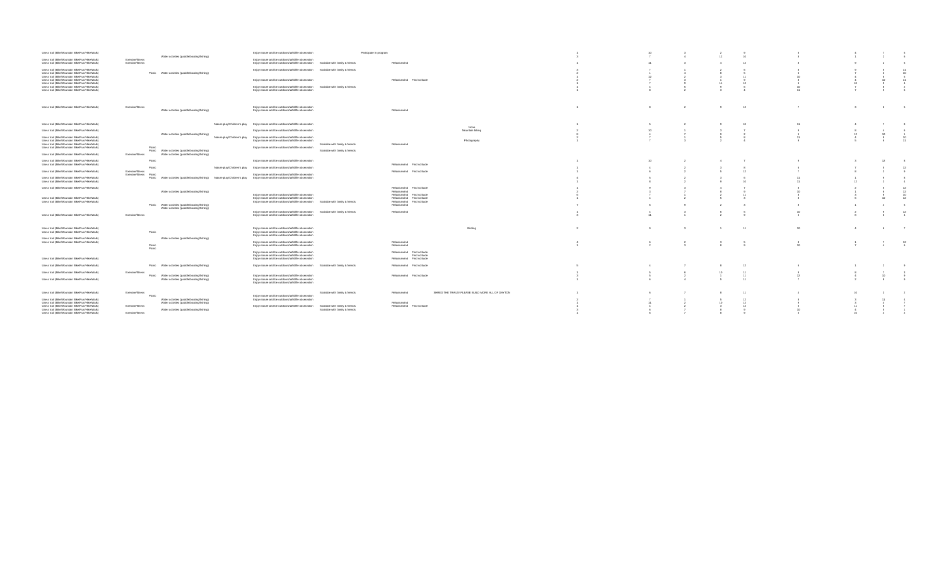| Use a trail (Bike/Mountain Bike/Run/Hike/Walk)                                                   |                                                                                                                                                           | Eniov nature and be outdoors/Wildlife observation<br>Participate in program                                                                                 |                                                                   |  |  |    |   |                |
|--------------------------------------------------------------------------------------------------|-----------------------------------------------------------------------------------------------------------------------------------------------------------|-------------------------------------------------------------------------------------------------------------------------------------------------------------|-------------------------------------------------------------------|--|--|----|---|----------------|
| Use a trail (Bike/Mountain Bike/Run/Hike/Walk)<br>Use a trail (Bike/Mountain Bike/Run/Hike/Walk) | Water activities (paddle/boating/fishing)<br>Exercise/fitness<br>Exercise/fitness                                                                         | Eniov nature and be outdoors/Wildlife observation<br>Enjoy nature and be outdoors/Wildlife observation Socialize with family & friends                      | Relax/unwind                                                      |  |  |    |   |                |
| Use a trail (Bike/Mountain Bike/Run/Hike/Walk)                                                   |                                                                                                                                                           | Enjoy nature and be outdoors/Wildlife observation Socialize with family & friends                                                                           |                                                                   |  |  |    |   |                |
| Use a trail (Bike/Mountain Bike/Run/Hike/Walk)<br>Use a trail (Bike/Mountain Bike/Run/Hike/Walk) | Picnic Water activities (paddle/boating/fishing)                                                                                                          |                                                                                                                                                             |                                                                   |  |  |    |   | 10<br>- 6      |
| Use a trail (Bike/Mountain Bike/Run/Hike/Walk)<br>Use a trail (Bike/Mountain Bike/Run/Hike/Walk) |                                                                                                                                                           | Eniov nature and be outdoors/Wildlife observation                                                                                                           | Relax/unwind Find solitude                                        |  |  |    |   | 11             |
| Use a trail (Bike/Mountain Bike/Run/Hike/Walk)<br>Use a trail (Bike/Mountain Bike/Run/Hike/Walk) |                                                                                                                                                           | Enjoy nature and be outdoors/Wildlife observation Socialize with family & friends<br>Enjoy nature and be outdoors/Wildlife observation                      |                                                                   |  |  |    |   |                |
|                                                                                                  |                                                                                                                                                           |                                                                                                                                                             |                                                                   |  |  |    |   |                |
| Use a trail (Bike/Mountain Bike/Run/Hike/Walk)                                                   | Exercise/fitness<br>Water activities (paddle/boating/fishing)                                                                                             | Enjoy nature and be outdoors/Wildlife observation<br>Eniov nature and be outdoors/Wildlife observation                                                      | Relax/unwind                                                      |  |  |    | 6 | 5              |
| Use a trail (Bike/Mountain Bike/Run/Hike/Walk)                                                   |                                                                                                                                                           | Nature play/Children's play Enjoy nature and be outdoors/Wildlife observation                                                                               | None                                                              |  |  |    |   |                |
| Use a trail (Bike/Mountain Bike/Run/Hike/Walk)                                                   |                                                                                                                                                           | Enjoy nature and be outdoors/Wildlife observation                                                                                                           | Mountain biking                                                   |  |  |    |   |                |
| Use a trail (Bike/Mountain Bike/Run/Hike/Walk)                                                   | Water activities (paddle/boating/fishing)<br>Nature play/Children's play                                                                                  | Enjoy nature and be outdoors/Wildlife observation                                                                                                           |                                                                   |  |  |    |   |                |
| Use a trail (Bike/Mountain Bike/Run/Hike/Walk)                                                   |                                                                                                                                                           | Enjoy nature and be outdoors/Wildlife observation                                                                                                           | Photography                                                       |  |  |    |   |                |
| Use a trail (Bike/Mountain Bike/Run/Hike/Walk)<br>Use a trail (Bike/Mountain Bike/Run/Hike/Walk) | Picni                                                                                                                                                     | Socialize with family & friends<br>Enjoy nature and be outdoors/Wildlife observation                                                                        | Relax/unwind                                                      |  |  |    |   |                |
| Use a trail (Bike/Mountain Bike/Run/Hike/Walk)                                                   | Picnic Water activities (paddle/boating/fishing)<br>Exercise/fitness<br>Water activities (paddle/boating/fishing)                                         | Socialize with family & friends                                                                                                                             |                                                                   |  |  |    |   |                |
| Use a trail (Bike/Mountain Bike/Run/Hike/Walk)<br>Use a trail (Bike/Mountain Bike/Run/Hike/Walk) | Picnic                                                                                                                                                    | Eniov nature and be outdoors/Wildlife observation                                                                                                           | Relax/unwind Find solitude                                        |  |  |    |   |                |
| Use a trail (Bike/Mountain Bike/Run/Hike/Walk)                                                   | Picnic<br><b>Exercise/fitness</b>                                                                                                                         | Nature plaw/Children's play Eniov nature and be outdoors/Wildlife observation                                                                               | Relax/unwind Find solitude                                        |  |  |    |   |                |
| Use a trail (Bike/Mountain Bike/Run/Hike/Walk)                                                   | Exercise/fitness Picnic<br>Picnic Water activities (paddle/boating/fishing) Nature plaw/Children's play Eniov nature and be outdoors/Wildlife observation | Enjoy nature and be outdoors/Wildlife observation                                                                                                           |                                                                   |  |  |    |   |                |
| Use a trail (Bike/Mountain Bike/Run/Hike/Walk)                                                   |                                                                                                                                                           |                                                                                                                                                             |                                                                   |  |  |    |   |                |
| Use a trail (Bike/Mountain Bike/Run/Hike/Walk)                                                   |                                                                                                                                                           |                                                                                                                                                             | Relax/unwind Find solitude                                        |  |  |    |   |                |
|                                                                                                  | Water activities (paddle/boating/fishing)                                                                                                                 | Eniov nature and be outdoors/Wildlife observation                                                                                                           | Relax/unwind<br>Relax/unwind Find solitude                        |  |  |    |   |                |
| Use a trail (Bike/Mountain Bike/Run/Hike/Walk)                                                   |                                                                                                                                                           | Enjoy nature and be outdoors/Wildlife observation                                                                                                           | Relax/unwind Find solitude                                        |  |  |    |   |                |
| Use a trail (Bike/Mountain Bike/Run/Hike/Walk)                                                   | Picnic Water activities (paddle/boating/fishing)                                                                                                          | Enjoy nature and be outdoors/Wildlife observation Socialize with family & friends                                                                           | Relax/unwind Find solitude<br>Relax/unwind                        |  |  |    |   |                |
|                                                                                                  | Water activities (paddle/boating/fishing)                                                                                                                 | Eniov nature and be outdoors/Wildlife observation Socialize with family & friends                                                                           | Relax/unwind                                                      |  |  |    |   | 12             |
| Use a trail (Bike/Mountain Bike/Run/Hike/Walk)                                                   | Exercise/fitness                                                                                                                                          | Enjoy nature and be outdoors/Wildlife observation                                                                                                           |                                                                   |  |  |    |   |                |
|                                                                                                  |                                                                                                                                                           |                                                                                                                                                             |                                                                   |  |  |    |   |                |
| Use a trail (Bike/Mountain Bike/Run/Hike/Walk)<br>Use a trail (Bike/Mountain Bike/Run/Hike/Walk) | Picnic                                                                                                                                                    | Enjoy nature and be outdoors/Wildlife observation<br>Eniov nature and be outdoors/Wildlife observation<br>Enjoy nature and be outdoors/Wildlife observation | Birding                                                           |  |  | 10 | 6 | $\overline{7}$ |
| Use a trail (Bike/Mountain Bike/Run/Hike/Walk)                                                   | Water activities (paddle/boating/fishing)                                                                                                                 |                                                                                                                                                             |                                                                   |  |  |    |   |                |
| Use a trail (Bike/Mountain Bike/Run/Hike/Walk)                                                   | Picnic<br>Picnic                                                                                                                                          | Enjoy nature and be outdoors/Wildlife observation<br>Enjoy nature and be outdoors/Wildlife observation                                                      | Relax/unwind<br>Relax/unwind                                      |  |  |    |   | 12             |
|                                                                                                  |                                                                                                                                                           | Enjoy nature and be outdoors/Wildlife observation                                                                                                           | Relax/unwind Find solitude                                        |  |  |    |   |                |
| Use a trail (Bike/Mountain Bike/Run/Hike/Walk)                                                   |                                                                                                                                                           | Enjoy nature and be outdoors/Wildlife observation<br>Enjoy nature and be outdoors/Wildlife observation                                                      | Find solitude<br>Relax/unwind Find solitude                       |  |  |    |   |                |
| Use a trail (Bike/Mountain Bike/Run/Hike/Walk)                                                   | Picnic Water activities (paddle/boating/fishing)                                                                                                          | Eniov nature and be outdoors/Wildlife observation Socialize with family & friends                                                                           | Relax/unwind Find solitude                                        |  |  |    |   |                |
| Use a trail (Bike/Mountain Bike/Run/Hike/Walk)                                                   | Exercise/fitness                                                                                                                                          |                                                                                                                                                             |                                                                   |  |  |    |   |                |
| Use a trail (Bike/Mountain Bike/Run/Hike/Walk)                                                   | Picnic Water activities (paddle/boating/fishing)<br>Water activities (paddle/boating/fishing)                                                             | Enjoy nature and be outdoors/Wildlife observation<br>Enjoy nature and be outdoors/Wildlife observation<br>Eniov nature and be outdoors/Wildlife observation | Relax/unwind Find solitude                                        |  |  |    |   |                |
| Use a trail (Bike/Mountain Bike/Run/Hike/Walk)                                                   | <b>Exercise/fitness</b>                                                                                                                                   | Socialize with family & friends                                                                                                                             | SHRED THE TRAILS! PLEASE BUILD MORE ALL OF DAYTON<br>Relax/unwind |  |  |    |   |                |
| Use a trail (Bike/Mountain Bike/Run/Hike/Walk)                                                   | Picnic<br>Water activities (paddle/boating/fishing)                                                                                                       | Enjoy nature and be outdoors/Wildlife observation<br>Eniov nature and be outdoors/Wildlife observation                                                      |                                                                   |  |  |    |   |                |
| Use a trail (Bike/Mountain Bike/Run/Hike/Walk)                                                   | Water activities (paddle/boating/fishing)                                                                                                                 |                                                                                                                                                             | Relax/unwind                                                      |  |  |    |   |                |
| Use a trail (Bike/Mountain Bike/Run/Hike/Walk)<br>Use a trail (Bike/Mountain Bike/Run/Hike/Walk) | Exercise/fitness<br>Water activities (paddle/boating/fishing)                                                                                             | Enjoy nature and be outdoors/Wildlife observation Socialize with family & friends<br>Socialize with family & friends                                        | Relax/unwind Find solitude                                        |  |  |    |   |                |
| Use a trail (Bike/Mountain Bike/Run/Hike/Walk)                                                   | Exercise/fitness                                                                                                                                          |                                                                                                                                                             |                                                                   |  |  |    |   |                |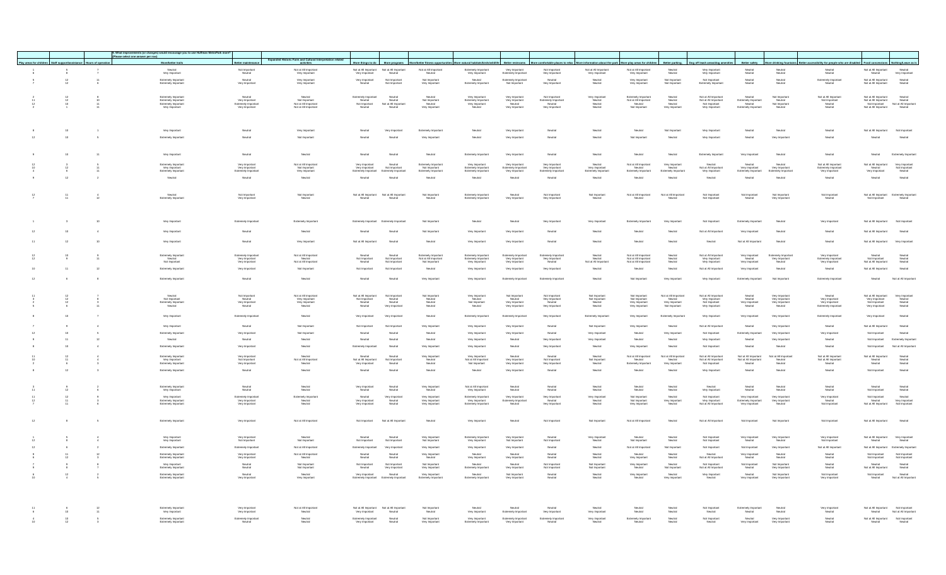|                                                                 |                          | nts (or changes) would encourage you to use Huffman MetroPark more<br>. What impro- |                                                                    |                                                                          |                                                 |                                                                     |                                                       |                                                                    |                                             |                                                                   |                                                                                              |                                                                         |                                                |                                                               |                                           |                                             |                                                                                       |                                                          |                                            |
|-----------------------------------------------------------------|--------------------------|-------------------------------------------------------------------------------------|--------------------------------------------------------------------|--------------------------------------------------------------------------|-------------------------------------------------|---------------------------------------------------------------------|-------------------------------------------------------|--------------------------------------------------------------------|---------------------------------------------|-------------------------------------------------------------------|----------------------------------------------------------------------------------------------|-------------------------------------------------------------------------|------------------------------------------------|---------------------------------------------------------------|-------------------------------------------|---------------------------------------------|---------------------------------------------------------------------------------------|----------------------------------------------------------|--------------------------------------------|
|                                                                 |                          | (Please select one answer per row)                                                  |                                                                    | Expanded Historic Farm and Cultural Interpretation related               |                                                 |                                                                     |                                                       |                                                                    |                                             |                                                                   |                                                                                              |                                                                         |                                                |                                                               |                                           |                                             |                                                                                       |                                                          |                                            |
| Play areas for children Staff support/assistance Hours of opera |                          | More/better trails                                                                  | Better maintenance                                                 |                                                                          | More things to do                               | More programs                                                       | More/better fitness oppor                             | More natural habitats/bird                                         | Better restrooms                            |                                                                   | More comfortable places to relax More information about the park More play areas for childre |                                                                         | Better parkin                                  | Dog off leash areas/dog ame                                   | <b>Better safety</b>                      | More drinking four                          | Better accessibility for people who are disabled Food concessions Nothing/Leave as it |                                                          |                                            |
| $_{8}^{\rm 5}$                                                  |                          | Neutral<br>Very Important                                                           | Not Important<br>Neutral                                           | Not at All Important<br>Very Important                                   |                                                 | Not at All Important Not at All Important<br>Very Important Neutral | Not at All Important<br>Neutral                       | Extremely Important<br>Very Important                              | Very Important<br>Extremely Importan        | Not Important<br>Very Important                                   | Not at All Important<br>Very Important                                                       | Not at All Important<br>Very Important                                  | Neutral<br>Neutral                             | Very Important<br>Very Important                              | Neutral<br>Neutral                        | Neutral<br>Neutral                          | Neutral<br>Neutral                                                                    | Not at All Important<br>Neutral                          | Neutral<br>Very Important                  |
|                                                                 | $\frac{11}{6}$           |                                                                                     | Neutral                                                            |                                                                          | Very Important                                  | Not Importan                                                        |                                                       | Neutral                                                            | Extremely Important                         | Neutral                                                           |                                                                                              | Very Important                                                          |                                                | Not Important                                                 |                                           |                                             | Extremely Important                                                                   |                                                          |                                            |
| $\frac{12}{12}$                                                 |                          | Extremely Important<br>Extremely Important                                          | Very Important                                                     | Very Important<br>Very Important                                         | Neutral                                         | Not Importan                                                        | Not Important<br>Very Important                       | Extremely Importan                                                 | Not Important                               | Very Important                                                    | Neutral<br>Neutral                                                                           | Very Importan                                                           | Not Important<br>Not Important                 | Extremely Importan                                            | Neutral<br>Neutral                        | Neutral<br>Neutral                          | Neutral                                                                               | Not at All Important<br>Not at All Important             | Neutral<br>Neutral                         |
|                                                                 |                          |                                                                                     |                                                                    |                                                                          |                                                 |                                                                     |                                                       |                                                                    |                                             |                                                                   |                                                                                              |                                                                         |                                                |                                                               |                                           |                                             |                                                                                       |                                                          |                                            |
|                                                                 |                          | Extremely Important<br>Extremely Important<br>Extremely Important<br>Very Important | Neutral<br>Very Important<br>Extremely Important<br>Very Important | Neutral<br>Not Important<br>Not at All Important<br>Not at All Important | Extremely Important<br>Neutral<br>Not Important | Neutral<br>Not at All Important                                     | Neutral<br>Not Important<br>Neutral<br>Very Important | Verv Important<br>Extremely Important<br>Verv Important<br>Neutral | Very Important<br>Very Important<br>Neutral | Not Important<br>Extremely Important<br>Neutral<br>Very Important | Verv Important<br>Neutral<br>Neutral<br>Neutral                                              | Extremely Important<br>Not at All Important<br>Neutral<br>Not Important | Neutral<br>Neutral<br>Neutral<br>Very Importan | Not at All Important<br>Not at All Important<br>Not Important | Neutral<br>Extremely Important<br>Neutral | Not important<br>Neutral<br>Not important   | Not at All Important<br>Not Important<br>Neutral<br>Neutral                           | Not at All Important<br>Not at All Important             | Neutral<br>Neutral<br>Not at All Important |
|                                                                 |                          |                                                                                     |                                                                    | Not at All Importan                                                      |                                                 |                                                                     |                                                       |                                                                    | Very Importan                               |                                                                   |                                                                                              |                                                                         |                                                | Very Importan                                                 |                                           |                                             |                                                                                       | Not Important<br>Not at All Important                    | Neutral                                    |
|                                                                 |                          |                                                                                     |                                                                    |                                                                          |                                                 |                                                                     |                                                       |                                                                    |                                             |                                                                   |                                                                                              |                                                                         |                                                |                                                               |                                           |                                             |                                                                                       |                                                          |                                            |
|                                                                 |                          |                                                                                     |                                                                    |                                                                          |                                                 |                                                                     |                                                       |                                                                    |                                             |                                                                   |                                                                                              |                                                                         |                                                |                                                               |                                           |                                             |                                                                                       |                                                          |                                            |
|                                                                 |                          |                                                                                     |                                                                    |                                                                          |                                                 |                                                                     |                                                       |                                                                    |                                             |                                                                   |                                                                                              |                                                                         |                                                |                                                               |                                           |                                             |                                                                                       |                                                          |                                            |
| $10$                                                            |                          | Very Important                                                                      | Neutral                                                            | Very Importan                                                            | Neutral                                         | Very Important                                                      | Extremely Importan                                    | Neutral                                                            | Very Importan                               | Neutral                                                           | Neutral                                                                                      | Neutral                                                                 | Not Importan                                   | Very Importan                                                 | Neutral                                   | Neutral                                     | Neutral                                                                               | Not at All Important                                     |                                            |
| 10                                                              | $\overline{\phantom{a}}$ | Extremely Important                                                                 | Neutral                                                            | Not Important                                                            | Neutral                                         | Neutral                                                             | Very Importan                                         | Neutral                                                            | Very Importan                               | Neutral                                                           | Neutral                                                                                      | Not Importan                                                            | Neutral                                        | Very Importan                                                 | Neutral                                   | Very Importan                               | Neutral                                                                               | Neutral                                                  | Neutral                                    |
|                                                                 |                          |                                                                                     |                                                                    |                                                                          |                                                 |                                                                     |                                                       |                                                                    |                                             |                                                                   |                                                                                              |                                                                         |                                                |                                                               |                                           |                                             |                                                                                       |                                                          |                                            |
|                                                                 |                          |                                                                                     |                                                                    |                                                                          |                                                 |                                                                     |                                                       |                                                                    |                                             |                                                                   |                                                                                              |                                                                         |                                                |                                                               |                                           |                                             |                                                                                       |                                                          |                                            |
|                                                                 |                          | Very Important                                                                      | Neutral                                                            | Neutral                                                                  | Neutral                                         | Neutral                                                             | Neutral                                               | Extremely Importan                                                 | Very Important                              | Neutral                                                           | Neutral                                                                                      | Neutral                                                                 | Neutral                                        | Extremely Important                                           | Very Importan                             | Neutral                                     | Neutral                                                                               | Neutral                                                  | Extremely Importan                         |
|                                                                 |                          | Extremely Importan                                                                  | Very Important                                                     | Not at All Importan                                                      | Very Important                                  | Neutral                                                             | Extremely Importan                                    | Very Important<br>Extremely Important                              | Very Important                              | Very Important                                                    | Neutral                                                                                      | Not at All Important                                                    | Very Importan                                  | leutral                                                       | Neutral                                   | Neutral                                     | Not at All Importan                                                                   | Not at All Important                                     | Very Importan                              |
|                                                                 |                          | Very Important<br>Extremely Important                                               | Very Important<br>Extremely Important                              | Not Important<br>Very Important                                          | Very Important                                  | Not Important                                                       | Not Important<br>Extremely Importan                   | Extremely Importan                                                 | Extremely Important<br>Very Important       | Very Important<br>Extremely Importan                              | Very Important<br>Extremely Importan                                                         | Neutral<br>Extremely Important                                          | Neutral<br>Extremely Importan                  | Not at All Important<br>Very Important                        | Very Important<br>Extremely Important     | Very Important<br>Extremely Importan        | Extremely Important<br>Very Important                                                 | Neutral<br>Very Important                                | Not Important<br>Neutral                   |
|                                                                 |                          | Neutral                                                                             | Neutral                                                            | Neutral                                                                  | Neutral                                         | Neutral                                                             | Neutral                                               | Neutral                                                            | Neutral                                     | Neutral                                                           | Neutral                                                                                      | Neutral                                                                 | Neutral                                        | Neutral                                                       | Neutral                                   | Neutral                                     | Neutral                                                                               | Neutral                                                  | Neutral                                    |
|                                                                 |                          |                                                                                     |                                                                    |                                                                          |                                                 |                                                                     |                                                       |                                                                    |                                             |                                                                   |                                                                                              |                                                                         |                                                |                                                               |                                           |                                             |                                                                                       |                                                          |                                            |
|                                                                 |                          |                                                                                     |                                                                    |                                                                          |                                                 |                                                                     |                                                       |                                                                    |                                             |                                                                   |                                                                                              |                                                                         |                                                |                                                               |                                           |                                             |                                                                                       |                                                          |                                            |
|                                                                 |                          | Neutral<br>Extremely Important                                                      | Not Important<br>Very Importan                                     | Not Important<br>Neutral                                                 |                                                 | Not at All Important Not at All Important<br>Neutral                | Not Important<br>Neutral                              | Extremely Importan<br>Extremely Importan                           | Neutral<br>Very Importan                    | Not Important<br>Very Important                                   | Not Importan<br>Neutral                                                                      | Not at All Important<br>Neutral                                         | Not at All Importan<br>Neutral                 | Not Important<br>Not Important                                | Not Importan<br>Neutral                   | Not Importan<br>Very Important              | Not Important<br>Neutral                                                              | Not at All Important Extremely Importan<br>Not Important | Neutral                                    |
|                                                                 |                          |                                                                                     |                                                                    |                                                                          |                                                 |                                                                     |                                                       |                                                                    |                                             |                                                                   |                                                                                              |                                                                         |                                                |                                                               |                                           |                                             |                                                                                       |                                                          |                                            |
|                                                                 |                          |                                                                                     |                                                                    |                                                                          |                                                 |                                                                     |                                                       |                                                                    |                                             |                                                                   |                                                                                              |                                                                         |                                                |                                                               |                                           |                                             |                                                                                       |                                                          |                                            |
|                                                                 |                          |                                                                                     |                                                                    |                                                                          |                                                 |                                                                     |                                                       |                                                                    |                                             |                                                                   |                                                                                              |                                                                         |                                                |                                                               |                                           |                                             |                                                                                       |                                                          |                                            |
|                                                                 |                          | Very important                                                                      | Extremely Important                                                | Extremely Important                                                      | Extremely Important                             | Extremely Importan                                                  | Not Important                                         | Neutral                                                            | Neutral                                     | Very Important                                                    | Very Important                                                                               | Extremely Important                                                     | Very Importan                                  | Not Important                                                 | Extremely Important                       | Neutral                                     | Very Importan                                                                         | Not at All Important                                     | Not Important                              |
|                                                                 |                          | Very Important                                                                      | Neutral                                                            | Neutral                                                                  | Neutral                                         | Neutral                                                             | Not Important                                         | Very Important                                                     | Very Important                              | Neutral                                                           | Neutral                                                                                      | Neutral                                                                 | Neutral                                        | Not at All Importan                                           | Very Important                            | Neutral                                     | Neutral                                                                               | Not at All Imp                                           | Neutral                                    |
|                                                                 |                          |                                                                                     |                                                                    |                                                                          |                                                 |                                                                     |                                                       |                                                                    |                                             |                                                                   |                                                                                              |                                                                         |                                                |                                                               |                                           |                                             |                                                                                       |                                                          |                                            |
|                                                                 |                          | Very Importan                                                                       | Neutral                                                            | Very Importal                                                            | Not at All Important                            |                                                                     | Neutral                                               | Very Important                                                     | Very Importan                               | Neutral                                                           | Neutral                                                                                      | Neutral                                                                 | Neutral                                        | Neutral                                                       | Not at All Importan                       | Neutral                                     | Neutral                                                                               | Not at All In                                            |                                            |
|                                                                 |                          |                                                                                     |                                                                    |                                                                          |                                                 |                                                                     |                                                       |                                                                    |                                             |                                                                   |                                                                                              |                                                                         |                                                |                                                               |                                           |                                             |                                                                                       |                                                          |                                            |
|                                                                 |                          | Extremely Important                                                                 | Extremely Important                                                | Not at All Important                                                     | Neutral                                         | Neutral                                                             | Extremely Important                                   | Extremely Important                                                | Extremely Importan                          | Extremely Importan                                                | Neutral                                                                                      | Not at All Important                                                    | Neutral                                        | Not at All Important                                          | Very Importan                             | Extremely Importan                          | Very Important                                                                        | Neutral                                                  | Neutral                                    |
|                                                                 |                          | Neutral<br>Not Important                                                            | Very Important<br>Very Important                                   | Neutral<br>Not at All Important                                          | Not Important<br>Neutral                        | Not Important<br>Not Important                                      | Not at All Important<br>Not Important                 | Extremely Importan<br>Very Important                               | Very Important<br>Very Important            | Verv Important<br>Neutral                                         | Neutral<br>Not at All Importan                                                               | Not at All Important<br>Not at All Important                            | Neutral<br>Neutral                             | Very Important<br>Very Important                              | Neutral<br>Very Important                 | Very Important<br>Neutral                   | Extremely Important<br>Very Important                                                 | Not Important<br>Not at All Important                    | Neutral<br>Neutral                         |
| 11                                                              | 12                       | Extremely Importan                                                                  | Very Important                                                     | Not Important                                                            | Not Important                                   | Not Importan                                                        | Neutral                                               | Very Important                                                     | Very Important                              | Very Important                                                    | Neutral                                                                                      | Neutral                                                                 | Neutral                                        | Not at All Importan                                           | Very Important                            | Neutral                                     | Neutral                                                                               | Not at All Important                                     | Neutral                                    |
|                                                                 |                          |                                                                                     |                                                                    |                                                                          |                                                 |                                                                     |                                                       |                                                                    |                                             |                                                                   |                                                                                              |                                                                         |                                                |                                                               |                                           |                                             |                                                                                       |                                                          |                                            |
|                                                                 |                          | Extremely Importan                                                                  | Neutra                                                             | Neutra                                                                   | Neutral                                         | Neutral                                                             | Very Importan                                         | Very Important                                                     | Extremely Importa                           | Extremely Importa                                                 | Neutral                                                                                      | Not Importan                                                            | Very Importan                                  | Very Importan                                                 |                                           |                                             | Extremely Importar                                                                    | Neutral                                                  | Not at All Importa                         |
|                                                                 |                          |                                                                                     |                                                                    |                                                                          |                                                 |                                                                     |                                                       |                                                                    |                                             |                                                                   |                                                                                              |                                                                         |                                                |                                                               |                                           |                                             |                                                                                       |                                                          |                                            |
|                                                                 |                          |                                                                                     |                                                                    | Not at All Important                                                     | Not at All Important                            | Not Importan                                                        | Not Important                                         | Very Important                                                     | Not important                               | Not important                                                     | Not important                                                                                | Not Important                                                           | Not at All Important                           | Not at All Important                                          | Neutral                                   | Very Important                              | Neutral                                                                               | Not at All Important                                     | Very Important                             |
|                                                                 |                          | Neutral<br>Not Important<br>Extremely Important<br>Neutral                          | Not Important<br>Neutral<br>Very Important<br>Neutral              | Verv Importar<br>Very Importar<br>Neutral                                | Not Importa<br>Neutral<br>Neutral               | Neutral<br>Neutral<br>Very Importan                                 | Neutral<br>Neutral<br>Neutral                         | Neutral<br>Not Important<br>Neutral                                | Neutral<br>Very Important<br>Very Important | Very Important<br>Neutral<br>Very Important                       | Not Important<br>Neutral<br>Neutral                                                          | Not Important<br>Very Important<br>Very Importan                        | Neutral<br>Very Important<br>Not Important     | Very Important<br>Not Important<br>Very Important             | Neutral<br>Very Importan<br>Neutral       | Very Important<br>Very Important<br>Neutral | Very Important<br>Very Important<br>Extremely Importa                                 | Very Important<br>Not Important<br>Very Important        | Neutral<br>Neutral<br>Neutral              |
|                                                                 |                          |                                                                                     |                                                                    |                                                                          |                                                 |                                                                     |                                                       |                                                                    |                                             |                                                                   |                                                                                              |                                                                         |                                                |                                                               |                                           |                                             |                                                                                       |                                                          |                                            |
|                                                                 |                          | Very Important                                                                      | Extremely Important                                                | Neutral                                                                  | Very Important                                  | Very Important                                                      | Neutral                                               | Extremely Importan                                                 | Extremely Important                         | Very Important                                                    | Extremely Importan                                                                           | Very Important                                                          | Extremely Importan                             | Very Important                                                | Very Important                            | Very Important                              | Extremely Importan                                                                    | Very Important                                           | Neutral                                    |
|                                                                 |                          |                                                                                     |                                                                    |                                                                          |                                                 |                                                                     |                                                       |                                                                    |                                             |                                                                   |                                                                                              |                                                                         |                                                |                                                               |                                           |                                             |                                                                                       |                                                          |                                            |
|                                                                 |                          | Very Important                                                                      | Neutral                                                            | Not Importan                                                             | Not important                                   | Not Importan                                                        | Very Important                                        | Very Important                                                     | Very Important                              | Neutral                                                           | Not Important                                                                                | Very Important                                                          | Neutral                                        | Not at All Important                                          | Neutral                                   | Very Important                              | Neutral                                                                               | Not at All Important                                     | Neutral                                    |
|                                                                 |                          | Extremely Importan                                                                  | Very Importar                                                      | Not Importan                                                             | Neutral                                         | Neutral                                                             | Neutral                                               | Very Importan                                                      | Very Importan                               | Neutral                                                           | Very Importan                                                                                | Neutral                                                                 | Very Importan                                  | Not Importan                                                  |                                           | Very Importan                               | Verv Importar                                                                         |                                                          | Neutral                                    |
|                                                                 |                          | Neutral                                                                             | Neutral                                                            | Neutral                                                                  | Neutral                                         | Neutral                                                             | Neutral                                               | Very Important                                                     | Neutral                                     | Very Important                                                    | Very Important                                                                               | Neutral                                                                 | Neutral                                        | Very Important                                                | Neutral                                   | Very Important                              | Neutral                                                                               | Not Importan                                             | Extremely Importan                         |
|                                                                 |                          | Extremely Important                                                                 | Very Important                                                     | Neutral                                                                  | Extremely Important                             | Neutral                                                             | Very Importan                                         | Very Important                                                     | Neutral                                     | Very Important                                                    | Neutral                                                                                      | Very Important                                                          | Neutral                                        | Not Important                                                 | Neutral                                   | Neutral                                     | Neutral                                                                               | Not Important                                            | Not at All Importan                        |
|                                                                 |                          |                                                                                     |                                                                    |                                                                          |                                                 |                                                                     |                                                       |                                                                    |                                             |                                                                   |                                                                                              | Not at All Important                                                    | Not at All Importan                            | Not at All Importan                                           | Not at All Important                      | Not at All Importan                         | Not at All Importan                                                                   | Not at All Important                                     |                                            |
|                                                                 |                          | Extremely Important<br>Very Important<br>Extremely Important                        | Verv Important<br>Not Important<br>Very Important                  | Neutral<br>Not at All Important<br>Neutral                               | Neutral<br>Not at All Important                 | Neutral<br>Not Importan<br>Neutral                                  | Verv Important<br>Neutral<br>Neutral                  | Very Important<br>Not at All Important<br>Not Important            | Neutral<br>Very Important<br>Very Important | Neutral<br>Not Important<br>Very Important                        | Neutral<br>Not Importan<br>Neutral                                                           | Neutral<br>Extremely Important                                          | Neutral<br>Very Important                      | Not at All Important<br>Not at All Important                  | Not at All Important<br>Neutral           | Neutral<br>Neutral                          | Not at All Important<br>Not at All Important                                          | Neutral<br>Neutral                                       | Neutral<br>Neutral<br>Neutral              |
|                                                                 |                          |                                                                                     |                                                                    |                                                                          | Very Importan<br>Neutral                        |                                                                     |                                                       |                                                                    |                                             |                                                                   |                                                                                              |                                                                         |                                                |                                                               |                                           |                                             |                                                                                       |                                                          |                                            |
|                                                                 |                          | Extremely Important                                                                 | Neutral                                                            | Neutral                                                                  |                                                 | Neutral                                                             | Neutral                                               | Neutral                                                            | Very Important                              | Neutral                                                           | Neutral                                                                                      | Neutral                                                                 | Neutral                                        | Very Important                                                | Neutral                                   | Neutral                                     | Neutral                                                                               | Not Important                                            | Neutral                                    |
|                                                                 |                          |                                                                                     |                                                                    |                                                                          |                                                 |                                                                     |                                                       |                                                                    |                                             |                                                                   |                                                                                              |                                                                         |                                                |                                                               |                                           |                                             |                                                                                       |                                                          |                                            |
|                                                                 |                          | Extremely Important<br>Very Important                                               | Neutral<br>Neutral                                                 | Neutral<br>Neutral                                                       | Very Important<br>Neutral                       | Neutral<br>Neutral                                                  | Very Important<br>Neutral                             | Not at All Important<br>Very Important                             | Neutral<br>Neutral                          | Neutral<br>Neutral                                                | Neutral<br>Neutral                                                                           | Neutral<br>Neutral                                                      | Neutral<br>Neutral                             | Neutral<br>Very Important                                     | Neutral<br>Neutral                        | Neutral<br>Neutral                          | Neutral<br>Neutral                                                                    | Neutral<br>Not Important                                 | Neutral<br>Neutral                         |
|                                                                 |                          |                                                                                     |                                                                    |                                                                          |                                                 |                                                                     |                                                       |                                                                    |                                             |                                                                   |                                                                                              |                                                                         |                                                |                                                               |                                           |                                             |                                                                                       |                                                          |                                            |
|                                                                 |                          | Very important                                                                      | Extremely Important                                                | Extremely Important                                                      | Neutral                                         | Very Importan                                                       | Very Importan                                         | Extremely Importan                                                 | Very Important<br>Extremely Important       | Very Important<br>Neutral                                         | Verv Important                                                                               | Not Important<br>Not Important                                          | Neutral                                        | Not Important                                                 | Very Important<br>Extremely Important     | Very Important                              | Very Important                                                                        | Not Important<br>Neutral                                 | Neutral                                    |
|                                                                 |                          | Extremely Important<br>Extremely Important                                          | Very Important<br>Very Important                                   | Neutral<br>Neutral                                                       | Very Important<br>Very Important                | Neutral<br>Neutral                                                  | Very Important<br>Very Important                      | Very Important<br>Extremely Important                              | Neutral                                     | Very Important                                                    | Neutral<br>Neutral                                                                           | Very Importan                                                           | Very Important<br>Neutral                      | Very Important<br>Not at All Important                        | Very Important                            | Very Important<br>Neutral                   | Neutral<br>Not Important                                                              | Not at All Important                                     | Verv Important<br>Not Important            |
|                                                                 |                          |                                                                                     |                                                                    |                                                                          |                                                 |                                                                     |                                                       |                                                                    |                                             |                                                                   |                                                                                              |                                                                         |                                                |                                                               |                                           |                                             |                                                                                       |                                                          |                                            |
|                                                                 |                          | Extremely Important                                                                 | Very Important                                                     | Not at All Importan                                                      | Not Important                                   | Not at All Importan                                                 | Neutral                                               | Very Important                                                     | Neutral                                     | Not Important                                                     | Not Importan                                                                                 | Not at All Important                                                    | Neutral                                        | Not at All Important                                          | Not Importan                              | Not Importan                                | Not Important                                                                         | Not at All Important                                     |                                            |
|                                                                 |                          |                                                                                     |                                                                    |                                                                          |                                                 |                                                                     |                                                       |                                                                    |                                             |                                                                   |                                                                                              |                                                                         |                                                |                                                               |                                           |                                             |                                                                                       |                                                          |                                            |
|                                                                 |                          |                                                                                     |                                                                    |                                                                          |                                                 |                                                                     |                                                       |                                                                    |                                             |                                                                   |                                                                                              |                                                                         |                                                |                                                               |                                           |                                             |                                                                                       |                                                          |                                            |
|                                                                 |                          | Very Important<br>Very Important                                                    | Verv Important<br>Not Important                                    | Neutral<br>Not Important                                                 | Neutral<br>Not Important                        | Neutral<br>Not Importan                                             | Very Important<br>Not Important                       | Extremely Importan<br>Very Important                               | Very Importan<br>Not Important              | Neutral<br>Not Important                                          | Verv Important<br>Neutral                                                                    | Neutral<br>Not Important                                                | Neutral<br>Neutral                             | Not Important<br>Not Important                                | Very Important<br>Neutral                 | Very Important<br>Neutral                   | Verv Important<br>Not Important                                                       | Not at All Important<br>Neutral                          | Verv Important<br>Neutral                  |
|                                                                 |                          | Extremely Important                                                                 | Extremely Importan                                                 | Not at All Importan                                                      | Extremely Importan                              | Very Importan                                                       | Very Important                                        | Very Important                                                     | Very Importan                               | Neutral                                                           | Neutral                                                                                      | Not at All Important                                                    | Not Importan                                   | Not Important                                                 | Not Importan                              | Very Important                              | Not at All Importan                                                                   | Not at All Importan                                      | Extremely Import:                          |
|                                                                 |                          |                                                                                     |                                                                    |                                                                          |                                                 |                                                                     |                                                       |                                                                    |                                             |                                                                   |                                                                                              |                                                                         |                                                |                                                               |                                           |                                             |                                                                                       |                                                          |                                            |
|                                                                 |                          | Extremely Important<br>Extremely Important                                          | Very Important<br>Very Important                                   | Not at All Important<br>Neutral                                          | Neutral<br>Neutral                              | Neutral<br>Neutral                                                  | Very Important<br>Neutral                             | Neutral<br>Very Important                                          | Neutral<br>Very Important                   | Neutral<br>Neutral                                                | Neutral<br>Neutral                                                                           | Neutral<br>Very Important                                               | Neutral<br>Neutral                             | Neutral<br>Not at All Important                               | Very Important<br>Neutral                 | Neutral<br>Neutral                          | Neutral<br>Neutral                                                                    | Not Important<br>Not Important                           | Not Important<br>Not Important             |
|                                                                 |                          | Very Important<br>Extremely Important                                               | Neutral<br>Neutral                                                 | Not Important<br>Not Important                                           | Not Important                                   | Not Importan                                                        | Not Important<br>Very Important                       | Neutral                                                            | Neutral                                     | Not Important                                                     | Not Important                                                                                | Very Important                                                          | Neutral                                        | Not Important                                                 | Not Important                             | Not important                               | Neutral<br>Neutral                                                                    | Neutral                                                  | Neutral<br>Neutral                         |
|                                                                 |                          |                                                                                     |                                                                    |                                                                          | Neutral                                         | Very Importan                                                       |                                                       | Extremely Importan                                                 | Very Important                              | Not Importan                                                      | Not Importan                                                                                 | Neutral                                                                 | Not Importan                                   | Not at All Importan                                           | Neutral                                   | Very Important                              |                                                                                       | Not at All Important                                     |                                            |
| 12 <sup>12</sup>                                                |                          | Extremely Important<br>Extremely Important                                          | Neutral<br>Verv Important                                          | Neutral<br>Very Important                                                | Very Important<br>Extremely Important           | Neutral<br>Extremely Importa                                        | Very Important<br>Extremely Importan                  | Neutral<br>Extremely Importan                                      | Not Important<br>Very Important             | Neutral<br>Neutral                                                | Neutral<br>Neutral                                                                           | Very Important<br>Neutral                                               | Neutral<br>Verv Importan                       | Very Important<br>Neutral                                     | Neutral<br>Very Importa                   | Not Important<br>Very Important             | Not Important<br>Verv Important                                                       | Not Important<br>Neutral                                 | Neutral<br>Not at All Importan             |
|                                                                 |                          |                                                                                     |                                                                    |                                                                          |                                                 |                                                                     |                                                       |                                                                    |                                             |                                                                   |                                                                                              |                                                                         |                                                |                                                               |                                           |                                             |                                                                                       |                                                          |                                            |
|                                                                 |                          |                                                                                     |                                                                    |                                                                          |                                                 |                                                                     |                                                       |                                                                    |                                             |                                                                   |                                                                                              |                                                                         |                                                |                                                               |                                           |                                             |                                                                                       |                                                          |                                            |
|                                                                 |                          | Extremely Importan<br>Very Important                                                | Verv Important<br>Verv Important                                   | Not at All Importan<br>Neutral                                           | Not at All Important<br>Very Important          | Neutral                                                             | Not Importan<br>Neutral                               | Neutral<br>Very Important                                          | Extremely Important                         | Neutral<br>Very Important                                         | Neutral<br>Very Important                                                                    | Neutral<br>Neutral                                                      | Neutral                                        | Vot Importar<br>Neutral                                       | Neutral                                   | Neutral<br>Neutral                          | Neutral                                                                               | Neutral                                                  | Not at All Importan                        |
|                                                                 |                          |                                                                                     | Extremely Important                                                |                                                                          | Extremely Important                             |                                                                     |                                                       | Very Important                                                     |                                             | Extremely Importan                                                | Very Important                                                                               | Extremely Important                                                     |                                                |                                                               |                                           |                                             |                                                                                       |                                                          |                                            |
| $\frac{10}{12}$                                                 |                          | Extremely Important<br>Extremely Important                                          | Neutral                                                            | Neutral<br>Neutral                                                       | Very Important                                  | Neutral<br>Neutral                                                  | Not Important<br>Very Important                       | Extremely Important                                                | Extremely Important<br>Very Important       | Neutral                                                           | Neutral                                                                                      |                                                                         | Neutral<br>Neutral                             | Not Important<br>Neutral                                      | Neutral<br>Very Important                 | Very Important<br>Very Important            | Neutral<br>Neutral                                                                    | Not at All Important Not Important Neutral Neutral       |                                            |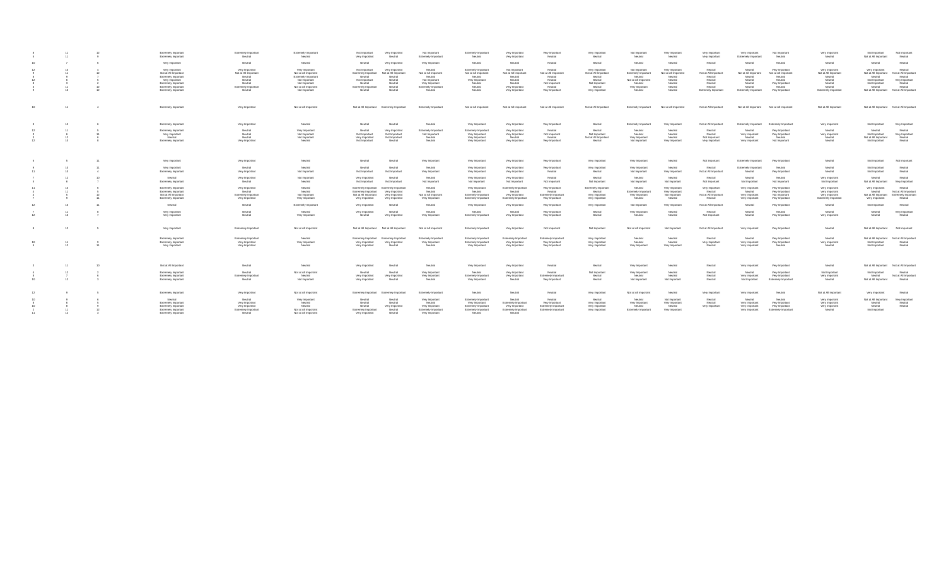|           |    |    | Extremely Important<br>Extremely Important                                                             | Extremely Important<br>Neutral                                          | <b>Extremely Important</b><br>Neutral                                                           | Not Important<br>Very Important<br>Very Important<br>Neutral                                                                                           | Not Important<br>Extremely Important                                          | <b>Extremely Important</b><br>Neutral                                               | Very Important<br>Very Important                                       | Very Important<br>Neutral                                              | Very Important<br>Neutral                                                     | Not Important<br>Neutral                                                          | Very Important<br>Neutral                                               | Very Important<br>Very Important                                 | Very Important<br>Extremely Important                            | Not important<br>Neutral                                                       | Very Important<br>Neutral                                               | Not Important<br>Not at All Important                                               | Not Important<br>Neutral                                                |
|-----------|----|----|--------------------------------------------------------------------------------------------------------|-------------------------------------------------------------------------|-------------------------------------------------------------------------------------------------|--------------------------------------------------------------------------------------------------------------------------------------------------------|-------------------------------------------------------------------------------|-------------------------------------------------------------------------------------|------------------------------------------------------------------------|------------------------------------------------------------------------|-------------------------------------------------------------------------------|-----------------------------------------------------------------------------------|-------------------------------------------------------------------------|------------------------------------------------------------------|------------------------------------------------------------------|--------------------------------------------------------------------------------|-------------------------------------------------------------------------|-------------------------------------------------------------------------------------|-------------------------------------------------------------------------|
|           |    | 6  | Very Important                                                                                         | Neutral                                                                 | Neutral                                                                                         | Neutral<br>Very Important                                                                                                                              | Very Important                                                                | Neutral                                                                             | Neutral                                                                | Neutral                                                                | Neutral                                                                       | Neutral                                                                           | Neutral                                                                 | Neutral                                                          | Neutral                                                          | Neutral                                                                        | Neutral                                                                 | Neutral                                                                             | Neutral                                                                 |
|           |    |    | Very Important<br>Not at All Important<br>Extremely Important<br>Very Important<br>Extremely Important | Very Important<br>Not at All Important<br>Neutral<br>Neutral<br>Neutral | Very Important<br>Not at All Important<br>Extremely Important<br>Not Important<br>Not Important | Not Important<br>Very Important<br>Extremely Important<br>Not at All Important<br>Neutral<br>Neutral<br>Not Important<br>Neutral<br>Neutral<br>Neutral | Neutral<br>Not at All Important<br>Neutral<br>Not Important<br>Very Important | Extremely Important<br>Not at All Important<br>Neutral<br>Very Important<br>Neutral | Not Important<br>Not at All Important<br>Neutral<br>Neutral<br>Neutral | Neutral<br>Not at All Important<br>Neutral<br>Neutral<br>Not Important | Very Important<br>Not at All Important<br>Neutral<br>Neutral<br>Not Important | Not Important<br>Extremely Important<br>Neutral<br>Not at All Importan<br>Neutral | Very Important<br>Not at All Important<br>Neutral<br>Neutral<br>Neutral | Neutral<br>Not at All Important<br>Neutral<br>Neutral<br>Neutral | Neutral<br>Not at All Important<br>Neutral<br>Neutral<br>Neutral | Very Important<br>Not at All Important<br>Neutral<br>Neutral<br>Very Important | Very Important<br>Not at All Important<br>Neutral<br>Neutral<br>Neutral | Very Important<br>Not at All Important<br>Neutral<br>Not Important<br>Not Important | Neutral<br>Not at All Important<br>Neutral<br>Very Important<br>Neutral |
|           |    |    | Extremely Important<br>Extremely Important                                                             | Extremely Important<br>Neutral                                          | Not at All Important<br>Not Important                                                           | Extremely Important<br>Neutral<br>Neutral<br>Neutral                                                                                                   | Extremely Important<br>Neutral                                                | Neutral<br>Neutral                                                                  | Very Important<br>Very Important                                       | Neutral<br>Very Important                                              | Neutral<br>Very Important                                                     | Very Important<br>Neutral                                                         | Neutral<br>Neutral                                                      | Neutral<br>Extremely Important                                   | Neutral<br>Extremely Important                                   | Neutral<br>Very Important                                                      | Neutral<br>Extremely Important                                          | Neutral<br>Not at All Important Not at All Important                                | Neutral                                                                 |
| $10^{-1}$ |    |    | Extremely Important                                                                                    | Very Important                                                          | Not at All Important                                                                            | Not at All Important Extremely Important                                                                                                               | Extremely Important                                                           | Not at All Important                                                                | Not at All Important                                                   | Not at All Important                                                   | Not at All Important                                                          | Extremely Important                                                               | Not at All Important                                                    | Not at All Important                                             | Not at All Important                                             | Not at All Important                                                           | Not at All Important                                                    | Not at All Important Not at All Important                                           |                                                                         |
|           | 12 |    | Extremely Important                                                                                    | Very Important                                                          | Neutral                                                                                         | Neutral<br>Neutral                                                                                                                                     | Neutral                                                                       | Very Important                                                                      | Very Important                                                         | Very Important                                                         | Neutral                                                                       | Extremely Important                                                               | Very Important                                                          | Not at All Important                                             | Extremely Important                                              | Extremely Important                                                            | Very Important                                                          | Not Important                                                                       | Very Important                                                          |
|           |    |    | Extremely Important                                                                                    | Neutral                                                                 | Very Important                                                                                  | Neutral<br>Very Important                                                                                                                              | Extremely Important                                                           | Extremely Important                                                                 | Very Important                                                         | Neutral                                                                | Neutral                                                                       | Neutral                                                                           | Neutral                                                                 | Neutral                                                          | Neutral                                                          | Very Important                                                                 | Neutral                                                                 | Neutral                                                                             | Neutral                                                                 |
|           | 12 |    | Very Important<br>Neutral                                                                              | Neutral<br>Neutral                                                      | Not Important<br>Not Important                                                                  | Not Important<br>Not Important<br>Very Important<br>Not Important                                                                                      | Not Important<br>Neutral                                                      | Very Important<br>Very Important                                                    | Very Important<br>Neutral                                              | Not Important<br>Neutral                                               | Not Important<br>Not at All Important                                         | Neutral<br>Very Important                                                         | Neutral<br>Neutral                                                      | Neutral<br>Not Important                                         | Very Important<br>Neutral                                        | Very Important<br>Neutral                                                      | Very Important<br>Neutral                                               | Not Important<br>Not at All Important                                               | Very Important<br>Neutral                                               |
|           |    |    | Extremely Important                                                                                    | Very Important                                                          | Neutral                                                                                         | Not Important<br>Neutral                                                                                                                               | Neutral                                                                       | Very Important                                                                      | Very Important                                                         | Very Important                                                         | Neutral                                                                       | Not Important                                                                     | Very Important                                                          | Very Important                                                   | Very Important                                                   | Not Important                                                                  | Neutral                                                                 | Not Important                                                                       | Neutral                                                                 |
|           |    | 11 | Very Important                                                                                         | Very Important                                                          | Neutral                                                                                         | Neutral<br>Neutral                                                                                                                                     | Very Important                                                                | Very Important                                                                      | Very Important                                                         | Very Important                                                         | Very Important                                                                | Very Important                                                                    | Neutral                                                                 | Not Important                                                    | <b>Extremely Important</b>                                       | Very Important                                                                 | Neutral                                                                 | Not Important                                                                       | Not Important                                                           |
|           |    |    | Very Important<br>Extremely Important                                                                  | Neutral<br>Very Important                                               | Neutral<br>Not Important                                                                        | Neutral<br>Neutral<br>Not Important<br>Not Important                                                                                                   | Neutral<br>Very Important                                                     | Very Important<br>Very Important                                                    | Very Important<br>Very Important                                       | Very Important<br>Neutral                                              | Very Important<br>Neutral                                                     | Very Important<br>Not Important                                                   | Neutral<br>Very Important                                               | Neutral<br>Not at All Important                                  | Extremely Important<br>Neutral                                   | Neutral<br>Very Important                                                      | Neutra<br>Neutral                                                       | Not Important<br>Not Important                                                      | Neutral<br>Neutral                                                      |
|           |    |    | Neutral<br>Extremely Important                                                                         | Very Important<br>Neutral                                               | Not Important<br>Neutral                                                                        | Very Important<br>Neutral<br>Not Important<br>Not Important                                                                                            | Neutral<br>Not Important                                                      | Very Important<br>Not important                                                     | Very Important<br>Not Important                                        | Neutral<br>Not important                                               | Neutral<br>Not Important                                                      | Neutral<br>Not Important                                                          | Neutral<br>Not Important                                                | Neutral<br>Not Important                                         | Neutral<br>Not Important                                         | Neutral<br>Not Important                                                       | Very Important<br>Not Important                                         | Neutral<br>Not at All Important                                                     | Neutral<br>Very Important                                               |
|           |    |    | Extremely Important<br>Extremely Important                                                             | Very Important<br>Neutral                                               | Neutral<br>Neutral                                                                              | Extremely Important<br>Extremely Importan<br>Extremely Important<br>Very Important                                                                     | Neutral<br>Neutral                                                            | Very Important<br>Neutral                                                           | Extremely Important<br>Neutral                                         | Very Important<br>Neutral                                              | Extremely Important<br>Neutral                                                | Neutral<br>Extremely Important                                                    | Very Important<br>Very Important                                        | Very Important<br>Neutral                                        | Very Important<br>Neutral                                        | Very Important<br>Very Important                                               | Very Important<br>Very Important                                        | Very Important<br>Neutral                                                           | Neutral<br>Not at All Important                                         |
|           |    |    | Not at All Important<br>Extremely Important                                                            | <b>Extremely Important</b><br>Very Important                            | Not Important<br>Very Important                                                                 | Not at All Important<br>Very Important<br>Very Important<br>Very Important                                                                             | Not at All Important<br>Very Important                                        | Extremely Important<br>Extremely Important                                          | Very Important<br>Extremely Important                                  | Extremely Important<br>Very Important                                  | Very Important<br>Very Important                                              | Very Important<br>Neutral                                                         | Not Important<br>Neutral                                                | Not at All Important<br>Neutral                                  | Very Important<br>Very Important                                 | Not Important<br>Very Important                                                | Very Important<br>Extremely Important                                   | Not at All Important Extremely Important<br>Very Important                          | Neutral                                                                 |
|           |    | 11 | Neutral                                                                                                | Neutral                                                                 | Extremely Important                                                                             | Very Important<br>Neutral                                                                                                                              | Neutral                                                                       | Very Important                                                                      | Very Important                                                         | Very Important                                                         | Very Important                                                                | Not Important                                                                     | Very Important                                                          | Not at All Important                                             | Neutral                                                          | Very Important                                                                 | Neutral                                                                 | Not Important                                                                       | Neutral                                                                 |
|           |    |    | Very Important<br>Very Important                                                                       | Neutral<br>Neutral                                                      | Neutral<br>Very Important                                                                       | Very Important<br>Neutral<br>Neutral<br>Very Important                                                                                                 | Neutral<br>Very Important                                                     | Neutral<br>Extremely Important                                                      | Neutral<br>Very Important                                              | Very Important<br>Very Important                                       | Neutral<br>Neutral                                                            | Very Important<br>Neutral                                                         | Neutral<br>Neutral                                                      | Neutral<br>Not Important                                         | Neutral<br>Neutral                                               | Neutral<br>Very Important                                                      | Neutral<br>Very Important                                               | Neutral<br>Neutral                                                                  | Very Important<br>Neutral                                               |
|           | 12 |    | Very Important                                                                                         | Extremely Important                                                     | Not at All Important                                                                            | Not at All Important Not at All Important                                                                                                              | Not at All Important                                                          | Extremely Important                                                                 | Very Important                                                         | Not Important                                                          | Not Important                                                                 | Not at All Important                                                              | Not Important                                                           | Not at All Important                                             | Very Important                                                   | Very Important                                                                 | Neutral                                                                 | Not at All Important Not Important                                                  |                                                                         |
|           |    |    | Extremely Important                                                                                    | Extremely Important                                                     | Neutral                                                                                         | Extremely Important Extremely Important                                                                                                                | Extremely Important                                                           | Extremely Important                                                                 | Extremely Important                                                    | Extremely Important                                                    | Very Important                                                                | Neutral                                                                           | Neutral                                                                 | Neutral                                                          | Neutral                                                          | Very Important                                                                 | Neutral                                                                 | Not at All Important Not at All Important                                           |                                                                         |
|           | 12 | 11 | Extremely Important<br>Very Important                                                                  | Very Important<br>Very Important                                        | Very Important<br>Neutral                                                                       | Very Important<br>Very Important<br>Very Important<br>Neutral                                                                                          | Very Important<br>Neutral                                                     | Extremely Important<br>Very Important                                               | Very Important<br>Very Important                                       | Very Important<br>Very Important                                       | Very Important<br>Very Important                                              | Neutral<br>Very Important                                                         | Neutral<br>Very Important                                               | Very Important<br>Neutral                                        | Very Important<br>Very Important                                 | Very Important<br>Neutral                                                      | Very Important<br>Neutral                                               | Not Important<br>Not Important                                                      | Neutral<br>Neutral                                                      |
|           | 11 | 10 | Not at All Important                                                                                   | Neutral                                                                 | Neutral                                                                                         | Very Important<br>Neutral                                                                                                                              | Neutral                                                                       | Very Important                                                                      | Very Important                                                         | Neutral                                                                | Neutral                                                                       | Very Important                                                                    | Neutral                                                                 | Neutral                                                          | Very Important                                                   | Very Important                                                                 | Neutral                                                                 | Not at All Important Not at All Important                                           |                                                                         |
|           |    |    | Extremely Important                                                                                    | Neutral                                                                 | Not at All Important                                                                            | Neutral<br>Neutral                                                                                                                                     | Very Important                                                                | Neutral                                                                             | Very Important                                                         | Neutral                                                                | Not Important                                                                 | Very Important                                                                    | Neutral                                                                 | Neutral                                                          | Neutral                                                          | Very Important                                                                 | Not Important                                                           | Not Important                                                                       | Neutral                                                                 |
|           |    |    | Extremely Important<br>Extremely Important                                                             | Extremely Important<br>Neutral                                          | Neutral<br>Not Important                                                                        | Very Important<br>Very Important<br>Very Important<br>Neutral                                                                                          | Very Important<br>Neutral                                                     | Extremely Important<br>Very Important                                               | Very Important<br>Neutral                                              | Extremely Important<br>Very Important                                  | Neutral<br>Neutral                                                            | Neutral<br>Not Important                                                          | Neutral<br>Not Important                                                | Neutral<br>Neutral                                               | Very Important<br>Not Important                                  | Very Important<br>Extremely Important                                          | Very Important<br>Neutral                                               | Neutral<br>Not at All Important                                                     | Not at All Important<br>Neutral                                         |
|           |    |    | Extremely Important                                                                                    | Very Important                                                          | Not at All Important                                                                            | Extremely Important<br>Extremely Importan                                                                                                              | Extremely Important                                                           | Neutral                                                                             | Neutral                                                                | Neutral                                                                | Very Important                                                                | Not at All Important                                                              | Neutral                                                                 | Very Important                                                   | Very Important                                                   | Neutral                                                                        | Not at All Important                                                    | Very Important                                                                      | Neutral                                                                 |
|           |    |    | Neutral<br>Extremely Important                                                                         | Neutral<br>Very Important                                               | Very Important<br>Neutral                                                                       | Neutral<br>Neutral<br>Neutral<br>Neutral                                                                                                               | Very Important<br>Neutral                                                     | Extremely Important<br>Very Important                                               | Neutral<br>Extremely Important                                         | Neutral<br>Very Important                                              | Neutral<br>Very Important                                                     | Neutral<br>Very Important                                                         | Not Important<br>Very Important                                         | Neutral<br>Neutral                                               | Neutral<br>Very Important                                        | Neutral<br>Very Important                                                      | Very Important<br>Very Important                                        | Not at All Important<br>Neutral                                                     | Very Importan<br>Neutral                                                |
|           |    |    | Extremely Important                                                                                    | Very Important                                                          | Neutral                                                                                         | Very Important<br>Neutral                                                                                                                              | Very Important                                                                | Extremely Important                                                                 | Very Important                                                         | Extremely Important                                                    | Very Important                                                                | Neutral                                                                           | Neutral                                                                 | Very Important                                                   | Very Important                                                   | Very Important                                                                 | Very Important                                                          | Neutral                                                                             | Neutral                                                                 |
|           |    |    | Extremely Important<br>Extremely Important                                                             | Extremely Important<br>Neutral                                          | Not at All Important<br>Not at All Important                                                    | Extremely Important<br>Neutral<br>Very Important<br>Neutral                                                                                            | Extremely Important<br>Very Important                                         | Extremely Important<br>Neutral                                                      | Extremely Important<br>Neutral                                         | Extremely Important                                                    | Very Important                                                                | Extremely Important                                                               | Very Important                                                          |                                                                  | Very Important                                                   | Extremely Important                                                            | Neutral                                                                 | Not Important                                                                       |                                                                         |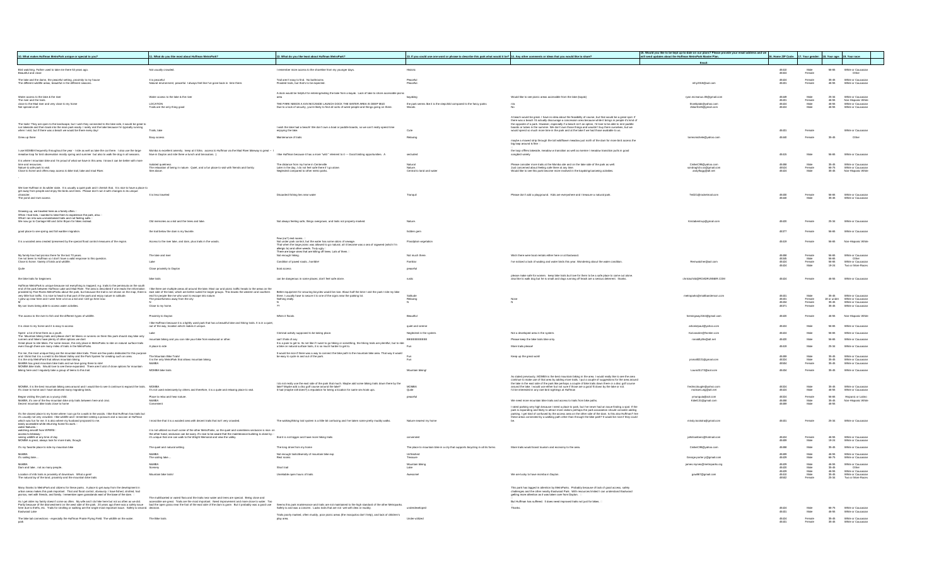|                                                                                                                                                                                                                                                                                                                                          |                                                                                                                                                                                                                        |                                                                                                                                                                                                                                         |                                                                                                                                               |                                                                                                                                                                                                                                                                                                                                     | 15. Would you like to be kept up-to-date on our plans? Please provide your email address and we |                                                                 |                        |                         |                                                               |
|------------------------------------------------------------------------------------------------------------------------------------------------------------------------------------------------------------------------------------------------------------------------------------------------------------------------------------------|------------------------------------------------------------------------------------------------------------------------------------------------------------------------------------------------------------------------|-----------------------------------------------------------------------------------------------------------------------------------------------------------------------------------------------------------------------------------------|-----------------------------------------------------------------------------------------------------------------------------------------------|-------------------------------------------------------------------------------------------------------------------------------------------------------------------------------------------------------------------------------------------------------------------------------------------------------------------------------------|-------------------------------------------------------------------------------------------------|-----------------------------------------------------------------|------------------------|-------------------------|---------------------------------------------------------------|
| 10. What makes Huffman MetroPark unique or special to you?                                                                                                                                                                                                                                                                               | 11. What do you like most about Huffman MetroPark?                                                                                                                                                                     | 12. What do you like least about Huffman MetroPark?                                                                                                                                                                                     | 13. If you could use one word or phrase to describe this park what would it be? 14. Any other comments or ideas that you would like to share? |                                                                                                                                                                                                                                                                                                                                     | ill send updates about the Huffman MetroPark Master Plan.                                       | 6. Home ZIP Code: 17. Your gender: 18. Your age: 19. Your race: |                        |                         |                                                               |
|                                                                                                                                                                                                                                                                                                                                          |                                                                                                                                                                                                                        | I remember more access to the shoreline from my younger days                                                                                                                                                                            |                                                                                                                                               |                                                                                                                                                                                                                                                                                                                                     | Email                                                                                           |                                                                 |                        |                         |                                                               |
| Bird watching. Father used to take me there 53 years ago.<br>Beautiful and close                                                                                                                                                                                                                                                         | Not usually crowded                                                                                                                                                                                                    |                                                                                                                                                                                                                                         | Historic                                                                                                                                      |                                                                                                                                                                                                                                                                                                                                     |                                                                                                 | 45410<br>45324                                                  | Male<br>Female         | 56-65                   | White or Caucasian<br>Other                                   |
| The lake and the damn, the peaceful setting, proximity to my house<br>The different wildlife areas, beautiful in the different seasons.                                                                                                                                                                                                  | t is neaceful<br>ent, peaceful, I always feel like I've gone back in time there.                                                                                                                                       | Trail aren't easy to find No bathroom<br>Flooded trails, but that's to be expecte                                                                                                                                                       | Peaceful<br>Peaceful                                                                                                                          |                                                                                                                                                                                                                                                                                                                                     | mby2318@anLcom                                                                                  | 45424<br>4543                                                   | Enmale                 | 35-45                   | White or Caucasia<br>White or Caucasia                        |
|                                                                                                                                                                                                                                                                                                                                          |                                                                                                                                                                                                                        |                                                                                                                                                                                                                                         |                                                                                                                                               |                                                                                                                                                                                                                                                                                                                                     |                                                                                                 |                                                                 |                        |                         |                                                               |
| Water access to the lake & the river<br>The river and the trails                                                                                                                                                                                                                                                                         | Water access to the lake & the river                                                                                                                                                                                   | A dock would be helpful for entering/exiting the lake from a kayak. Lack of lake to shore accessible picnic                                                                                                                             | kavaking                                                                                                                                      | Would like to see picnic areas accessible from the lake (kavak)                                                                                                                                                                                                                                                                     | rvan.mcmanus.05@gmail.com                                                                       |                                                                 |                        | $25-3$                  | White or Caucasian                                            |
| close to the Mad river and very close to my home<br>Not special at all                                                                                                                                                                                                                                                                   | LOCATION<br>Trails are the only thing good                                                                                                                                                                             | THE PARK NEEDS A KAYAK/CANOE LAUNCH DOCK THE WATER AREA IS DEEP MUD<br>Due to a lack of security, you're likely to find all sorts of weird people and things going on there                                                             | the park seems like it is the stepchild compared to the fancy parks                                                                           |                                                                                                                                                                                                                                                                                                                                     | thomliptak@vahoo.com<br>Jblair5145@gmail.com                                                    | 45431<br>45424<br>45424                                         | Female<br>Male<br>Male | 46-55<br>46-55<br>46.55 | Non-Hispanic White<br>White or Caucasian<br>White or Caucasia |
|                                                                                                                                                                                                                                                                                                                                          |                                                                                                                                                                                                                        |                                                                                                                                                                                                                                         |                                                                                                                                               |                                                                                                                                                                                                                                                                                                                                     |                                                                                                 |                                                                 |                        |                         |                                                               |
|                                                                                                                                                                                                                                                                                                                                          |                                                                                                                                                                                                                        |                                                                                                                                                                                                                                         |                                                                                                                                               | A beach would be great. I have no idea about the feasibility of course, but that would be a great spot. If there was a beach 1d actually discourspe a concession and beach straight discover the big of the single of the sin                                                                                                       |                                                                                                 |                                                                 |                        |                         |                                                               |
| The trails! They are open to the landscape, but I wish they connected to the lake side, it would be great to                                                                                                                                                                                                                             |                                                                                                                                                                                                                        | I wish the lake had a beach! We don't own a boat or paddle boards, so we can't really spend time                                                                                                                                        |                                                                                                                                               |                                                                                                                                                                                                                                                                                                                                     |                                                                                                 |                                                                 |                        |                         |                                                               |
| run lakeside and then back into the main park easily. I rarely visit the lake because I'm typically running<br>when I visit, but if there was a beach we would be there every day!                                                                                                                                                       | Trails, lake                                                                                                                                                                                                           | enjoying the lake.                                                                                                                                                                                                                      | Cute                                                                                                                                          |                                                                                                                                                                                                                                                                                                                                     |                                                                                                 | 45431                                                           | Female                 |                         | White or Caucasian                                            |
| Grew up there                                                                                                                                                                                                                                                                                                                            | Easy access                                                                                                                                                                                                            | Maintenance of trails                                                                                                                                                                                                                   | Relaxing                                                                                                                                      | maybe a mowed strip through the tall wildflower meadow just north of the dam for more bird access the                                                                                                                                                                                                                               | torresmichele@yahoo.com                                                                         | 45440                                                           | Female                 | 35-45                   | Other                                                         |
|                                                                                                                                                                                                                                                                                                                                          |                                                                                                                                                                                                                        |                                                                                                                                                                                                                                         |                                                                                                                                               | big loop around is fine                                                                                                                                                                                                                                                                                                             |                                                                                                 |                                                                 |                        |                         |                                                               |
| l use MOMBA frequently throughout the year - I ride as well as take the car there. I also use the large<br>meadow loop for bird observation mostly spring and summer but also to walk the dog in all seasons.                                                                                                                            | Momba is excellent amenity. keep at it folks. access to Huffman via the Mad River bikeway is great --<br>Ikive in Dayton and ride there w lunch and binoculars. :)                                                     | I like Huffman because it has a more "wild " element to it --- Good birding opportunities. /                                                                                                                                            |                                                                                                                                               | the loop offfers lakeside, meadow w transition as well as riverine / meadow transition pulls in good                                                                                                                                                                                                                                |                                                                                                 | 45415                                                           |                        | 56-65                   | White or Caucasian                                            |
| It is where I mountain bike and I'm proud of what we have in this area. I know it can be better with more<br>time and resources.                                                                                                                                                                                                         | <b>Isolated</b> quietness                                                                                                                                                                                              | The distance from my home in Centerville                                                                                                                                                                                                | Natura                                                                                                                                        | Please consider more trails at the Momba site and on the lake side of the park as well.                                                                                                                                                                                                                                             | CmikeC99@yahoo.com                                                                              |                                                                 |                        | $35-45$                 | White or Caucasia                                             |
| Nature & safe park to visit<br>Close to home and offers easy access to bike trail, lake and mad River.                                                                                                                                                                                                                                   | The relaxation of being in nature. Quiet, and a fun place to visit with friends and family.<br>See above                                                                                                               | Later in the day. I do not feel safe there if I go alone<br>ared to other metro park                                                                                                                                                    | Central to land and water                                                                                                                     | Just concerned about feeling safe there at any time.<br>Would like to see this park become more involved in the kavaking/canoeing activities                                                                                                                                                                                        | sondragh2o.ss@gmail.com<br>andyflagg@att.net                                                    | 45524<br>45424                                                  | Female<br>Male         | 66-75<br>35-45          | White or Caucasian<br>anic White                              |
|                                                                                                                                                                                                                                                                                                                                          |                                                                                                                                                                                                                        |                                                                                                                                                                                                                                         |                                                                                                                                               |                                                                                                                                                                                                                                                                                                                                     |                                                                                                 |                                                                 |                        |                         |                                                               |
|                                                                                                                                                                                                                                                                                                                                          |                                                                                                                                                                                                                        |                                                                                                                                                                                                                                         |                                                                                                                                               |                                                                                                                                                                                                                                                                                                                                     |                                                                                                 |                                                                 |                        |                         |                                                               |
| We love Huffman in its wilder state. It is usually a quiet park and I cherish that. It is nice to have a place to<br>get away from people and enjoy the birds and trees. Please don't ruin it with changes to its unique                                                                                                                 | It is less traveled                                                                                                                                                                                                    | Discarded fishing lies near water                                                                                                                                                                                                       | Tranquil                                                                                                                                      | Please don't add a playground. Kids are everywhere and I treasure a natural park                                                                                                                                                                                                                                                    | Tei321@rocketmail.com                                                                           | 45430                                                           | Female                 | 56-65                   | White or Caucasian                                            |
| The pond and river access                                                                                                                                                                                                                                                                                                                |                                                                                                                                                                                                                        |                                                                                                                                                                                                                                         |                                                                                                                                               |                                                                                                                                                                                                                                                                                                                                     |                                                                                                 | 45440                                                           | Male                   | 35-45                   | White or Caucasian                                            |
|                                                                                                                                                                                                                                                                                                                                          |                                                                                                                                                                                                                        |                                                                                                                                                                                                                                         |                                                                                                                                               |                                                                                                                                                                                                                                                                                                                                     |                                                                                                 |                                                                 |                        |                         |                                                               |
| Growing up, we traveled here as a family often.□<br>When I had kids, I wanted to take them to experience the park, also.□<br>What I ran into was unmaintained trails and not feeling safe.□<br>Wh                                                                                                                                        |                                                                                                                                                                                                                        |                                                                                                                                                                                                                                         |                                                                                                                                               |                                                                                                                                                                                                                                                                                                                                     |                                                                                                 |                                                                 |                        |                         |                                                               |
| We now go to Carriage Hill and John Brvan for hikes instead.                                                                                                                                                                                                                                                                             | Old memories as a kid and the trees and lake.                                                                                                                                                                          | Not always feeling safe, things overgrown, and trails not properly marked.                                                                                                                                                              | Nature                                                                                                                                        |                                                                                                                                                                                                                                                                                                                                     | Kristabentrup@gmail.com                                                                         | 45420                                                           | Female                 | 25-34                   | White or Caucasian                                            |
|                                                                                                                                                                                                                                                                                                                                          |                                                                                                                                                                                                                        |                                                                                                                                                                                                                                         |                                                                                                                                               |                                                                                                                                                                                                                                                                                                                                     |                                                                                                 |                                                                 |                        |                         |                                                               |
| good place to see spring and fall warbler migration.                                                                                                                                                                                                                                                                                     | the trail below the dam is my favorite                                                                                                                                                                                 |                                                                                                                                                                                                                                         | hidden gem                                                                                                                                    |                                                                                                                                                                                                                                                                                                                                     |                                                                                                 | 45377                                                           | Female                 | 56-65                   | White or Caucasian                                            |
| It is a wooded area created /preserved by the special flood control measures of the region.                                                                                                                                                                                                                                              | Access to the river lake, and dam, plus trails in the woods                                                                                                                                                            | Few (no?) rest rooms. :<br>Not under park control, but the water has some odors of sewage.<br>That when the large picnic was allowed to go natural, all it became was a sea of ragweed (which I'm<br>allergic to) and drier weeds. Thuy | Floodplain vegetatio                                                                                                                          |                                                                                                                                                                                                                                                                                                                                     |                                                                                                 | 45419                                                           | Female                 | <b>FALAR</b>            | Non-Hispanic White                                            |
|                                                                                                                                                                                                                                                                                                                                          |                                                                                                                                                                                                                        |                                                                                                                                                                                                                                         |                                                                                                                                               |                                                                                                                                                                                                                                                                                                                                     |                                                                                                 |                                                                 |                        |                         |                                                               |
| My family has had picnics there for the last 70 years.<br>I've not been to Huffman so I don't have a valid response to this question.                                                                                                                                                                                                    | The lake and river                                                                                                                                                                                                     | Not enough hiking.                                                                                                                                                                                                                      | Not much there                                                                                                                                | Wish there were boat rentals either here or at Eastwood                                                                                                                                                                                                                                                                             |                                                                                                 |                                                                 | Female<br>Male         | 56-65<br>56-65          | White or Caucasian<br>Other                                   |
| Close to home. Variety of birds and wildlife.                                                                                                                                                                                                                                                                                            | Lake                                                                                                                                                                                                                   | Condition of paved roadshorrible!                                                                                                                                                                                                       | Familiar                                                                                                                                      | I've noticed a lack of wading and water birds this year. Wondering about the water condition                                                                                                                                                                                                                                        | Remwatcher@aol.com                                                                              | 45345<br>45424<br>45424                                         | Female<br>Male         | 56-65<br>19-24          | White or Caucasian<br>Two or More Races                       |
| Quite                                                                                                                                                                                                                                                                                                                                    | Close proximity to Daytor                                                                                                                                                                                              | boat access                                                                                                                                                                                                                             | peaceful                                                                                                                                      |                                                                                                                                                                                                                                                                                                                                     |                                                                                                 |                                                                 |                        |                         |                                                               |
| the bike trails for beginners                                                                                                                                                                                                                                                                                                            | bike trails                                                                                                                                                                                                            | can be dangerous in some places; don't feel safe alone                                                                                                                                                                                  |                                                                                                                                               | please make safe for women. keep bike trails but love for them to be a safe place to come out alone.<br>also like to walk dog but he is small and dogs running off leash are a serious deterrent. thanks.                                                                                                                           | dschild@ROADRUNNER.COM                                                                          | 45424                                                           | Female                 | 46-55                   | White or Caucasia                                             |
| luffman MetroPark is unique because not everything is mapped; e.g. trails to the peninsula on the south                                                                                                                                                                                                                                  |                                                                                                                                                                                                                        |                                                                                                                                                                                                                                         |                                                                                                                                               |                                                                                                                                                                                                                                                                                                                                     |                                                                                                 |                                                                 |                        |                         |                                                               |
| end of the park between Huffman Lake and Mas River. The area is described it on the other that the form one will be three are multiple areas all around the lake. Most car and picinic ratific heads the western and southern<br><br>very little foot traffic. It is nice to head to that part of the park and enjoy nature in solitude. | end for people like me who want to escape into nature                                                                                                                                                                  | Better equipment for securing bicycles would be nice. About half the time I visit the park I ride my bike<br>there. I usually have to secure it to one of the signs near the parking lot.                                               | Solitude                                                                                                                                      |                                                                                                                                                                                                                                                                                                                                     | metroparks@mattbanderson.com                                                                    | 45431                                                           | Male                   | 35-45                   | White or Caucasian                                            |
| arew up near here and I went here a lot as a kid and I still go here now.                                                                                                                                                                                                                                                                | The peacefulness away from the city                                                                                                                                                                                    | Nothing really                                                                                                                                                                                                                          |                                                                                                                                               | Non                                                                                                                                                                                                                                                                                                                                 |                                                                                                 | 45431<br>45434                                                  | Female<br>Female       | 18 or under<br>35-45    | White or Caucasian<br>White or Caucasia                       |
| My son loves being able to access water activities                                                                                                                                                                                                                                                                                       | Close to my home                                                                                                                                                                                                       |                                                                                                                                                                                                                                         |                                                                                                                                               |                                                                                                                                                                                                                                                                                                                                     |                                                                                                 | 45371                                                           |                        |                         |                                                               |
| The access to the river to fish and the different types of wildlife.                                                                                                                                                                                                                                                                     | Proximity to Davton                                                                                                                                                                                                    | When it floods                                                                                                                                                                                                                          | Beautiful                                                                                                                                     |                                                                                                                                                                                                                                                                                                                                     | heminoway2164@gmail.com                                                                         | 45420                                                           | Female                 | 46-55                   | Non-Hispanic White                                            |
| It is close to my home and it is easy to access                                                                                                                                                                                                                                                                                          | I like Huffman because it is a lightly used park that has a beautiful lake and hiking trails. It is in a quiet,<br>out of the way. location which makes it unique.                                                     |                                                                                                                                                                                                                                         | quiet and serene                                                                                                                              |                                                                                                                                                                                                                                                                                                                                     | arboristpaul@vahoo.com                                                                          | 45424                                                           | Male                   | 56-65                   | White or Caucasian                                            |
| Spent a lot of time there as a vouth<br>The Mountain biking trails and plea                                                                                                                                                                                                                                                              |                                                                                                                                                                                                                        | Criminal activity supposed to be taking place                                                                                                                                                                                           | Neglected in the system                                                                                                                       | Not a developed area in the system                                                                                                                                                                                                                                                                                                  | Ka1vossler@frontier.com                                                                         | 45424                                                           | Male                   | 56-65                   | White or Caucasia                                             |
| Soent a lot of time there as a voutil.<br>The Mountain biking trails and please don't let hikers or<br>unners and hikers have plenty of other options we dont<br>lease don't let hikers or runners on them this park should stay bike only                                                                                               | mountain biking and you can ride your bike from eastwood or other                                                                                                                                                      |                                                                                                                                                                                                                                         | <b>BIKEFFFFFFFFF</b>                                                                                                                          | Please keep the bike trails bike only                                                                                                                                                                                                                                                                                               | ronaldivttle@att.ne                                                                             | 45420                                                           | Male                   | 56-65                   | White or Caucasia                                             |
| Great place to ride bikes. For some reason, the only place in MetroParks to ride on natural surface trails<br>even though there are many miles of trails in the MetroParks.                                                                                                                                                              | A place to ride                                                                                                                                                                                                        | the a pain to get to. Its not like if I want to go hiking or something, the hiking trails are plentiful, but to ride<br>It is a pain to get to. Its not like if I want to get hiking or something, the hiking trails are plentifu       |                                                                                                                                               | More trails please!                                                                                                                                                                                                                                                                                                                 |                                                                                                 | 45419                                                           |                        | 25-34                   | White or Caucasia                                             |
| For me, the most unique thing are the mountain bike trails. There are few parks dedicated for this purpose<br>and I think that it is a credit to the Miami Valley and the Park System for creating such an area.                                                                                                                         | The Mountain Bike Trails!                                                                                                                                                                                              | It would be nice if there was a way to connect the bike path to the mountain bike area. That way it would<br>be easy to cycle in and out of the park.                                                                                   | Fun                                                                                                                                           | Keep up the great work!                                                                                                                                                                                                                                                                                                             |                                                                                                 | 45459                                                           |                        | 35-45                   | White or Caucasian                                            |
|                                                                                                                                                                                                                                                                                                                                          | It is the only MetroPark that allows mountain biking                                                                                                                                                                   |                                                                                                                                                                                                                                         | Eun                                                                                                                                           |                                                                                                                                                                                                                                                                                                                                     | irsmall0221@gmail.com                                                                           | 45324<br>45504                                                  | Male<br>Female         | 35-45<br>35-45          | White or Caucasia<br>White or Caucasia                        |
| and it unto state in the case that allows mountain biking.<br>It is the only MetroPark that allows mountain biking.<br>MoMBA has great mountain bike trails.<br>MOMBA has great mountain bike trails.<br>MOMBA bike trails. Would love to<br>1. There aren't alot of close options for mountain                                          | MOMBA bike                                                                                                                                                                                                             |                                                                                                                                                                                                                                         | Mountain biking                                                                                                                               |                                                                                                                                                                                                                                                                                                                                     | Laura31173@aol.cor                                                                              | 45434                                                           | Female                 | 35-45                   | White or Caucas                                               |
|                                                                                                                                                                                                                                                                                                                                          |                                                                                                                                                                                                                        |                                                                                                                                                                                                                                         |                                                                                                                                               | As stated previously, MOMBA is the best mountain biking in the area. I would really like to see the area                                                                                                                                                                                                                            |                                                                                                 |                                                                 |                        |                         |                                                               |
|                                                                                                                                                                                                                                                                                                                                          |                                                                                                                                                                                                                        | I do not really use the east side of the park that much. Maybe add some biking trails down there by the                                                                                                                                 |                                                                                                                                               | continue to make use of that area by adding more trails. I put a couple of suggestions for the area around<br>the lake in the east side of the park like perhaps a couple of bike trails down there or a disc golf course                                                                                                           |                                                                                                 |                                                                 |                        |                         |                                                               |
| MOMBA, it is the best mountain biking area around and I would like to see it continue to expand the trails. MOMBA<br>It's close to home and I have observed many migrating birds                                                                                                                                                         | It's not used extensively by others and therefore, it is a quite and relaxing place to visit.                                                                                                                          | ake? Maybe add a disc golf course around the lake?<br>It had (maybe still does?) a reputation for being a location for same sex hook ups                                                                                                | MOMBA<br>Outlet                                                                                                                               | around the lake. I would use either but not sure if those are a good fit down by the lake or not.<br>I'd be interested in any rare bird sightings at Huffman                                                                                                                                                                        | fredmodougle@vaboo.com<br>michael urio@att.net                                                  | 45324<br>45424                                                  | Male<br>Male           | $35 - 45$<br>46-55      | White or Caucasian<br>White or Caucasian                      |
| Began visiting the park as a voung child.                                                                                                                                                                                                                                                                                                | Place to relax and hear nature                                                                                                                                                                                         |                                                                                                                                                                                                                                         | peaceful                                                                                                                                      | We need more mountain bike trails and access to trails from bike paths.                                                                                                                                                                                                                                                             | unguia@aol.com<br>Kdiet131@amail.com                                                            | 45324                                                           | Female<br>Male<br>Male | <b>SS-RS</b>            | Non-Hispanic White                                            |
| MoMBA. it's one of the few mountain bike only trails between here and cinci.<br>Decent mountain bike trails close to home                                                                                                                                                                                                                |                                                                                                                                                                                                                        |                                                                                                                                                                                                                                         |                                                                                                                                               | I rated parking very high because I need a place to park, but I've never had an issue finding a spot. If the                                                                                                                                                                                                                        |                                                                                                 | 45458                                                           |                        | 35-45<br>46-55          |                                                               |
| It's the closest place to my home where I can go for a walk in the woods. I like that Huffman has trails but                                                                                                                                                                                                                             |                                                                                                                                                                                                                        |                                                                                                                                                                                                                                         |                                                                                                                                               | park is expanding and likely to attract more visitors perhaps the park association should consider adding<br>parking. I get kind of confused by the access area on the other side of the dam. Is this also Huffman? Are<br>these areas connected by a walking path other than through the bike path? It would be nice if they could |                                                                                                 |                                                                 |                        |                         |                                                               |
| it's usually not very crowded. I like wildlife and I remember seeing a possum and a raccoon at Huffman<br>which was fun for me. It is also where my husband proposed to me                                                                                                                                                               | I most like that it is a wooded area with decent trails that isn't very crowded.                                                                                                                                       | The walking/hiking trail system is a little bit confusing and I've taken some pretty muddy walks.                                                                                                                                       | Nature nearest my home                                                                                                                        |                                                                                                                                                                                                                                                                                                                                     | mindy.kootstra@gmail.com                                                                        | 45431                                                           | Female                 | 25-34                   | White or Caucasian                                            |
| easily accessible while returning home fro work.                                                                                                                                                                                                                                                                                         | it is not utilized as much some of the other MetroParks, so the quiet and sometimes seclusion is nice, o                                                                                                               |                                                                                                                                                                                                                                         |                                                                                                                                               |                                                                                                                                                                                                                                                                                                                                     |                                                                                                 |                                                                 |                        |                         |                                                               |
| water features. D<br>watching aircraft from WPAFBD<br>access to bikewayD                                                                                                                                                                                                                                                                 | the other hand, sectuation can be scary. It's nice to be aware that the maintenance building is close by.<br>The other hand, sectuation can be scary. It's nice to be aware that the maintenance building is close by. |                                                                                                                                                                                                                                         |                                                                                                                                               |                                                                                                                                                                                                                                                                                                                                     | ia9chambers@hotmail.com                                                                         |                                                                 |                        |                         |                                                               |
| access to unteway<br>seeing wildlife at any time of day<br>MOMBA is great, always look for more trails, though.                                                                                                                                                                                                                          |                                                                                                                                                                                                                        | that it is not bigger and have more hiking trails                                                                                                                                                                                       | convenient                                                                                                                                    |                                                                                                                                                                                                                                                                                                                                     |                                                                                                 | 45424<br>45409                                                  | Female<br>Male         | 46-55<br>19-24          | White or Caucasian<br>White or Caucasia                       |
| It's my favorite place to ride my mountain bike                                                                                                                                                                                                                                                                                          | The quiet and natural setting                                                                                                                                                                                          | The long drive from my home                                                                                                                                                                                                             | The place to mountain bike in a city that supports bicycling in all its forms                                                                 | More trails would boost tourism and economy to the area                                                                                                                                                                                                                                                                             | CmikeC99@yahoo.com                                                                              | 45458                                                           | Male                   | 35-45                   | White or Caucasian                                            |
| MoMRA<br>It's sailing lake.                                                                                                                                                                                                                                                                                                              | The sailing lake                                                                                                                                                                                                       | Not enough trails/diversity of mountain bike exp<br><b>Deat comme</b>                                                                                                                                                                   | Unfinished<br>Treasure                                                                                                                        |                                                                                                                                                                                                                                                                                                                                     | George.porter.ir@gmail.com                                                                      | 45409<br>45429                                                  | Male<br>Male           | 48-55<br>66-75          | White or Caucasis<br>White or Caucasi                         |
|                                                                                                                                                                                                                                                                                                                                          | <b>M-AIDA</b>                                                                                                                                                                                                          |                                                                                                                                                                                                                                         |                                                                                                                                               |                                                                                                                                                                                                                                                                                                                                     | james.mynes@metroparks.org                                                                      | <b>ARADO</b>                                                    |                        |                         | White or Caucasia                                             |
| Dam and lake not as many people.                                                                                                                                                                                                                                                                                                         | Scenery                                                                                                                                                                                                                | Short trail                                                                                                                                                                                                                             | Lake                                                                                                                                          |                                                                                                                                                                                                                                                                                                                                     | gow867@gmail.com                                                                                | 45429<br>45410                                                  | Male<br>Male           | 46-55<br>35-45          | White or Caucasian                                            |
| Location of mtb trails in proximity of downtown. What a gem<br>The natural lay of the land, proximity and the mountain bike trails                                                                                                                                                                                                       | Mountain bike trails!                                                                                                                                                                                                  | Unreliable open hours of trails                                                                                                                                                                                                         | Awesomel                                                                                                                                      | We are lucky to have momba in Dayton.                                                                                                                                                                                                                                                                                               |                                                                                                 | 45502                                                           | Female                 | 25-34                   | White or Caucasian<br>Two or More Races                       |
| Many thanks to MetroPark and citizens for these parks. A place to get away from the development i                                                                                                                                                                                                                                        |                                                                                                                                                                                                                        |                                                                                                                                                                                                                                         |                                                                                                                                               | This park has lagged in attention by MetroParks. Probably because of lack of good access, safety                                                                                                                                                                                                                                    |                                                                                                 |                                                                 |                        |                         |                                                               |
| many unance one of this park important. That and flood control, obviously. I have fished, strolled, with the picture of the strong price of the strong picture of the strong picture of the strong picture of the strong pictu                                                                                                           |                                                                                                                                                                                                                        |                                                                                                                                                                                                                                         |                                                                                                                                               | The pain main upground that the meaning Eastwood Park. With resources limited I can understand East geological enterprise and the other nearby Eastwood Park. With resources limited I can understand East                                                                                                                          |                                                                                                 |                                                                 |                        |                         |                                                               |
| As I get older my family doesn't come as often. My wife and I do hike here but not as often as we did.                                                                                                                                                                                                                                   | The multifaceted or varied flora and the trails near water and trees are special. Being close and                                                                                                                      |                                                                                                                                                                                                                                         |                                                                                                                                               | But Huffman has suffered. It does need improved trails not just for bikes.                                                                                                                                                                                                                                                          |                                                                                                 |                                                                 |                        |                         |                                                               |
| Partly because of the disinvestment on the west side of the park. 20 years ago there was a safety issue<br>here due to thefts, etc. Trails for strolling or walking are the single most important issue. Safety is second. decision                                                                                                      | accessible are great. Trails are the most important. Need improvement and more close to water. Too<br>bad the open grass near the foot of the east side of the dam is gone. But it probably was a good use             | ms this park maintenance and trails are not maintained to the high standard of the other Metroparks.<br>Safety is and was a concern. Lacks trails that are not wet with dew or muddy                                                    |                                                                                                                                               | Thanks                                                                                                                                                                                                                                                                                                                              |                                                                                                 |                                                                 |                        | 66-75                   | White or Caucasia                                             |
| Eastwood Lake                                                                                                                                                                                                                                                                                                                            |                                                                                                                                                                                                                        | Trails poorly marked, often muddy, poor picnic areas (the mosquitos don't help), and lack of children's                                                                                                                                 | Under-utilized                                                                                                                                |                                                                                                                                                                                                                                                                                                                                     |                                                                                                 | 45431                                                           | Male                   | 46-55                   | White or Caucasian                                            |
| The bike tail connections - especially the Huffman Prairie Flying Field. The wildlife on the water.                                                                                                                                                                                                                                      | The Bike trails                                                                                                                                                                                                        |                                                                                                                                                                                                                                         |                                                                                                                                               |                                                                                                                                                                                                                                                                                                                                     |                                                                                                 | 45424<br>45431                                                  | Female<br>Female       | 35-45<br>35-45          | White or Caucasian<br>White or Caucasian                      |